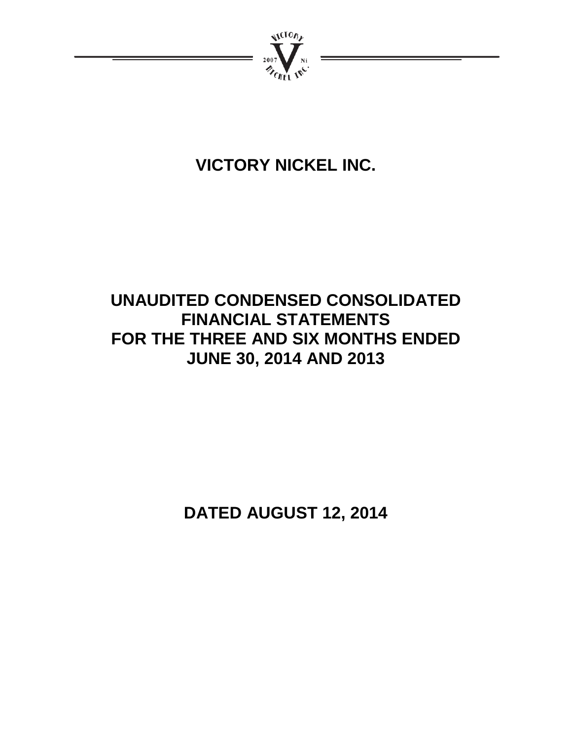

# **VICTORY NICKEL INC.**

# **UNAUDITED CONDENSED CONSOLIDATED FINANCIAL STATEMENTS FOR THE THREE AND SIX MONTHS ENDED JUNE 30, 2014 AND 2013**

**DATED AUGUST 12, 2014**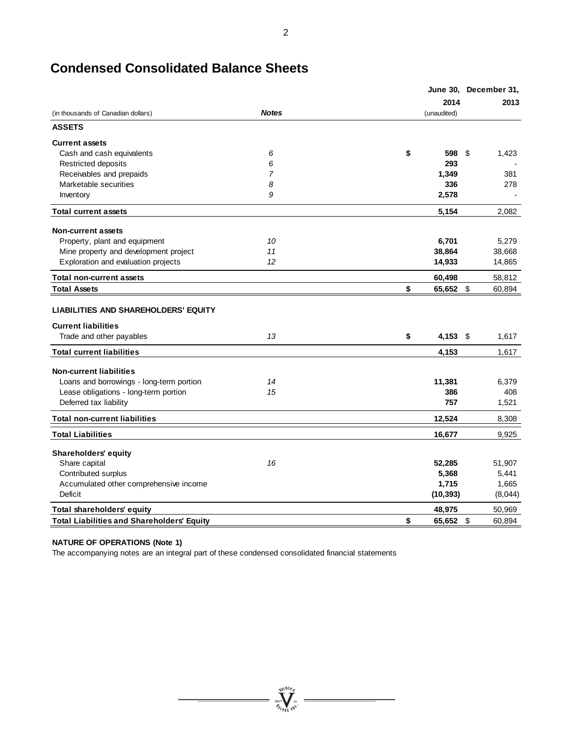|                                                                           |                |                  | June 30, December 31, |
|---------------------------------------------------------------------------|----------------|------------------|-----------------------|
|                                                                           |                | 2014             | 2013                  |
| (in thousands of Canadian dollars)                                        | <b>Notes</b>   | (unaudited)      |                       |
| <b>ASSETS</b>                                                             |                |                  |                       |
| <b>Current assets</b>                                                     |                |                  |                       |
| Cash and cash equivalents                                                 | 6              | \$<br>598 \$     | 1,423                 |
| Restricted deposits                                                       | 6              | 293              |                       |
| Receivables and prepaids                                                  | $\overline{7}$ | 1,349            | 381                   |
| Marketable securities                                                     | 8              | 336              | 278                   |
| Inventory                                                                 | 9              | 2,578            |                       |
| <b>Total current assets</b>                                               |                | 5,154            | 2,082                 |
| <b>Non-current assets</b>                                                 |                |                  |                       |
| Property, plant and equipment                                             | 10             | 6,701            | 5,279                 |
| Mine property and development project                                     | 11             | 38,864           | 38,668                |
| Exploration and evaluation projects                                       | 12             | 14,933           | 14,865                |
| <b>Total non-current assets</b>                                           |                | 60,498           | 58,812                |
| <b>Total Assets</b>                                                       |                | \$<br>65,652 \$  | 60,894                |
| <b>LIABILITIES AND SHAREHOLDERS' EQUITY</b><br><b>Current liabilities</b> |                |                  |                       |
| Trade and other payables                                                  | 13             | \$<br>$4,153$ \$ | 1,617                 |
| <b>Total current liabilities</b>                                          |                | 4,153            | 1,617                 |
| <b>Non-current liabilities</b>                                            |                |                  |                       |
| Loans and borrowings - long-term portion                                  | 14             | 11,381           | 6,379                 |
| Lease obligations - long-term portion                                     | 15             | 386              | 408                   |
| Deferred tax liability                                                    |                | 757              | 1,521                 |
| <b>Total non-current liabilities</b>                                      |                | 12,524           | 8,308                 |
| <b>Total Liabilities</b>                                                  |                | 16,677           | 9,925                 |
| <b>Shareholders' equity</b>                                               |                |                  |                       |
| Share capital                                                             | 16             | 52,285           | 51,907                |
| Contributed surplus                                                       |                | 5,368            | 5,441                 |
| Accumulated other comprehensive income                                    |                | 1,715            | 1,665                 |
| Deficit                                                                   |                | (10, 393)        | (8,044)               |
| <b>Total shareholders' equity</b>                                         |                | 48,975           | 50,969                |
| <b>Total Liabilities and Shareholders' Equity</b>                         |                | \$<br>65,652 \$  | 60,894                |

 $\sum_{j_{\ell}}^{N_{\ell}}\sum_{\ell=1}^{N_{\ell}}\sum_{\ell=1}^{N_{\ell}}\sum_{\ell=1}^{N_{\ell}}$ 

# **Condensed Consolidated Balance Sheets**

#### **NATURE OF OPERATIONS (Note 1)**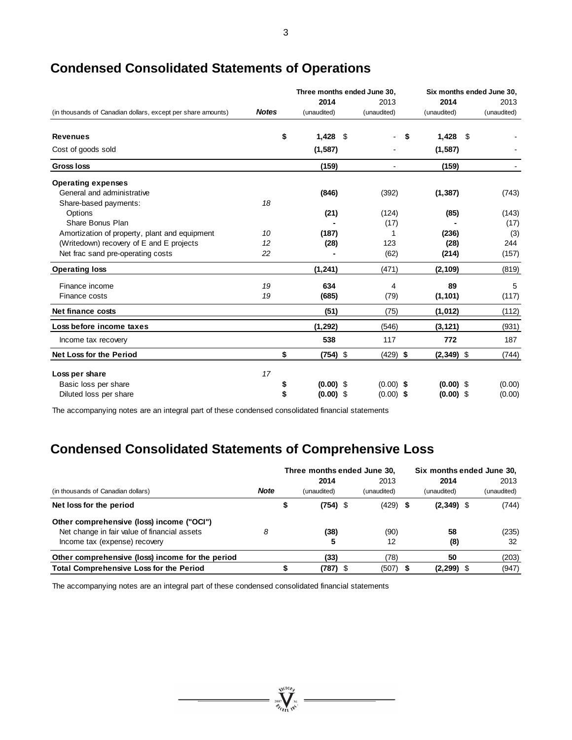|                                                              |              | Three months ended June 30, |             | Six months ended June 30, |             |  |
|--------------------------------------------------------------|--------------|-----------------------------|-------------|---------------------------|-------------|--|
|                                                              |              | 2014                        | 2013        | 2014                      | 2013        |  |
| (in thousands of Canadian dollars, except per share amounts) | <b>Notes</b> | (unaudited)                 | (unaudited) | (unaudited)               | (unaudited) |  |
| <b>Revenues</b>                                              | \$           | 1,428                       | -\$         | 1,428<br>S                | -\$         |  |
| Cost of goods sold                                           |              | (1, 587)                    |             | (1, 587)                  |             |  |
| <b>Gross loss</b>                                            |              | (159)                       |             | (159)                     |             |  |
| <b>Operating expenses</b>                                    |              |                             |             |                           |             |  |
| General and administrative                                   |              | (846)                       | (392)       | (1, 387)                  | (743)       |  |
| Share-based payments:                                        | 18           |                             |             |                           |             |  |
| Options                                                      |              | (21)                        | (124)       | (85)                      | (143)       |  |
| Share Bonus Plan                                             |              |                             | (17)        |                           | (17)        |  |
| Amortization of property, plant and equipment                | 10           | (187)                       |             | (236)                     | (3)         |  |
| (Writedown) recovery of E and E projects                     | 12           | (28)                        | 123         | (28)                      | 244         |  |
| Net frac sand pre-operating costs                            | 22           |                             | (62)        | (214)                     | (157)       |  |
| <b>Operating loss</b>                                        |              | (1, 241)                    | (471)       | (2, 109)                  | (819)       |  |
| Finance income                                               | 19           | 634                         | 4           | 89                        | 5           |  |
| Finance costs                                                | 19           | (685)                       | (79)        | (1, 101)                  | (117)       |  |
| Net finance costs                                            |              | (51)                        | (75)        | (1,012)                   | (112)       |  |
| Loss before income taxes                                     |              | (1, 292)                    | (546)       | (3, 121)                  | (931)       |  |
| Income tax recovery                                          |              | 538                         | 117         | 772                       | 187         |  |
| <b>Net Loss for the Period</b>                               | \$           | $(754)$ \$                  | $(429)$ \$  | $(2,349)$ \$              | (744)       |  |
| Loss per share                                               | 17           |                             |             |                           |             |  |
| Basic loss per share                                         |              | $(0.00)$ \$                 | $(0.00)$ \$ | $(0.00)$ \$               | (0.00)      |  |
| Diluted loss per share                                       |              | $(0.00)$ \$                 | $(0.00)$ \$ | $(0.00)$ \$               | (0.00)      |  |

# **Condensed Consolidated Statements of Operations**

The accompanying notes are an integral part of these condensed consolidated financial statements

# **Condensed Consolidated Statements of Comprehensive Loss**

|                                                  |             | Three months ended June 30, |             |  |             |  | Six months ended June 30, |  |             |  |
|--------------------------------------------------|-------------|-----------------------------|-------------|--|-------------|--|---------------------------|--|-------------|--|
|                                                  |             |                             | 2014        |  | 2013        |  | 2014                      |  | 2013        |  |
| (in thousands of Canadian dollars)               | <b>Note</b> |                             | (unaudited) |  | (unaudited) |  | (unaudited)               |  | (unaudited) |  |
| Net loss for the period                          |             |                             | $(754)$ \$  |  | $(429)$ \$  |  | $(2,349)$ \$              |  | (744)       |  |
| Other comprehensive (loss) income ("OCI")        |             |                             |             |  |             |  |                           |  |             |  |
| Net change in fair value of financial assets     | 8           |                             | (38)        |  | (90)        |  | 58                        |  | (235)       |  |
| Income tax (expense) recovery                    |             |                             | 5           |  | 12          |  | (8)                       |  | 32          |  |
| Other comprehensive (loss) income for the period |             |                             | (33)        |  | (78)        |  | 50                        |  | (203)       |  |
| <b>Total Comprehensive Loss for the Period</b>   |             |                             | (787)       |  | (507)       |  | (2, 299)                  |  | (947)       |  |

 $\sum_{2007}$  Well the Nie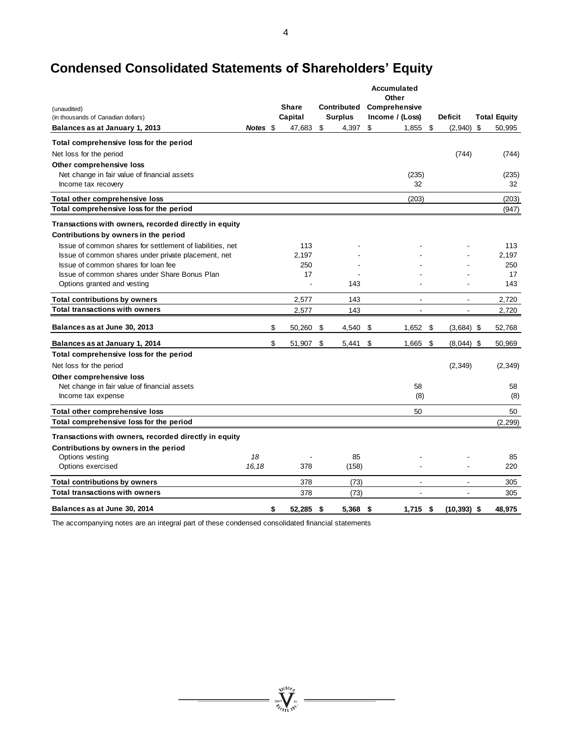# **Condensed Consolidated Statements of Shareholders' Equity**

|                                                           |          |                 |                | Accumulated              |                          |                     |
|-----------------------------------------------------------|----------|-----------------|----------------|--------------------------|--------------------------|---------------------|
| (unaudited)                                               |          | <b>Share</b>    | Contributed    | Other<br>Comprehensive   |                          |                     |
| (in thousands of Canadian dollars)                        |          | Capital         | <b>Surplus</b> | Income / (Loss)          | <b>Deficit</b>           | <b>Total Equity</b> |
| Balances as at January 1, 2013                            | Notes \$ | 47,683          | \$<br>4,397    | \$<br>1,855              | \$<br>(2,940)            | \$<br>50,995        |
| Total comprehensive loss for the period                   |          |                 |                |                          |                          |                     |
| Net loss for the period                                   |          |                 |                |                          | (744)                    | (744)               |
| Other comprehensive loss                                  |          |                 |                |                          |                          |                     |
| Net change in fair value of financial assets              |          |                 |                | (235)                    |                          | (235)               |
| Income tax recovery                                       |          |                 |                | 32                       |                          | 32                  |
| Total other comprehensive loss                            |          |                 |                | (203)                    |                          | (203)               |
| Total comprehensive loss for the period                   |          |                 |                |                          |                          | (947)               |
| Transactions with owners, recorded directly in equity     |          |                 |                |                          |                          |                     |
| Contributions by owners in the period                     |          |                 |                |                          |                          |                     |
| Issue of common shares for settlement of liabilities, net |          | 113             |                |                          |                          | 113                 |
| Issue of common shares under private placement, net       |          | 2,197           |                |                          |                          | 2,197               |
| Issue of common shares for loan fee                       |          | 250             |                |                          |                          | 250                 |
| Issue of common shares under Share Bonus Plan             |          | 17              |                |                          |                          | 17                  |
| Options granted and vesting                               |          |                 | 143            |                          |                          | 143                 |
| <b>Total contributions by owners</b>                      |          | 2.577           | 143            | $\overline{\phantom{a}}$ | $\overline{\phantom{a}}$ | 2,720               |
| <b>Total transactions with owners</b>                     |          | 2,577           | 143            | $\overline{\phantom{a}}$ | $\overline{\phantom{a}}$ | 2,720               |
| Balances as at June 30, 2013                              |          | \$<br>50,260    | \$<br>4,540    | \$<br>1,652              | \$<br>$(3,684)$ \$       | 52,768              |
| Balances as at January 1, 2014                            |          | \$<br>51,907    | \$<br>5,441    | \$<br>1,665              | \$<br>$(8,044)$ \$       | 50,969              |
| Total comprehensive loss for the period                   |          |                 |                |                          |                          |                     |
| Net loss for the period                                   |          |                 |                |                          | (2, 349)                 | (2, 349)            |
| Other comprehensive loss                                  |          |                 |                |                          |                          |                     |
| Net change in fair value of financial assets              |          |                 |                | 58                       |                          | 58                  |
| Income tax expense                                        |          |                 |                | (8)                      |                          | (8)                 |
| Total other comprehensive loss                            |          |                 |                | 50                       |                          | 50                  |
| Total comprehensive loss for the period                   |          |                 |                |                          |                          | (2, 299)            |
| Transactions with owners, recorded directly in equity     |          |                 |                |                          |                          |                     |
| Contributions by owners in the period                     |          |                 |                |                          |                          |                     |
| Options vesting                                           | 18       |                 | 85             |                          |                          | 85                  |
| Options exercised                                         | 16,18    | 378             | (158)          |                          |                          | 220                 |
| <b>Total contributions by owners</b>                      |          | 378             | (73)           | $\blacksquare$           | $\blacksquare$           | 305                 |
| <b>Total transactions with owners</b>                     |          | 378             | (73)           | L,                       |                          | 305                 |
| Balances as at June 30, 2014                              |          | \$<br>52.285 \$ | 5.368          | \$<br>$1.715$ \$         | $(10, 393)$ \$           | 48.975              |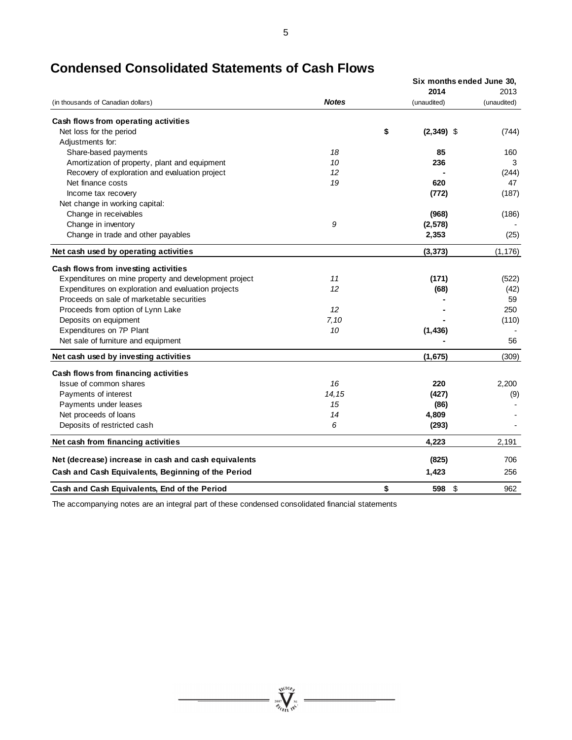|                                                       |              | Six months ended June 30, |             |  |  |  |
|-------------------------------------------------------|--------------|---------------------------|-------------|--|--|--|
|                                                       |              | 2014                      | 2013        |  |  |  |
| (in thousands of Canadian dollars)                    | <b>Notes</b> | (unaudited)               | (unaudited) |  |  |  |
| Cash flows from operating activities                  |              |                           |             |  |  |  |
| Net loss for the period                               |              | \$<br>$(2,349)$ \$        | (744)       |  |  |  |
| Adjustments for:                                      |              |                           |             |  |  |  |
| Share-based payments                                  | 18           | 85                        | 160         |  |  |  |
| Amortization of property, plant and equipment         | 10           | 236                       | 3           |  |  |  |
| Recovery of exploration and evaluation project        | 12           |                           | (244)       |  |  |  |
| Net finance costs                                     | 19           | 620                       | 47          |  |  |  |
| Income tax recovery                                   |              | (772)                     | (187)       |  |  |  |
| Net change in working capital:                        |              |                           |             |  |  |  |
| Change in receivables                                 |              | (968)                     | (186)       |  |  |  |
| Change in inventory                                   | 9            | (2,578)                   |             |  |  |  |
| Change in trade and other payables                    |              | 2,353                     | (25)        |  |  |  |
| Net cash used by operating activities                 |              | (3, 373)                  | (1, 176)    |  |  |  |
| Cash flows from investing activities                  |              |                           |             |  |  |  |
| Expenditures on mine property and development project | 11           | (171)                     | (522)       |  |  |  |
| Expenditures on exploration and evaluation projects   | 12           | (68)                      | (42)        |  |  |  |
| Proceeds on sale of marketable securities             |              |                           | 59          |  |  |  |
| Proceeds from option of Lynn Lake                     | 12           |                           | 250         |  |  |  |
| Deposits on equipment                                 | 7,10         |                           | (110)       |  |  |  |
| Expenditures on 7P Plant                              | 10           | (1, 436)                  |             |  |  |  |
| Net sale of furniture and equipment                   |              |                           | 56          |  |  |  |
| Net cash used by investing activities                 |              | (1,675)                   | (309)       |  |  |  |
| Cash flows from financing activities                  |              |                           |             |  |  |  |
| Issue of common shares                                | 16           | 220                       | 2,200       |  |  |  |
| Payments of interest                                  | 14, 15       | (427)                     | (9)         |  |  |  |
| Payments under leases                                 | 15           | (86)                      |             |  |  |  |
| Net proceeds of loans                                 | 14           | 4,809                     |             |  |  |  |
| Deposits of restricted cash                           | 6            | (293)                     |             |  |  |  |
| Net cash from financing activities                    |              | 4,223                     | 2,191       |  |  |  |
| Net (decrease) increase in cash and cash equivalents  |              | (825)                     | 706         |  |  |  |
| Cash and Cash Equivalents, Beginning of the Period    |              | 1,423                     | 256         |  |  |  |
| Cash and Cash Equivalents, End of the Period          |              | \$<br>\$<br>598           | 962         |  |  |  |

# **Condensed Consolidated Statements of Cash Flows**

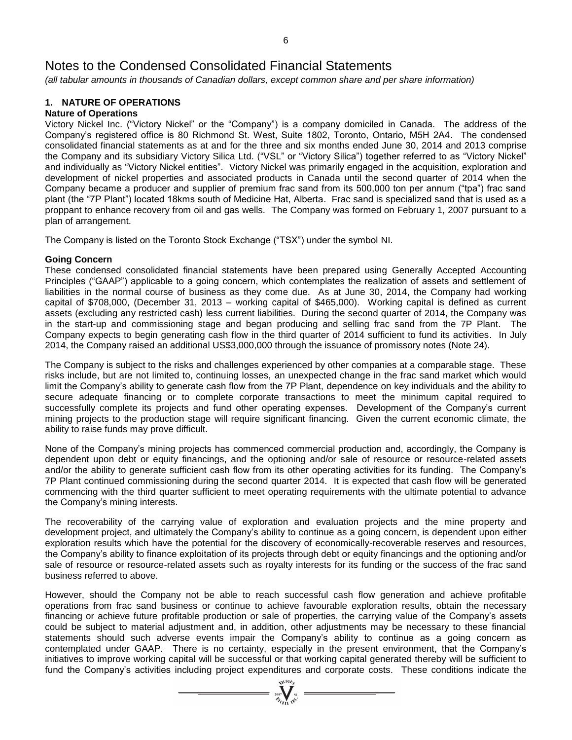*(all tabular amounts in thousands of Canadian dollars, except common share and per share information)*

# **1. NATURE OF OPERATIONS**

# **Nature of Operations**

Victory Nickel Inc. ("Victory Nickel" or the "Company") is a company domiciled in Canada. The address of the Company's registered office is 80 Richmond St. West, Suite 1802, Toronto, Ontario, M5H 2A4. The condensed consolidated financial statements as at and for the three and six months ended June 30, 2014 and 2013 comprise the Company and its subsidiary Victory Silica Ltd. ("VSL" or "Victory Silica") together referred to as "Victory Nickel" and individually as "Victory Nickel entities". Victory Nickel was primarily engaged in the acquisition, exploration and development of nickel properties and associated products in Canada until the second quarter of 2014 when the Company became a producer and supplier of premium frac sand from its 500,000 ton per annum ("tpa") frac sand plant (the "7P Plant") located 18kms south of Medicine Hat, Alberta. Frac sand is specialized sand that is used as a proppant to enhance recovery from oil and gas wells. The Company was formed on February 1, 2007 pursuant to a plan of arrangement.

The Company is listed on the Toronto Stock Exchange ("TSX") under the symbol NI.

# **Going Concern**

These condensed consolidated financial statements have been prepared using Generally Accepted Accounting Principles ("GAAP") applicable to a going concern, which contemplates the realization of assets and settlement of liabilities in the normal course of business as they come due. As at June 30, 2014, the Company had working capital of \$708,000, (December 31, 2013 – working capital of \$465,000). Working capital is defined as current assets (excluding any restricted cash) less current liabilities. During the second quarter of 2014, the Company was in the start-up and commissioning stage and began producing and selling frac sand from the 7P Plant. The Company expects to begin generating cash flow in the third quarter of 2014 sufficient to fund its activities. In July 2014, the Company raised an additional US\$3,000,000 through the issuance of promissory notes (Note 24).

The Company is subject to the risks and challenges experienced by other companies at a comparable stage. These risks include, but are not limited to, continuing losses, an unexpected change in the frac sand market which would limit the Company's ability to generate cash flow from the 7P Plant, dependence on key individuals and the ability to secure adequate financing or to complete corporate transactions to meet the minimum capital required to successfully complete its projects and fund other operating expenses. Development of the Company's current mining projects to the production stage will require significant financing. Given the current economic climate, the ability to raise funds may prove difficult.

None of the Company's mining projects has commenced commercial production and, accordingly, the Company is dependent upon debt or equity financings, and the optioning and/or sale of resource or resource-related assets and/or the ability to generate sufficient cash flow from its other operating activities for its funding. The Company's 7P Plant continued commissioning during the second quarter 2014. It is expected that cash flow will be generated commencing with the third quarter sufficient to meet operating requirements with the ultimate potential to advance the Company's mining interests.

The recoverability of the carrying value of exploration and evaluation projects and the mine property and development project, and ultimately the Company's ability to continue as a going concern, is dependent upon either exploration results which have the potential for the discovery of economically-recoverable reserves and resources, the Company's ability to finance exploitation of its projects through debt or equity financings and the optioning and/or sale of resource or resource-related assets such as royalty interests for its funding or the success of the frac sand business referred to above.

However, should the Company not be able to reach successful cash flow generation and achieve profitable operations from frac sand business or continue to achieve favourable exploration results, obtain the necessary financing or achieve future profitable production or sale of properties, the carrying value of the Company's assets could be subject to material adjustment and, in addition, other adjustments may be necessary to these financial statements should such adverse events impair the Company's ability to continue as a going concern as contemplated under GAAP. There is no certainty, especially in the present environment, that the Company's initiatives to improve working capital will be successful or that working capital generated thereby will be sufficient to fund the Company's activities including project expenditures and corporate costs. These conditions indicate the

 $\sum_{2007}$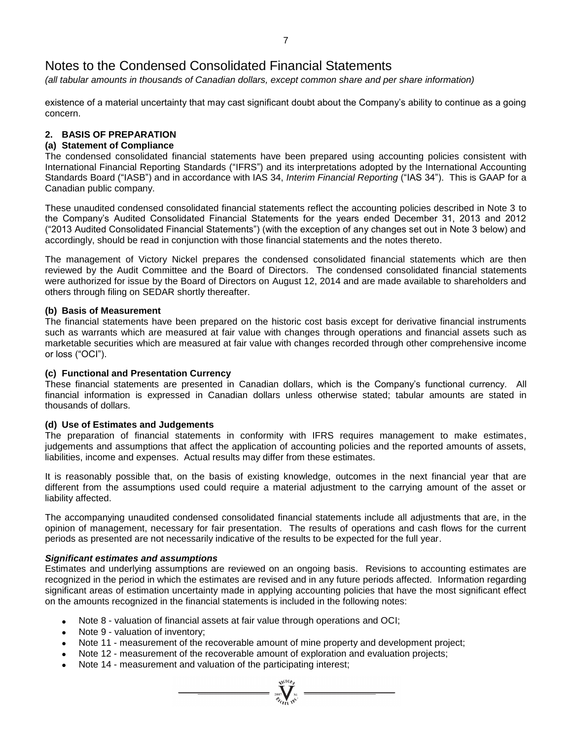*(all tabular amounts in thousands of Canadian dollars, except common share and per share information)*

existence of a material uncertainty that may cast significant doubt about the Company's ability to continue as a going concern.

# **2. BASIS OF PREPARATION**

# **(a) Statement of Compliance**

The condensed consolidated financial statements have been prepared using accounting policies consistent with International Financial Reporting Standards ("IFRS") and its interpretations adopted by the International Accounting Standards Board ("IASB") and in accordance with IAS 34, *Interim Financial Reporting* ("IAS 34"). This is GAAP for a Canadian public company.

These unaudited condensed consolidated financial statements reflect the accounting policies described in Note 3 to the Company's Audited Consolidated Financial Statements for the years ended December 31, 2013 and 2012 ("2013 Audited Consolidated Financial Statements") (with the exception of any changes set out in Note 3 below) and accordingly, should be read in conjunction with those financial statements and the notes thereto.

The management of Victory Nickel prepares the condensed consolidated financial statements which are then reviewed by the Audit Committee and the Board of Directors. The condensed consolidated financial statements were authorized for issue by the Board of Directors on August 12, 2014 and are made available to shareholders and others through filing on SEDAR shortly thereafter.

# **(b) Basis of Measurement**

The financial statements have been prepared on the historic cost basis except for derivative financial instruments such as warrants which are measured at fair value with changes through operations and financial assets such as marketable securities which are measured at fair value with changes recorded through other comprehensive income or loss ("OCI").

# **(c) Functional and Presentation Currency**

These financial statements are presented in Canadian dollars, which is the Company's functional currency. All financial information is expressed in Canadian dollars unless otherwise stated; tabular amounts are stated in thousands of dollars.

# **(d) Use of Estimates and Judgements**

The preparation of financial statements in conformity with IFRS requires management to make estimates, judgements and assumptions that affect the application of accounting policies and the reported amounts of assets, liabilities, income and expenses. Actual results may differ from these estimates.

It is reasonably possible that, on the basis of existing knowledge, outcomes in the next financial year that are different from the assumptions used could require a material adjustment to the carrying amount of the asset or liability affected.

The accompanying unaudited condensed consolidated financial statements include all adjustments that are, in the opinion of management, necessary for fair presentation. The results of operations and cash flows for the current periods as presented are not necessarily indicative of the results to be expected for the full year.

# *Significant estimates and assumptions*

Estimates and underlying assumptions are reviewed on an ongoing basis. Revisions to accounting estimates are recognized in the period in which the estimates are revised and in any future periods affected. Information regarding significant areas of estimation uncertainty made in applying accounting policies that have the most significant effect on the amounts recognized in the financial statements is included in the following notes:

 $\sum_{\substack{2007 \ \times 10^{-10} \text{N}^{\text{C}}}}$ 

- Note 8 valuation of financial assets at fair value through operations and OCI;
- Note 9 valuation of inventory;
- Note 11 measurement of the recoverable amount of mine property and development project;
- Note 12 measurement of the recoverable amount of exploration and evaluation projects;
- Note 14 measurement and valuation of the participating interest;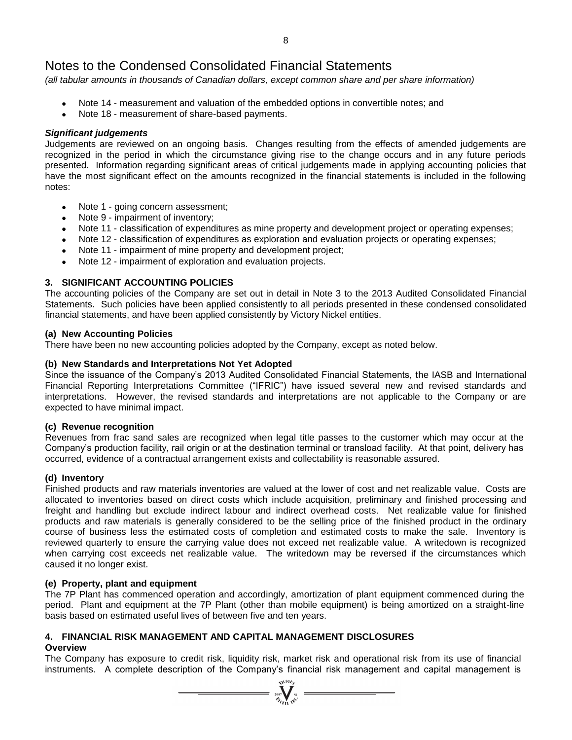*(all tabular amounts in thousands of Canadian dollars, except common share and per share information)*

- Note 14 measurement and valuation of the embedded options in convertible notes; and
- Note 18 measurement of share-based payments.

# *Significant judgements*

Judgements are reviewed on an ongoing basis. Changes resulting from the effects of amended judgements are recognized in the period in which the circumstance giving rise to the change occurs and in any future periods presented. Information regarding significant areas of critical judgements made in applying accounting policies that have the most significant effect on the amounts recognized in the financial statements is included in the following notes:

- Note 1 going concern assessment;
- Note 9 impairment of inventory;
- Note 11 classification of expenditures as mine property and development project or operating expenses;
- Note 12 classification of expenditures as exploration and evaluation projects or operating expenses;
- Note 11 impairment of mine property and development project;
- Note 12 impairment of exploration and evaluation projects.

# **3. SIGNIFICANT ACCOUNTING POLICIES**

The accounting policies of the Company are set out in detail in Note 3 to the 2013 Audited Consolidated Financial Statements. Such policies have been applied consistently to all periods presented in these condensed consolidated financial statements, and have been applied consistently by Victory Nickel entities.

# **(a) New Accounting Policies**

There have been no new accounting policies adopted by the Company, except as noted below.

# **(b) New Standards and Interpretations Not Yet Adopted**

Since the issuance of the Company's 2013 Audited Consolidated Financial Statements, the IASB and International Financial Reporting Interpretations Committee ("IFRIC") have issued several new and revised standards and interpretations. However, the revised standards and interpretations are not applicable to the Company or are expected to have minimal impact.

# **(c) Revenue recognition**

Revenues from frac sand sales are recognized when legal title passes to the customer which may occur at the Company's production facility, rail origin or at the destination terminal or transload facility. At that point, delivery has occurred, evidence of a contractual arrangement exists and collectability is reasonable assured.

# **(d) Inventory**

Finished products and raw materials inventories are valued at the lower of cost and net realizable value. Costs are allocated to inventories based on direct costs which include acquisition, preliminary and finished processing and freight and handling but exclude indirect labour and indirect overhead costs. Net realizable value for finished products and raw materials is generally considered to be the selling price of the finished product in the ordinary course of business less the estimated costs of completion and estimated costs to make the sale. Inventory is reviewed quarterly to ensure the carrying value does not exceed net realizable value. A writedown is recognized when carrying cost exceeds net realizable value. The writedown may be reversed if the circumstances which caused it no longer exist.

# **(e) Property, plant and equipment**

The 7P Plant has commenced operation and accordingly, amortization of plant equipment commenced during the period. Plant and equipment at the 7P Plant (other than mobile equipment) is being amortized on a straight-line basis based on estimated useful lives of between five and ten years.

# **4. FINANCIAL RISK MANAGEMENT AND CAPITAL MANAGEMENT DISCLOSURES**

# **Overview**

The Company has exposure to credit risk, liquidity risk, market risk and operational risk from its use of financial instruments. A complete description of the Company's financial risk management and capital management is

 $\sum_{2007}$  Wellon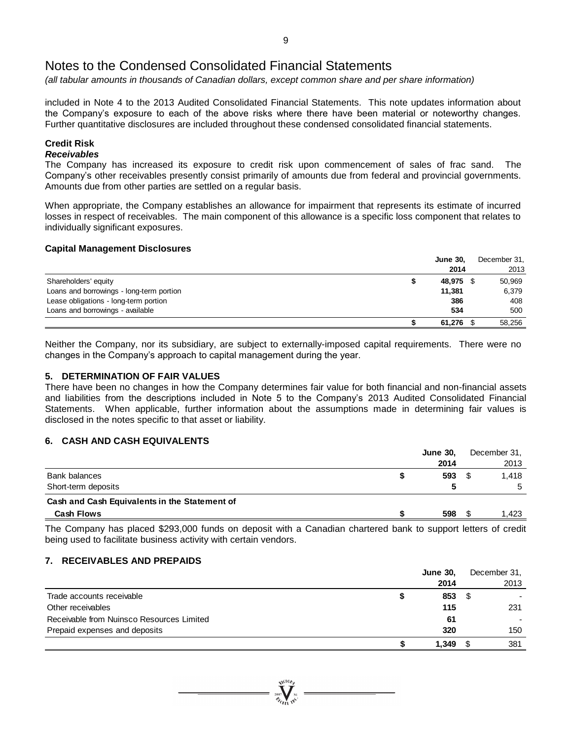*(all tabular amounts in thousands of Canadian dollars, except common share and per share information)*

included in Note 4 to the 2013 Audited Consolidated Financial Statements. This note updates information about the Company's exposure to each of the above risks where there have been material or noteworthy changes. Further quantitative disclosures are included throughout these condensed consolidated financial statements.

# **Credit Risk**

# *Receivables*

The Company has increased its exposure to credit risk upon commencement of sales of frac sand. The Company's other receivables presently consist primarily of amounts due from federal and provincial governments. Amounts due from other parties are settled on a regular basis.

When appropriate, the Company establishes an allowance for impairment that represents its estimate of incurred losses in respect of receivables. The main component of this allowance is a specific loss component that relates to individually significant exposures.

### **Capital Management Disclosures**

|                                          | <b>June 30,</b> | December 31, |
|------------------------------------------|-----------------|--------------|
|                                          | 2014            | 2013         |
| Shareholders' equity                     | 48,975          | 50,969       |
| Loans and borrowings - long-term portion | 11,381          | 6,379        |
| Lease obligations - long-term portion    | 386             | 408          |
| Loans and borrowings - available         | 534             | 500          |
|                                          | 61,276          | 58,256       |

Neither the Company, nor its subsidiary, are subject to externally-imposed capital requirements. There were no changes in the Company's approach to capital management during the year.

# **5. DETERMINATION OF FAIR VALUES**

There have been no changes in how the Company determines fair value for both financial and non-financial assets and liabilities from the descriptions included in Note 5 to the Company's 2013 Audited Consolidated Financial Statements. When applicable, further information about the assumptions made in determining fair values is disclosed in the notes specific to that asset or liability.

# **6. CASH AND CASH EQUIVALENTS**

|                                               |     | <b>June 30.</b><br>2014<br>593 | December 31, |  |
|-----------------------------------------------|-----|--------------------------------|--------------|--|
|                                               |     |                                | 2013         |  |
| Bank balances                                 |     |                                | 1.418        |  |
| Short-term deposits                           |     |                                | 5            |  |
| Cash and Cash Equivalents in the Statement of |     |                                |              |  |
| <b>Cash Flows</b>                             | 598 |                                | 1.423        |  |

The Company has placed \$293,000 funds on deposit with a Canadian chartered bank to support letters of credit being used to facilitate business activity with certain vendors.

# **7. RECEIVABLES AND PREPAIDS**

|                                           |   | <b>June 30.</b> |      | December 31, |
|-------------------------------------------|---|-----------------|------|--------------|
|                                           |   | 2014            |      | 2013         |
| Trade accounts receivable                 | æ | 853             | - \$ |              |
| Other receivables                         |   | 115             |      | 231          |
| Receivable from Nuinsco Resources Limited |   | -61             |      |              |
| Prepaid expenses and deposits             |   | 320             |      | 150          |
|                                           |   | 1.349           |      | 381          |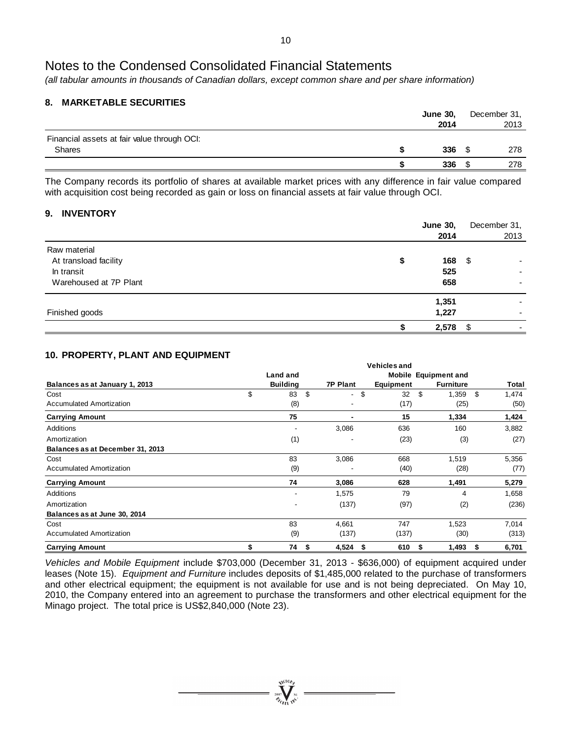*(all tabular amounts in thousands of Canadian dollars, except common share and per share information)*

# **8. MARKETABLE SECURITIES**

|                                             | <b>June 30,</b> | December 31, |
|---------------------------------------------|-----------------|--------------|
|                                             | 2014            | 2013         |
| Financial assets at fair value through OCI: |                 |              |
| <b>Shares</b>                               | 336             | 278          |
|                                             | 336             | 278          |

The Company records its portfolio of shares at available market prices with any difference in fair value compared with acquisition cost being recorded as gain or loss on financial assets at fair value through OCI.

# **9. INVENTORY**

|                        | <b>June 30,</b> | December 31, |      |
|------------------------|-----------------|--------------|------|
|                        | 2014            |              | 2013 |
| Raw material           |                 |              |      |
| At transload facility  | \$<br>168       | - \$         |      |
| In transit             | 525             |              |      |
| Warehoused at 7P Plant | 658             |              |      |
|                        | 1,351           |              |      |
| Finished goods         | 1,227           |              |      |
|                        | 2,578           | - \$         |      |

# **10. PROPERTY, PLANT AND EQUIPMENT**

|                                  |                 |                 | <b>Vehicles and</b> |                             |             |
|----------------------------------|-----------------|-----------------|---------------------|-----------------------------|-------------|
|                                  | Land and        |                 |                     | <b>Mobile Equipment and</b> |             |
| Balances as at January 1, 2013   | <b>Building</b> | <b>7P Plant</b> | Equipment           | <b>Furniture</b>            | Total       |
| Cost                             | \$<br>\$<br>83  | \$<br>. .       | 32                  | \$<br>1,359                 | \$<br>1,474 |
| Accumulated Amortization         | (8)             |                 | (17)                | (25)                        | (50)        |
| <b>Carrying Amount</b>           | 75              |                 | 15                  | 1,334                       | 1,424       |
| Additions                        |                 | 3,086           | 636                 | 160                         | 3,882       |
| Amortization                     | (1)             | -               | (23)                | (3)                         | (27)        |
| Balances as at December 31, 2013 |                 |                 |                     |                             |             |
| Cost                             | 83              | 3,086           | 668                 | 1,519                       | 5,356       |
| <b>Accumulated Amortization</b>  | (9)             |                 | (40)                | (28)                        | (77)        |
| <b>Carrying Amount</b>           | 74              | 3,086           | 628                 | 1,491                       | 5,279       |
| Additions                        |                 | 1,575           | 79                  | 4                           | 1,658       |
| Amortization                     | -               | (137)           | (97)                | (2)                         | (236)       |
| Balances as at June 30, 2014     |                 |                 |                     |                             |             |
| Cost                             | 83              | 4,661           | 747                 | 1,523                       | 7,014       |
| <b>Accumulated Amortization</b>  | (9)             | (137)           | (137)               | (30)                        | (313)       |
| <b>Carrying Amount</b>           | \$<br>74<br>\$  | 4,524<br>\$     | 610                 | 1,493<br>\$                 | 6,701<br>\$ |

*Vehicles and Mobile Equipment* include \$703,000 (December 31, 2013 - \$636,000) of equipment acquired under leases (Note 15). *Equipment and Furniture* includes deposits of \$1,485,000 related to the purchase of transformers and other electrical equipment; the equipment is not available for use and is not being depreciated. On May 10, 2010, the Company entered into an agreement to purchase the transformers and other electrical equipment for the Minago project. The total price is US\$2,840,000 (Note 23).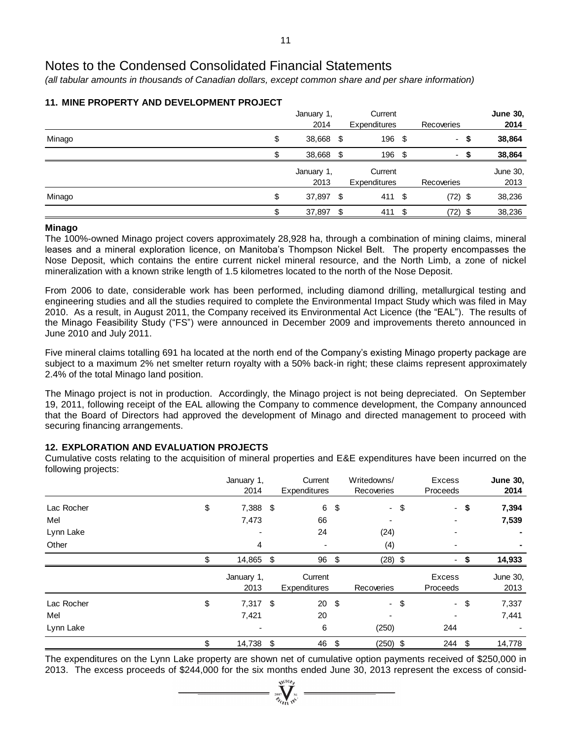*(all tabular amounts in thousands of Canadian dollars, except common share and per share information)*

|        |     | January 1,<br>2014 | Current<br>Expenditures        |      | Recoveries |      | <b>June 30,</b><br>2014 |
|--------|-----|--------------------|--------------------------------|------|------------|------|-------------------------|
| Minago | \$  | 38,668 \$          | 196 \$                         |      |            | - \$ | 38,864                  |
|        | \$. | 38,668 \$          | 196                            | - \$ | ۰.         |      | 38,864                  |
|        |     | January 1,<br>2013 | Current<br><b>Expenditures</b> |      | Recoveries |      | June 30,<br>2013        |
| Minago | \$  | 37,897 \$          | 411 \$                         |      | $(72)$ \$  |      | 38,236                  |
|        | σ   | 37,897             | \$<br>411                      | S    | $(72)$ \$  |      | 38,236                  |

# **11. MINE PROPERTY AND DEVELOPMENT PROJECT**

# **Minago**

The 100%-owned Minago project covers approximately 28,928 ha, through a combination of mining claims, mineral leases and a mineral exploration licence, on Manitoba's Thompson Nickel Belt. The property encompasses the Nose Deposit, which contains the entire current nickel mineral resource, and the North Limb, a zone of nickel mineralization with a known strike length of 1.5 kilometres located to the north of the Nose Deposit.

From 2006 to date, considerable work has been performed, including diamond drilling, metallurgical testing and engineering studies and all the studies required to complete the Environmental Impact Study which was filed in May 2010. As a result, in August 2011, the Company received its Environmental Act Licence (the "EAL"). The results of the Minago Feasibility Study ("FS") were announced in December 2009 and improvements thereto announced in June 2010 and July 2011.

Five mineral claims totalling 691 ha located at the north end of the Company's existing Minago property package are subject to a maximum 2% net smelter return royalty with a 50% back-in right; these claims represent approximately 2.4% of the total Minago land position.

The Minago project is not in production. Accordingly, the Minago project is not being depreciated. On September 19, 2011, following receipt of the EAL allowing the Company to commence development, the Company announced that the Board of Directors had approved the development of Minago and directed management to proceed with securing financing arrangements.

# **12. EXPLORATION AND EVALUATION PROJECTS**

Cumulative costs relating to the acquisition of mineral properties and E&E expenditures have been incurred on the following projects:

| <u>.</u><br>. . |     | January 1,<br>2014 | Current<br><b>Expenditures</b> |               | Writedowns/<br>Recoveries | Excess<br>Proceeds | <b>June 30,</b><br>2014 |
|-----------------|-----|--------------------|--------------------------------|---------------|---------------------------|--------------------|-------------------------|
| Lac Rocher      | \$  | 7,388 \$           | 6                              | \$            | $\sim$                    | \$<br>$\sim$       | \$<br>7,394             |
| Mel             |     | 7,473              | 66                             |               |                           |                    | 7,539                   |
| Lynn Lake       |     |                    | 24                             |               | (24)                      |                    |                         |
| Other           |     | 4                  | ٠                              |               | (4)                       |                    |                         |
|                 | \$. | 14,865             | \$<br>96                       | \$            | $(28)$ \$                 |                    | 14,933                  |
|                 |     | January 1,<br>2013 | Current<br>Expenditures        |               | Recoveries                | Excess<br>Proceeds | June 30,<br>2013        |
| Lac Rocher      | \$  | $7,317$ \$         | 20                             | $\sqrt[6]{3}$ | $\sim$                    | \$<br>$-$ \$       | 7,337                   |
| Mel             |     | 7,421              | 20                             |               |                           |                    | 7,441                   |
| Lynn Lake       |     |                    | 6                              |               | (250)                     | 244                |                         |
|                 | \$  | 14,738 \$          | 46                             | \$            | $(250)$ \$                | 244                | \$<br>14,778            |

The expenditures on the Lynn Lake property are shown net of cumulative option payments received of \$250,000 in 2013. The excess proceeds of \$244,000 for the six months ended June 30, 2013 represent the excess of consid-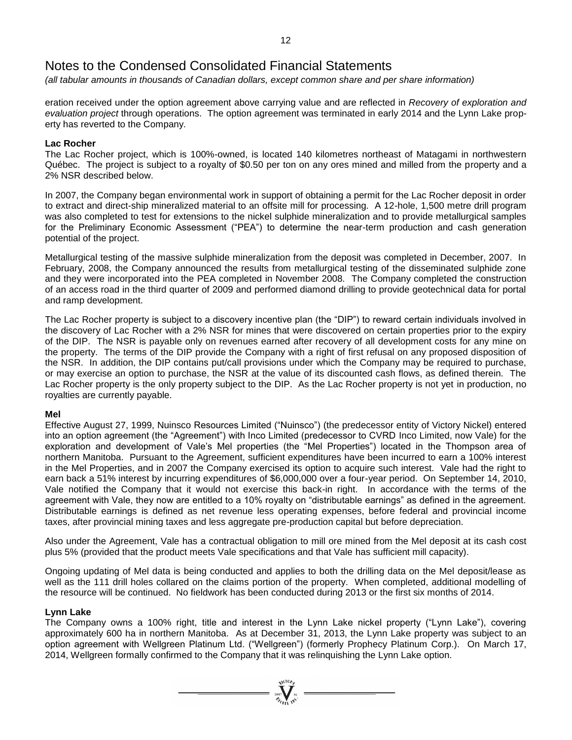*(all tabular amounts in thousands of Canadian dollars, except common share and per share information)*

eration received under the option agreement above carrying value and are reflected in *Recovery of exploration and evaluation project* through operations. The option agreement was terminated in early 2014 and the Lynn Lake property has reverted to the Company.

# **Lac Rocher**

The Lac Rocher project, which is 100%-owned, is located 140 kilometres northeast of Matagami in northwestern Québec. The project is subject to a royalty of \$0.50 per ton on any ores mined and milled from the property and a 2% NSR described below.

In 2007, the Company began environmental work in support of obtaining a permit for the Lac Rocher deposit in order to extract and direct-ship mineralized material to an offsite mill for processing. A 12-hole, 1,500 metre drill program was also completed to test for extensions to the nickel sulphide mineralization and to provide metallurgical samples for the Preliminary Economic Assessment ("PEA") to determine the near-term production and cash generation potential of the project.

Metallurgical testing of the massive sulphide mineralization from the deposit was completed in December, 2007. In February, 2008, the Company announced the results from metallurgical testing of the disseminated sulphide zone and they were incorporated into the PEA completed in November 2008. The Company completed the construction of an access road in the third quarter of 2009 and performed diamond drilling to provide geotechnical data for portal and ramp development.

The Lac Rocher property is subject to a discovery incentive plan (the "DIP") to reward certain individuals involved in the discovery of Lac Rocher with a 2% NSR for mines that were discovered on certain properties prior to the expiry of the DIP. The NSR is payable only on revenues earned after recovery of all development costs for any mine on the property. The terms of the DIP provide the Company with a right of first refusal on any proposed disposition of the NSR. In addition, the DIP contains put/call provisions under which the Company may be required to purchase, or may exercise an option to purchase, the NSR at the value of its discounted cash flows, as defined therein. The Lac Rocher property is the only property subject to the DIP. As the Lac Rocher property is not yet in production, no royalties are currently payable.

# **Mel**

Effective August 27, 1999, Nuinsco Resources Limited ("Nuinsco") (the predecessor entity of Victory Nickel) entered into an option agreement (the "Agreement") with Inco Limited (predecessor to CVRD Inco Limited, now Vale) for the exploration and development of Vale's Mel properties (the "Mel Properties") located in the Thompson area of northern Manitoba. Pursuant to the Agreement, sufficient expenditures have been incurred to earn a 100% interest in the Mel Properties, and in 2007 the Company exercised its option to acquire such interest. Vale had the right to earn back a 51% interest by incurring expenditures of \$6,000,000 over a four-year period. On September 14, 2010, Vale notified the Company that it would not exercise this back-in right. In accordance with the terms of the agreement with Vale, they now are entitled to a 10% royalty on "distributable earnings" as defined in the agreement. Distributable earnings is defined as net revenue less operating expenses, before federal and provincial income taxes, after provincial mining taxes and less aggregate pre-production capital but before depreciation.

Also under the Agreement, Vale has a contractual obligation to mill ore mined from the Mel deposit at its cash cost plus 5% (provided that the product meets Vale specifications and that Vale has sufficient mill capacity).

Ongoing updating of Mel data is being conducted and applies to both the drilling data on the Mel deposit/lease as well as the 111 drill holes collared on the claims portion of the property. When completed, additional modelling of the resource will be continued. No fieldwork has been conducted during 2013 or the first six months of 2014.

# **Lynn Lake**

The Company owns a 100% right, title and interest in the Lynn Lake nickel property ("Lynn Lake"), covering approximately 600 ha in northern Manitoba. As at December 31, 2013, the Lynn Lake property was subject to an option agreement with Wellgreen Platinum Ltd. ("Wellgreen") (formerly Prophecy Platinum Corp.). On March 17, 2014, Wellgreen formally confirmed to the Company that it was relinquishing the Lynn Lake option.

 $= \sqrt{\sum_{i=1}^{\text{N}} \sum_{i=1}^{\text{N}} \sum_{j=1}^{\text{N}} }$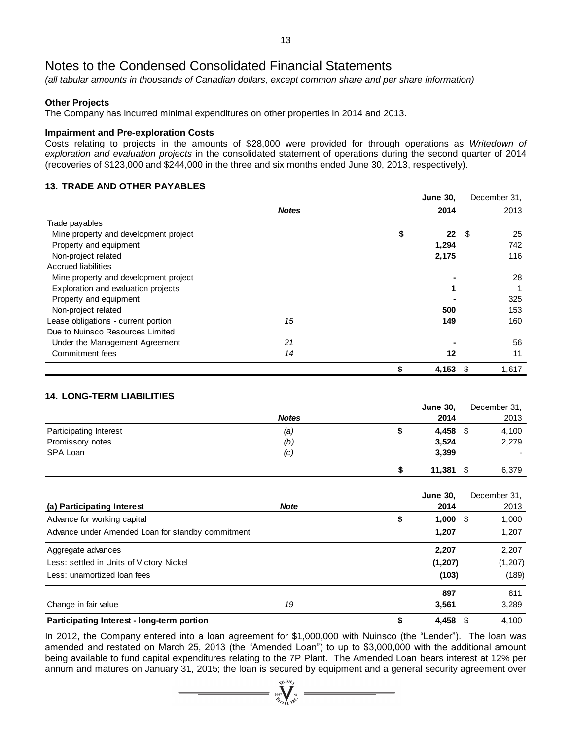*(all tabular amounts in thousands of Canadian dollars, except common share and per share information)*

# **Other Projects**

The Company has incurred minimal expenditures on other properties in 2014 and 2013.

#### **Impairment and Pre-exploration Costs**

Costs relating to projects in the amounts of \$28,000 were provided for through operations as *Writedown of exploration and evaluation projects* in the consolidated statement of operations during the second quarter of 2014 (recoveries of \$123,000 and \$244,000 in the three and six months ended June 30, 2013, respectively).

# **13. TRADE AND OTHER PAYABLES**

|                                       |              | <b>June 30,</b> | December 31, |
|---------------------------------------|--------------|-----------------|--------------|
|                                       | <b>Notes</b> | 2014            | 2013         |
| Trade payables                        |              |                 |              |
| Mine property and development project |              | \$<br>22        | -\$<br>25    |
| Property and equipment                |              | 1,294           | 742          |
| Non-project related                   |              | 2,175           | 116          |
| Accrued liabilities                   |              |                 |              |
| Mine property and development project |              |                 | 28           |
| Exploration and evaluation projects   |              |                 |              |
| Property and equipment                |              |                 | 325          |
| Non-project related                   |              | 500             | 153          |
| Lease obligations - current portion   | 15           | 149             | 160          |
| Due to Nuinsco Resources Limited      |              |                 |              |
| Under the Management Agreement        | 21           |                 | 56           |
| Commitment fees                       | 14           | 12              | 11           |
|                                       |              | \$<br>4,153     | 1,617<br>S   |

# **14. LONG-TERM LIABILITIES**

|                               |              | <b>June 30,</b> | December 31,  |  |
|-------------------------------|--------------|-----------------|---------------|--|
|                               | <b>Notes</b> | 2014            | 2013          |  |
| <b>Participating Interest</b> | (a)          | 4,458           | 4,100<br>- \$ |  |
| Promissory notes              | (b)          | 3,524           | 2,279         |  |
| SPA Loan                      | (c)          | 3,399           |               |  |
|                               |              | 11,381          | 6,379         |  |

|                                                   |             | <b>June 30,</b> | December 31, |
|---------------------------------------------------|-------------|-----------------|--------------|
| (a) Participating Interest                        | <b>Note</b> | 2014            | 2013         |
| Advance for working capital                       |             | \$<br>1,000     | 1,000<br>- 5 |
| Advance under Amended Loan for standby commitment |             | 1,207           | 1,207        |
| Aggregate advances                                |             | 2,207           | 2,207        |
| Less: settled in Units of Victory Nickel          |             | (1, 207)        | (1, 207)     |
| Less: unamortized loan fees                       |             | (103)           | (189)        |
|                                                   |             | 897             | 811          |
| Change in fair value                              | 19          | 3.561           | 3,289        |
| Participating Interest - long-term portion        |             | 4,458           | 4,100<br>\$. |

In 2012, the Company entered into a loan agreement for \$1,000,000 with Nuinsco (the "Lender"). The loan was amended and restated on March 25, 2013 (the "Amended Loan") to up to \$3,000,000 with the additional amount being available to fund capital expenditures relating to the 7P Plant. The Amended Loan bears interest at 12% per annum and matures on January 31, 2015; the loan is secured by equipment and a general security agreement over

 $\sum_{i=0}^{N^{(\text{LO})} \neq k}$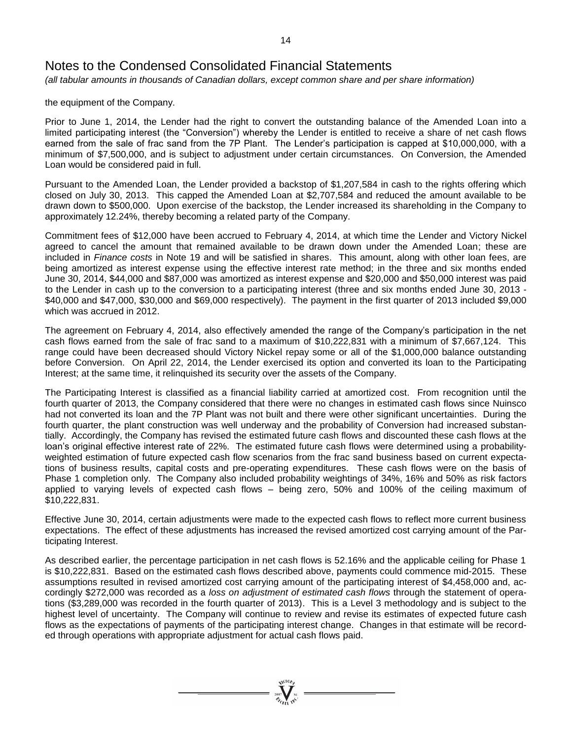*(all tabular amounts in thousands of Canadian dollars, except common share and per share information)*

the equipment of the Company.

Prior to June 1, 2014, the Lender had the right to convert the outstanding balance of the Amended Loan into a limited participating interest (the "Conversion") whereby the Lender is entitled to receive a share of net cash flows earned from the sale of frac sand from the 7P Plant. The Lender's participation is capped at \$10,000,000, with a minimum of \$7,500,000, and is subject to adjustment under certain circumstances. On Conversion, the Amended Loan would be considered paid in full.

Pursuant to the Amended Loan, the Lender provided a backstop of \$1,207,584 in cash to the rights offering which closed on July 30, 2013. This capped the Amended Loan at \$2,707,584 and reduced the amount available to be drawn down to \$500,000. Upon exercise of the backstop, the Lender increased its shareholding in the Company to approximately 12.24%, thereby becoming a related party of the Company.

Commitment fees of \$12,000 have been accrued to February 4, 2014, at which time the Lender and Victory Nickel agreed to cancel the amount that remained available to be drawn down under the Amended Loan; these are included in *Finance costs* in Note 19 and will be satisfied in shares. This amount, along with other loan fees, are being amortized as interest expense using the effective interest rate method; in the three and six months ended June 30, 2014, \$44,000 and \$87,000 was amortized as interest expense and \$20,000 and \$50,000 interest was paid to the Lender in cash up to the conversion to a participating interest (three and six months ended June 30, 2013 - \$40,000 and \$47,000, \$30,000 and \$69,000 respectively). The payment in the first quarter of 2013 included \$9,000 which was accrued in 2012.

The agreement on February 4, 2014, also effectively amended the range of the Company's participation in the net cash flows earned from the sale of frac sand to a maximum of \$10,222,831 with a minimum of \$7,667,124. This range could have been decreased should Victory Nickel repay some or all of the \$1,000,000 balance outstanding before Conversion. On April 22, 2014, the Lender exercised its option and converted its loan to the Participating Interest; at the same time, it relinquished its security over the assets of the Company.

The Participating Interest is classified as a financial liability carried at amortized cost. From recognition until the fourth quarter of 2013, the Company considered that there were no changes in estimated cash flows since Nuinsco had not converted its loan and the 7P Plant was not built and there were other significant uncertainties. During the fourth quarter, the plant construction was well underway and the probability of Conversion had increased substantially. Accordingly, the Company has revised the estimated future cash flows and discounted these cash flows at the loan's original effective interest rate of 22%. The estimated future cash flows were determined using a probabilityweighted estimation of future expected cash flow scenarios from the frac sand business based on current expectations of business results, capital costs and pre-operating expenditures. These cash flows were on the basis of Phase 1 completion only. The Company also included probability weightings of 34%, 16% and 50% as risk factors applied to varying levels of expected cash flows – being zero, 50% and 100% of the ceiling maximum of \$10,222,831.

Effective June 30, 2014, certain adjustments were made to the expected cash flows to reflect more current business expectations. The effect of these adjustments has increased the revised amortized cost carrying amount of the Participating Interest.

As described earlier, the percentage participation in net cash flows is 52.16% and the applicable ceiling for Phase 1 is \$10,222,831. Based on the estimated cash flows described above, payments could commence mid-2015. These assumptions resulted in revised amortized cost carrying amount of the participating interest of \$4,458,000 and, accordingly \$272,000 was recorded as a *loss on adjustment of estimated cash flows* through the statement of operations (\$3,289,000 was recorded in the fourth quarter of 2013). This is a Level 3 methodology and is subject to the highest level of uncertainty. The Company will continue to review and revise its estimates of expected future cash flows as the expectations of payments of the participating interest change. Changes in that estimate will be recorded through operations with appropriate adjustment for actual cash flows paid.

 $\sum_{2007}$  MCIOR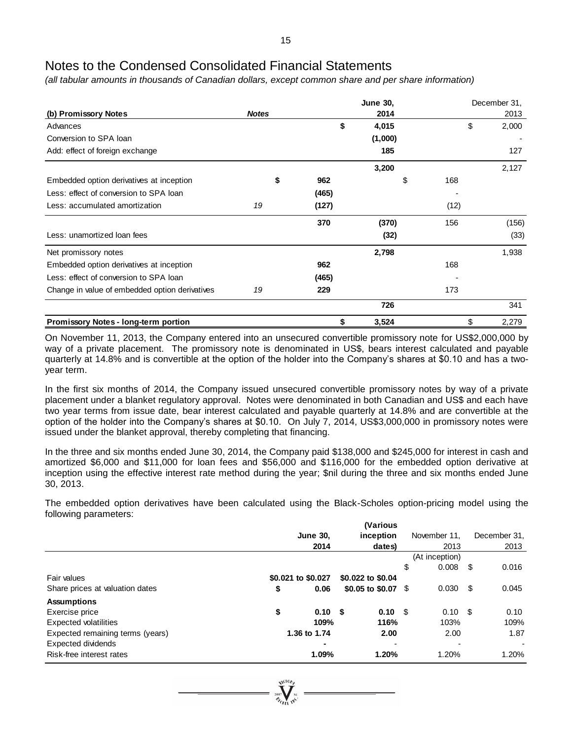*(all tabular amounts in thousands of Canadian dollars, except common share and per share information)*

|                                                |              |       | <b>June 30,</b> | December 31, |       |  |  |  |
|------------------------------------------------|--------------|-------|-----------------|--------------|-------|--|--|--|
| (b) Promissory Notes                           | <b>Notes</b> |       | 2014            | 2013         |       |  |  |  |
| Advances                                       |              | \$    | 4,015           | \$           | 2,000 |  |  |  |
| Conversion to SPA loan                         |              |       | (1,000)         |              |       |  |  |  |
| Add: effect of foreign exchange                |              |       | 185             |              | 127   |  |  |  |
|                                                |              |       | 3,200           |              | 2,127 |  |  |  |
| Embedded option derivatives at inception       | \$           | 962   | \$              | 168          |       |  |  |  |
| Less: effect of conversion to SPA loan         |              | (465) |                 |              |       |  |  |  |
| Less: accumulated amortization                 | 19           | (127) |                 | (12)         |       |  |  |  |
|                                                |              | 370   | (370)           | 156          | (156) |  |  |  |
| Less: unamortized loan fees                    |              |       | (32)            |              | (33)  |  |  |  |
| Net promissory notes                           |              |       | 2,798           |              | 1,938 |  |  |  |
| Embedded option derivatives at inception       |              | 962   |                 | 168          |       |  |  |  |
| Less: effect of conversion to SPA loan         |              | (465) |                 |              |       |  |  |  |
| Change in value of embedded option derivatives | 19           | 229   |                 | 173          |       |  |  |  |
|                                                |              |       | 726             |              | 341   |  |  |  |
| <b>Promissory Notes - long-term portion</b>    |              | \$    | 3,524           | \$           | 2,279 |  |  |  |

On November 11, 2013, the Company entered into an unsecured convertible promissory note for US\$2,000,000 by way of a private placement. The promissory note is denominated in US\$, bears interest calculated and payable quarterly at 14.8% and is convertible at the option of the holder into the Company's shares at \$0.10 and has a twoyear term.

In the first six months of 2014, the Company issued unsecured convertible promissory notes by way of a private placement under a blanket regulatory approval. Notes were denominated in both Canadian and US\$ and each have two year terms from issue date, bear interest calculated and payable quarterly at 14.8% and are convertible at the option of the holder into the Company's shares at \$0.10. On July 7, 2014, US\$3,000,000 in promissory notes were issued under the blanket approval, thereby completing that financing.

In the three and six months ended June 30, 2014, the Company paid \$138,000 and \$245,000 for interest in cash and amortized \$6,000 and \$11,000 for loan fees and \$56,000 and \$116,000 for the embedded option derivative at inception using the effective interest rate method during the year; \$nil during the three and six months ended June 30, 2013.

The embedded option derivatives have been calculated using the Black-Scholes option-pricing model using the following parameters:

|                                  |                         | (Various                 |                          |      |              |
|----------------------------------|-------------------------|--------------------------|--------------------------|------|--------------|
|                                  | <b>June 30,</b>         | inception                | November 11.             |      | December 31, |
|                                  | 2014                    | dates)                   | 2013                     |      | 2013         |
|                                  |                         |                          | (At inception)           |      |              |
|                                  |                         |                          | \$<br>0.008              | - \$ | 0.016        |
| Fair values                      | \$0.021 to \$0.027      | \$0.022 to \$0.04        |                          |      |              |
| Share prices at valuation dates  | \$<br>0.06              | \$0.05 to \$0.07 \$      | 0.030                    | - \$ | 0.045        |
| <b>Assumptions</b>               |                         |                          |                          |      |              |
| Exercise price                   | \$<br>0.10 <sup>5</sup> | $0.10 \, \text{S}$       | $0.10 \,$ \$             |      | 0.10         |
| <b>Expected volatilities</b>     | 109%                    | 116%                     | 103%                     |      | 109%         |
| Expected remaining terms (years) | 1.36 to 1.74            | 2.00                     | 2.00                     |      | 1.87         |
| <b>Expected dividends</b>        |                         | $\overline{\phantom{a}}$ | $\overline{\phantom{0}}$ |      | ٠            |
| Risk-free interest rates         | 1.09%                   | 1.20%                    | 1.20%                    |      | 1.20%        |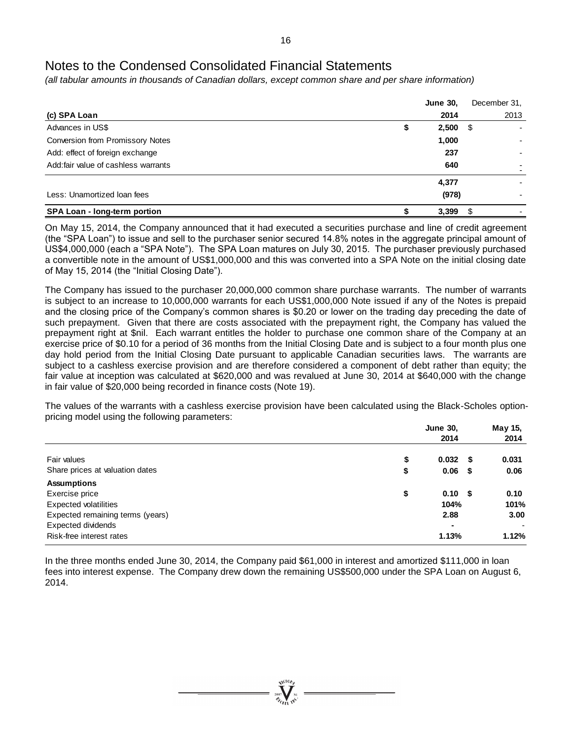*(all tabular amounts in thousands of Canadian dollars, except common share and per share information)*

|                                      | <b>June 30,</b>  |      | December 31, |
|--------------------------------------|------------------|------|--------------|
| (c) SPA Loan                         | 2014             |      | 2013         |
| Advances in US\$                     | \$<br>$2,500$ \$ |      |              |
| Conversion from Promissory Notes     | 1,000            |      |              |
| Add: effect of foreign exchange      | 237              |      |              |
| Add: fair value of cashless warrants | 640              |      |              |
|                                      | 4,377            |      |              |
| Less: Unamortized Ioan fees          | (978)            |      |              |
| SPA Loan - long-term portion         | 3,399            | - \$ |              |

On May 15, 2014, the Company announced that it had executed a securities purchase and line of credit agreement (the "SPA Loan") to issue and sell to the purchaser senior secured 14.8% notes in the aggregate principal amount of US\$4,000,000 (each a "SPA Note"). The SPA Loan matures on July 30, 2015. The purchaser previously purchased a convertible note in the amount of US\$1,000,000 and this was converted into a SPA Note on the initial closing date of May 15, 2014 (the "Initial Closing Date").

The Company has issued to the purchaser 20,000,000 common share purchase warrants. The number of warrants is subject to an increase to 10,000,000 warrants for each US\$1,000,000 Note issued if any of the Notes is prepaid and the closing price of the Company's common shares is \$0.20 or lower on the trading day preceding the date of such prepayment. Given that there are costs associated with the prepayment right, the Company has valued the prepayment right at \$nil. Each warrant entitles the holder to purchase one common share of the Company at an exercise price of \$0.10 for a period of 36 months from the Initial Closing Date and is subject to a four month plus one day hold period from the Initial Closing Date pursuant to applicable Canadian securities laws. The warrants are subject to a cashless exercise provision and are therefore considered a component of debt rather than equity; the fair value at inception was calculated at \$620,000 and was revalued at June 30, 2014 at \$640,000 with the change in fair value of \$20,000 being recorded in finance costs (Note 19).

The values of the warrants with a cashless exercise provision have been calculated using the Black-Scholes optionpricing model using the following parameters:

| <b>June 30,</b> | May 15, |                                   |
|-----------------|---------|-----------------------------------|
| 2014            |         | 2014                              |
| \$<br>0.032     |         | 0.031                             |
| \$<br>0.06      |         | 0.06                              |
|                 |         |                                   |
| \$              |         | 0.10                              |
| 104%            |         | 101%                              |
| 2.88            |         | 3.00                              |
|                 |         |                                   |
| 1.13%           |         | 1.12%                             |
|                 |         | - \$<br>- \$<br>0.10 <sup>5</sup> |

In the three months ended June 30, 2014, the Company paid \$61,000 in interest and amortized \$111,000 in loan fees into interest expense. The Company drew down the remaining US\$500,000 under the SPA Loan on August 6, 2014.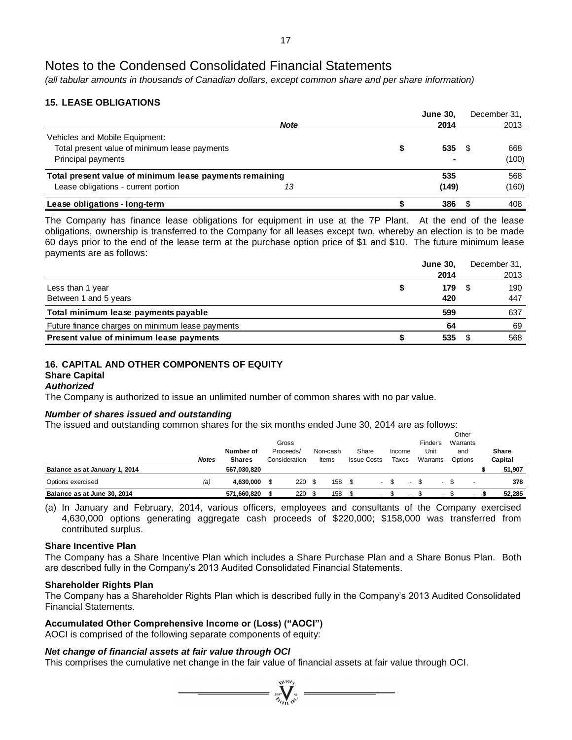*(all tabular amounts in thousands of Canadian dollars, except common share and per share information)*

# **15. LEASE OBLIGATIONS**

|                                                         |             | <b>June 30,</b> | December 31, |
|---------------------------------------------------------|-------------|-----------------|--------------|
|                                                         | <b>Note</b> | 2014            | 2013         |
| Vehicles and Mobile Equipment:                          |             |                 |              |
| Total present value of minimum lease payments           |             | 535             | 668          |
| Principal payments                                      |             |                 | (100)        |
| Total present value of minimum lease payments remaining |             | 535             | 568          |
| Lease obligations - current portion                     | 13          | (149)           | (160)        |
| Lease obligations - long-term                           |             | 386             | 408          |

The Company has finance lease obligations for equipment in use at the 7P Plant. At the end of the lease obligations, ownership is transferred to the Company for all leases except two, whereby an election is to be made 60 days prior to the end of the lease term at the purchase option price of \$1 and \$10. The future minimum lease payments are as follows:

|                                                  | <b>June 30.</b> | December 31, |
|--------------------------------------------------|-----------------|--------------|
|                                                  | 2014            | 2013         |
| Less than 1 year                                 | 179             | 190          |
| Between 1 and 5 years                            | 420             | 447          |
| Total minimum lease payments payable             | 599             | 637          |
| Future finance charges on minimum lease payments | 64              | 69           |
| Present value of minimum lease payments          | 535             | 568          |

#### **16. CAPITAL AND OTHER COMPONENTS OF EQUITY Share Capital**

# *Authorized*

The Company is authorized to issue an unlimited number of common shares with no par value.

# *Number of shares issued and outstanding*

The issued and outstanding common shares for the six months ended June 30, 2014 are as follows:

|                               |              |               |               |          |      |                    |        |  |          | Other    |     |              |
|-------------------------------|--------------|---------------|---------------|----------|------|--------------------|--------|--|----------|----------|-----|--------------|
|                               |              |               | Gross         |          |      |                    |        |  | Finder's | Warrants |     |              |
|                               |              | Number of     | Proceeds/     | Non-cash |      | Share              | Income |  | Unit     | and      |     | <b>Share</b> |
|                               | <b>Notes</b> | <b>Shares</b> | Consideration | Items    |      | <b>Issue Costs</b> | Taxes  |  | Warrants | Options  |     | Capital      |
| Balance as at January 1, 2014 |              | 567.030.820   |               |          |      |                    |        |  |          |          |     | 51,907       |
| Options exercised             | (a)          | 4.630.000     | 220S          | 158      | - \$ | $\sim$             | Æ.     |  |          | - \$     |     | 378          |
| Balance as at June 30, 2014   |              | 571.660.820   | 220           | 158      |      | ۰.                 |        |  | $\sim$   |          | . . | 52.285       |

(a) In January and February, 2014, various officers, employees and consultants of the Company exercised 4,630,000 options generating aggregate cash proceeds of \$220,000; \$158,000 was transferred from contributed surplus.

# **Share Incentive Plan**

The Company has a Share Incentive Plan which includes a Share Purchase Plan and a Share Bonus Plan. Both are described fully in the Company's 2013 Audited Consolidated Financial Statements.

# **Shareholder Rights Plan**

The Company has a Shareholder Rights Plan which is described fully in the Company's 2013 Audited Consolidated Financial Statements.

 $\sum_{2007}$ 

# **Accumulated Other Comprehensive Income or (Loss) ("AOCI")**

AOCI is comprised of the following separate components of equity:

# *Net change of financial assets at fair value through OCI*

This comprises the cumulative net change in the fair value of financial assets at fair value through OCI.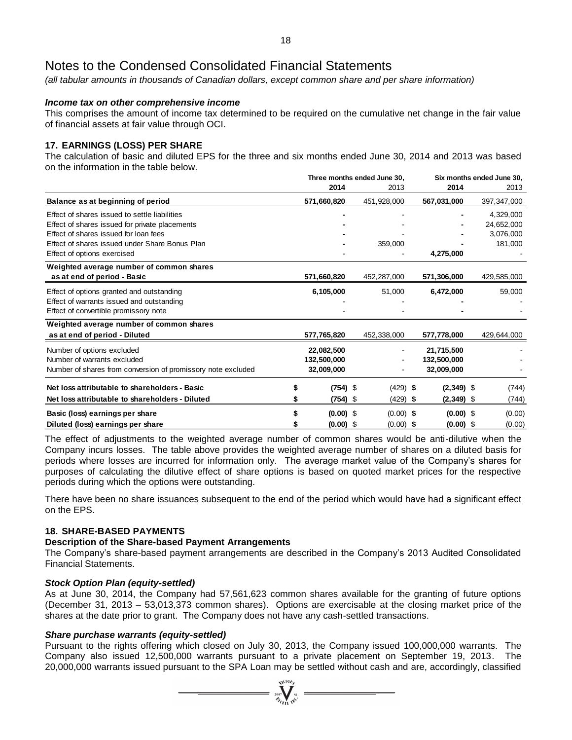*(all tabular amounts in thousands of Canadian dollars, except common share and per share information)*

# *Income tax on other comprehensive income*

This comprises the amount of income tax determined to be required on the cumulative net change in the fair value of financial assets at fair value through OCI.

# **17. EARNINGS (LOSS) PER SHARE**

The calculation of basic and diluted EPS for the three and six months ended June 30, 2014 and 2013 was based on the information in the table below.

|                                                              | Three months ended June 30. |  |             | Six months ended June 30. |  |             |  |
|--------------------------------------------------------------|-----------------------------|--|-------------|---------------------------|--|-------------|--|
|                                                              | 2014                        |  | 2013        | 2014                      |  | 2013        |  |
| Balance as at beginning of period                            | 571,660,820                 |  | 451,928,000 | 567,031,000               |  | 397,347,000 |  |
| Effect of shares issued to settle liabilities                |                             |  |             |                           |  | 4,329,000   |  |
| Effect of shares issued for private placements               |                             |  |             |                           |  | 24,652,000  |  |
| Effect of shares issued for loan fees                        |                             |  |             |                           |  | 3,076,000   |  |
| Effect of shares issued under Share Bonus Plan               |                             |  | 359,000     |                           |  | 181,000     |  |
| Effect of options exercised                                  |                             |  |             | 4,275,000                 |  |             |  |
| Weighted average number of common shares                     |                             |  |             |                           |  |             |  |
| as at end of period - Basic                                  | 571,660,820                 |  | 452,287,000 | 571,306,000               |  | 429,585,000 |  |
| Effect of options granted and outstanding                    | 6,105,000                   |  | 51,000      | 6,472,000                 |  | 59,000      |  |
| Effect of warrants issued and outstanding                    |                             |  |             |                           |  |             |  |
| Effect of convertible promissory note                        |                             |  |             |                           |  |             |  |
| Weighted average number of common shares                     |                             |  |             |                           |  |             |  |
| as at end of period - Diluted                                | 577,765,820                 |  | 452,338,000 | 577,778,000               |  | 429,644,000 |  |
| Number of options excluded                                   | 22,082,500                  |  |             | 21,715,500                |  |             |  |
| Number of warrants excluded                                  | 132,500,000                 |  |             | 132,500,000               |  |             |  |
| Number of shares from conversion of promissory note excluded | 32,009,000                  |  |             | 32,009,000                |  |             |  |
| Net loss attributable to shareholders - Basic                | $(754)$ \$                  |  | $(429)$ \$  | $(2,349)$ \$              |  | (744)       |  |
| Net loss attributable to shareholders - Diluted              | $(754)$ \$                  |  | $(429)$ \$  | $(2,349)$ \$              |  | (744)       |  |
| Basic (loss) earnings per share                              | $(0.00)$ \$                 |  | $(0.00)$ \$ | $(0.00)$ \$               |  | (0.00)      |  |
| Diluted (loss) earnings per share                            | $(0.00)$ \$                 |  | $(0.00)$ \$ | $(0.00)$ \$               |  | (0.00)      |  |

The effect of adjustments to the weighted average number of common shares would be anti-dilutive when the Company incurs losses. The table above provides the weighted average number of shares on a diluted basis for periods where losses are incurred for information only. The average market value of the Company's shares for purposes of calculating the dilutive effect of share options is based on quoted market prices for the respective periods during which the options were outstanding.

There have been no share issuances subsequent to the end of the period which would have had a significant effect on the EPS.

# **18. SHARE-BASED PAYMENTS**

# **Description of the Share-based Payment Arrangements**

The Company's share-based payment arrangements are described in the Company's 2013 Audited Consolidated Financial Statements.

# *Stock Option Plan (equity-settled)*

As at June 30, 2014, the Company had 57,561,623 common shares available for the granting of future options (December 31, 2013 – 53,013,373 common shares). Options are exercisable at the closing market price of the shares at the date prior to grant. The Company does not have any cash-settled transactions.

# *Share purchase warrants (equity-settled)*

Pursuant to the rights offering which closed on July 30, 2013, the Company issued 100,000,000 warrants. The Company also issued 12,500,000 warrants pursuant to a private placement on September 19, 2013. The 20,000,000 warrants issued pursuant to the SPA Loan may be settled without cash and are, accordingly, classified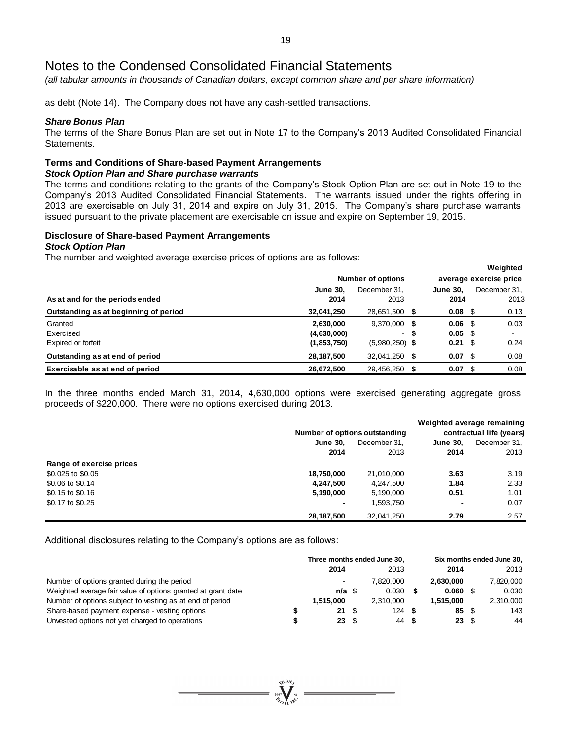*(all tabular amounts in thousands of Canadian dollars, except common share and per share information)*

as debt (Note 14). The Company does not have any cash-settled transactions.

#### *Share Bonus Plan*

The terms of the Share Bonus Plan are set out in Note 17 to the Company's 2013 Audited Consolidated Financial Statements.

# **Terms and Conditions of Share-based Payment Arrangements**

#### *Stock Option Plan and Share purchase warrants*

The terms and conditions relating to the grants of the Company's Stock Option Plan are set out in Note 19 to the Company's 2013 Audited Consolidated Financial Statements. The warrants issued under the rights offering in 2013 are exercisable on July 31, 2014 and expire on July 31, 2015. The Company's share purchase warrants issued pursuant to the private placement are exercisable on issue and expire on September 19, 2015.

# **Disclosure of Share-based Payment Arrangements**

### *Stock Option Plan*

The number and weighted average exercise prices of options are as follows:

|                                       |                 |                          |   |                 |      | weighted               |
|---------------------------------------|-----------------|--------------------------|---|-----------------|------|------------------------|
|                                       |                 | <b>Number of options</b> |   |                 |      | average exercise price |
|                                       | <b>June 30.</b> | December 31.             |   | <b>June 30.</b> |      | December 31.           |
| As at and for the periods ended       | 2014            | 2013                     |   | 2014            |      | 2013                   |
| Outstanding as at beginning of period | 32,041,250      | 28,651,500               | 5 | 0.08            | - \$ | 0.13                   |
| Granted                               | 2,630,000       | 9,370,000                | 5 | 0.06            | - \$ | 0.03                   |
| Exercised                             | (4,630,000)     | $\sim$                   | S | $0.05$ \$       |      |                        |
| Expired or forfeit                    | (1,853,750)     | $(5,980,250)$ \$         |   | 0.21            | - \$ | 0.24                   |
| Outstanding as at end of period       | 28,187,500      | 32,041,250               |   | 0.07            | -86  | 0.08                   |
| Exercisable as at end of period       | 26,672,500      | 29,456,250               |   | 0.07            |      | 0.08                   |

**Weighted**

In the three months ended March 31, 2014, 4,630,000 options were exercised generating aggregate gross proceeds of \$220,000. There were no options exercised during 2013.

|                          |                 |                               |                          | Weighted average remaining<br>contractual life (years) |
|--------------------------|-----------------|-------------------------------|--------------------------|--------------------------------------------------------|
|                          |                 | Number of options outstanding |                          |                                                        |
|                          | <b>June 30.</b> | December 31.                  | <b>June 30.</b>          | December 31.                                           |
|                          | 2014            | 2013                          | 2014                     | 2013                                                   |
| Range of exercise prices |                 |                               |                          |                                                        |
| \$0.025 to \$0.05        | 18,750,000      | 21,010,000                    | 3.63                     | 3.19                                                   |
| \$0.06 to \$0.14         | 4,247,500       | 4,247,500                     | 1.84                     | 2.33                                                   |
| \$0.15 to \$0.16         | 5,190,000       | 5,190,000                     | 0.51                     | 1.01                                                   |
| \$0.17 to \$0.25         | ٠               | 1,593,750                     | $\overline{\phantom{0}}$ | 0.07                                                   |
|                          | 28,187,500      | 32.041.250                    | 2.79                     | 2.57                                                   |

Additional disclosures relating to the Company's options are as follows:

|                                                              |                          |    | Three months ended June 30. |      |           | Six months ended June 30, |           |
|--------------------------------------------------------------|--------------------------|----|-----------------------------|------|-----------|---------------------------|-----------|
|                                                              | 2014                     |    | 2013                        |      | 2014      |                           | 2013      |
| Number of options granted during the period                  | ۰                        |    | 7.820.000                   |      | 2.630.000 |                           | 7,820,000 |
| Weighted average fair value of options granted at grant date | $n/a \text{ }$           |    | 0.030                       |      | 0.060 S   |                           | 0.030     |
| Number of options subject to vesting as at end of period     | 1.515.000                |    | 2.310.000                   |      | 1.515.000 |                           | 2,310,000 |
| Share-based payment expense - vesting options                | $21 \quad$ $\frac{1}{2}$ |    | 124                         | £.   | 85        | - \$                      | 143       |
| Unvested options not yet charged to operations               | 23                       | -S | 44                          | - 56 | 23        | - \$                      | 44        |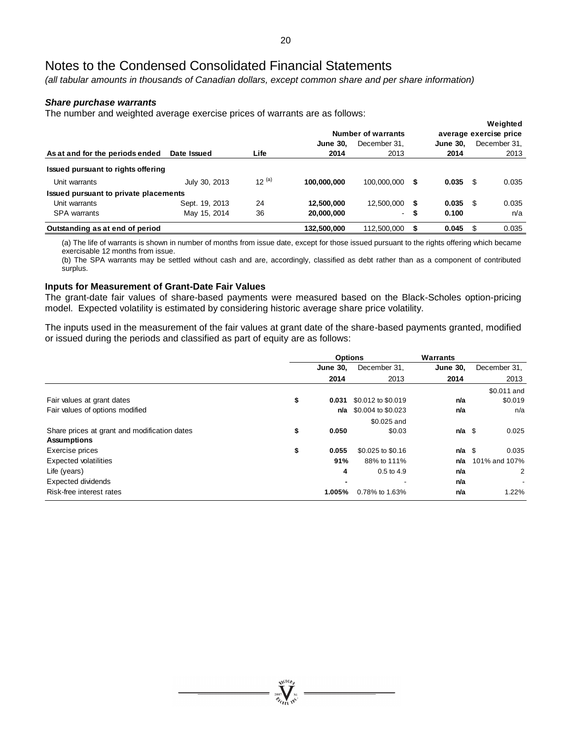*(all tabular amounts in thousands of Canadian dollars, except common share and per share information)*

### *Share purchase warrants*

The number and weighted average exercise prices of warrants are as follows:

| ັ                                     | ີ              | Number of warrants |                 |                |    |                 | Weighted<br>average exercise price |       |  |  |
|---------------------------------------|----------------|--------------------|-----------------|----------------|----|-----------------|------------------------------------|-------|--|--|
|                                       |                |                    | <b>June 30.</b> | December 31.   |    | <b>June 30.</b> | December 31,                       |       |  |  |
| As at and for the periods ended       | Date Issued    | Life               | 2014            | 2013           |    | 2014            |                                    | 2013  |  |  |
| Issued pursuant to rights offering    |                |                    |                 |                |    |                 |                                    |       |  |  |
| Unit warrants                         | July 30, 2013  | $12^{(a)}$         | 100.000.000     | 100.000.000    | \$ | 0.035           | - \$                               | 0.035 |  |  |
| Issued pursuant to private placements |                |                    |                 |                |    |                 |                                    |       |  |  |
| Unit warrants                         | Sept. 19, 2013 | 24                 | 12.500.000      | 12.500.000     | \$ | 0.035           | - \$                               | 0.035 |  |  |
| <b>SPA</b> warrants                   | May 15, 2014   | 36                 | 20,000,000      | $\blacksquare$ | S  | 0.100           |                                    | n/a   |  |  |
| Outstanding as at end of period       |                |                    | 132,500,000     | 112,500,000    | \$ | 0.045           | - \$                               | 0.035 |  |  |

(a) The life of warrants is shown in number of months from issue date, except for those issued pursuant to the rights offering which became exercisable 12 months from issue.

(b) The SPA warrants may be settled without cash and are, accordingly, classified as debt rather than as a component of contributed surplus.

### **Inputs for Measurement of Grant-Date Fair Values**

The grant-date fair values of share-based payments were measured based on the Black-Scholes option-pricing model. Expected volatility is estimated by considering historic average share price volatility.

The inputs used in the measurement of the fair values at grant date of the share-based payments granted, modified or issued during the periods and classified as part of equity are as follows:

|                                                    |                 | <b>Options</b>     | <b>Warrants</b> |               |
|----------------------------------------------------|-----------------|--------------------|-----------------|---------------|
|                                                    | <b>June 30,</b> | December 31,       | <b>June 30,</b> | December 31,  |
|                                                    | 2014            | 2013               | 2014            | 2013          |
|                                                    |                 |                    |                 | \$0.011 and   |
| \$<br>Fair values at grant dates                   | 0.031           | \$0.012 to \$0.019 | n/a             | \$0.019       |
| Fair values of options modified                    | n/a             | \$0.004 to \$0.023 | n/a             | n/a           |
|                                                    |                 | \$0.025 and        |                 |               |
| Share prices at grant and modification dates<br>\$ | 0.050           | \$0.03             | $n/a$ \$        | 0.025         |
| <b>Assumptions</b>                                 |                 |                    |                 |               |
| Exercise prices<br>\$                              | 0.055           | \$0.025 to \$0.16  | $n/a$ \$        | 0.035         |
| <b>Expected volatilities</b>                       | 91%             | 88% to 111%        | n/a             | 101% and 107% |
| Life (years)                                       | 4               | $0.5$ to $4.9$     | n/a             | 2             |
| <b>Expected dividends</b>                          |                 |                    | n/a             |               |
| Risk-free interest rates                           | 1.005%          | 0.78% to 1.63%     | n/a             | 1.22%         |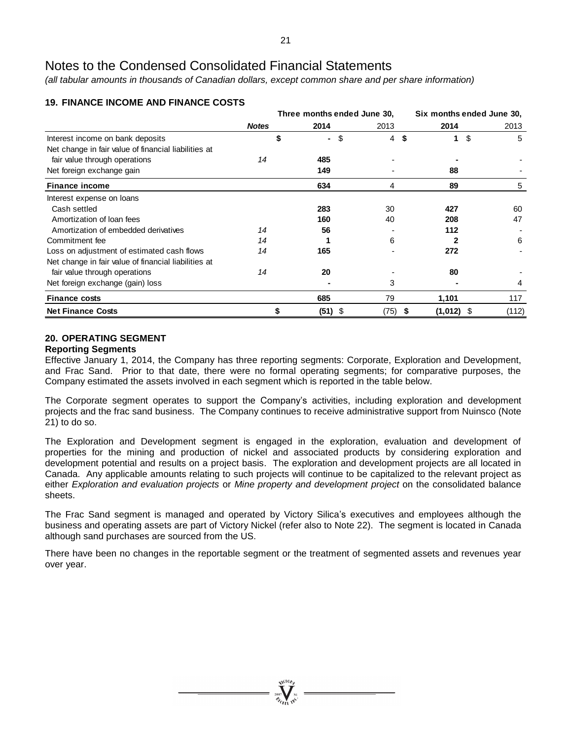*(all tabular amounts in thousands of Canadian dollars, except common share and per share information)*

|                                                      |              | Three months ended June 30. |         |         |     | Six months ended June 30, |         |
|------------------------------------------------------|--------------|-----------------------------|---------|---------|-----|---------------------------|---------|
|                                                      | <b>Notes</b> |                             | 2014    | 2013    |     | 2014                      | 2013    |
| Interest income on bank deposits                     |              |                             | ٠.      | \$<br>4 | -\$ | 1                         | \$<br>5 |
| Net change in fair value of financial liabilities at |              |                             |         |         |     |                           |         |
| fair value through operations                        | 14           |                             | 485     |         |     |                           |         |
| Net foreign exchange gain                            |              |                             | 149     |         |     | 88                        |         |
| <b>Finance income</b>                                |              |                             | 634     | 4       |     | 89                        | 5       |
| Interest expense on loans                            |              |                             |         |         |     |                           |         |
| Cash settled                                         |              |                             | 283     | 30      |     | 427                       | 60      |
| Amortization of loan fees                            |              |                             | 160     | 40      |     | 208                       | 47      |
| Amortization of embedded derivatives                 | 14           |                             | 56      |         |     | 112                       |         |
| Commitment fee                                       | 14           |                             |         | 6       |     |                           | 6       |
| Loss on adjustment of estimated cash flows           | 14           |                             | 165     |         |     | 272                       |         |
| Net change in fair value of financial liabilities at |              |                             |         |         |     |                           |         |
| fair value through operations                        | 14           |                             | 20      |         |     | 80                        |         |
| Net foreign exchange (gain) loss                     |              |                             |         | 3       |     |                           | 4       |
| <b>Finance costs</b>                                 |              |                             | 685     | 79      |     | 1,101                     | 117     |
| <b>Net Finance Costs</b>                             |              |                             | (51) \$ | (75) \$ |     | (1,012) \$                | (112)   |

# **19. FINANCE INCOME AND FINANCE COSTS**

# **20. OPERATING SEGMENT**

# **Reporting Segments**

Effective January 1, 2014, the Company has three reporting segments: Corporate, Exploration and Development, and Frac Sand. Prior to that date, there were no formal operating segments; for comparative purposes, the Company estimated the assets involved in each segment which is reported in the table below.

The Corporate segment operates to support the Company's activities, including exploration and development projects and the frac sand business. The Company continues to receive administrative support from Nuinsco (Note 21) to do so.

The Exploration and Development segment is engaged in the exploration, evaluation and development of properties for the mining and production of nickel and associated products by considering exploration and development potential and results on a project basis. The exploration and development projects are all located in Canada. Any applicable amounts relating to such projects will continue to be capitalized to the relevant project as either *Exploration and evaluation projects* or *Mine property and development project* on the consolidated balance sheets.

The Frac Sand segment is managed and operated by Victory Silica's executives and employees although the business and operating assets are part of Victory Nickel (refer also to Note 22). The segment is located in Canada although sand purchases are sourced from the US.

There have been no changes in the reportable segment or the treatment of segmented assets and revenues year over year.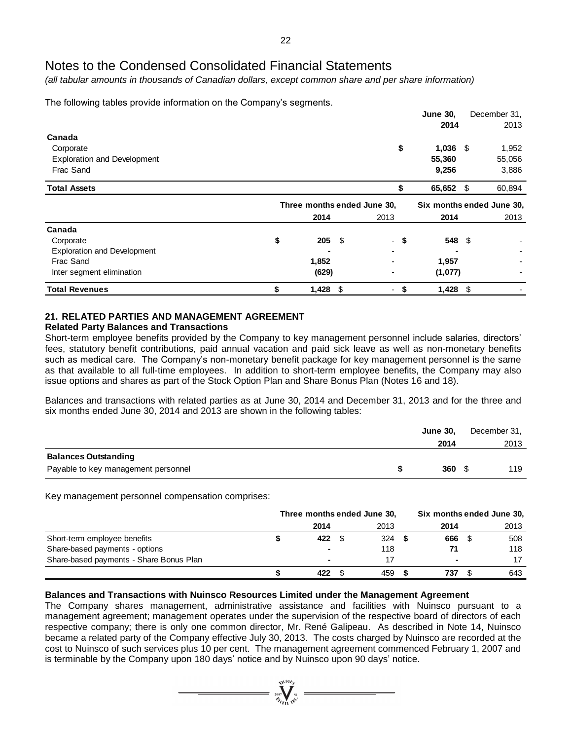*(all tabular amounts in thousands of Canadian dollars, except common share and per share information)*

The following tables provide information on the Company's segments.

|                                    |                             |      |         | <b>June 30,</b> |      | December 31,              |  |
|------------------------------------|-----------------------------|------|---------|-----------------|------|---------------------------|--|
|                                    |                             |      |         | 2014            |      | 2013                      |  |
| Canada                             |                             |      |         |                 |      |                           |  |
| Corporate                          |                             |      | \$      | 1,036           | - \$ | 1,952                     |  |
| <b>Exploration and Development</b> |                             |      |         | 55,360          |      | 55,056                    |  |
| Frac Sand                          |                             |      |         | 9,256           |      | 3,886                     |  |
| <b>Total Assets</b>                |                             |      |         | 65,652          | \$   | 60,894                    |  |
|                                    | Three months ended June 30, |      |         |                 |      | Six months ended June 30, |  |
|                                    | 2014                        |      | 2013    | 2014            |      | 2013                      |  |
| Canada                             |                             |      |         |                 |      |                           |  |
| Corporate                          | \$<br>205                   | - \$ | - \$    | 548 \$          |      |                           |  |
| <b>Exploration and Development</b> |                             |      |         |                 |      |                           |  |
| Frac Sand                          | 1,852                       |      |         | 1,957           |      |                           |  |
| Inter segment elimination          | (629)                       |      |         | (1,077)         |      |                           |  |
| <b>Total Revenues</b>              | \$<br>$1,428$ \$            |      | \$<br>۰ | $1,428$ \$      |      |                           |  |

# **21. RELATED PARTIES AND MANAGEMENT AGREEMENT**

# **Related Party Balances and Transactions**

Short-term employee benefits provided by the Company to key management personnel include salaries, directors' fees, statutory benefit contributions, paid annual vacation and paid sick leave as well as non-monetary benefits such as medical care. The Company's non-monetary benefit package for key management personnel is the same as that available to all full-time employees. In addition to short-term employee benefits, the Company may also issue options and shares as part of the Stock Option Plan and Share Bonus Plan (Notes 16 and 18).

Balances and transactions with related parties as at June 30, 2014 and December 31, 2013 and for the three and six months ended June 30, 2014 and 2013 are shown in the following tables:

|                                     | <b>June 30,</b> | December 31, |
|-------------------------------------|-----------------|--------------|
|                                     | 2014            | 2013         |
| <b>Balances Outstanding</b>         |                 |              |
| Payable to key management personnel | 360             | 119          |

Key management personnel compensation comprises:

|                                         | Three months ended June 30, | Six months ended June 30, |      |  |      |  |
|-----------------------------------------|-----------------------------|---------------------------|------|--|------|--|
|                                         | 2014                        | 2013                      | 2014 |  | 2013 |  |
| Short-term employee benefits            | 422                         | 324                       | 666  |  | 508  |  |
| Share-based payments - options          |                             | 118                       |      |  | 118  |  |
| Share-based payments - Share Bonus Plan |                             |                           |      |  | 17   |  |
|                                         | 422                         | 459                       | 737  |  | 643  |  |

# **Balances and Transactions with Nuinsco Resources Limited under the Management Agreement**

The Company shares management, administrative assistance and facilities with Nuinsco pursuant to a management agreement; management operates under the supervision of the respective board of directors of each respective company; there is only one common director, Mr. René Galipeau. As described in Note 14, Nuinsco became a related party of the Company effective July 30, 2013. The costs charged by Nuinsco are recorded at the cost to Nuinsco of such services plus 10 per cent. The management agreement commenced February 1, 2007 and is terminable by the Company upon 180 days' notice and by Nuinsco upon 90 days' notice.

 $= \sum_{i=1}^{N^{(10)}h}$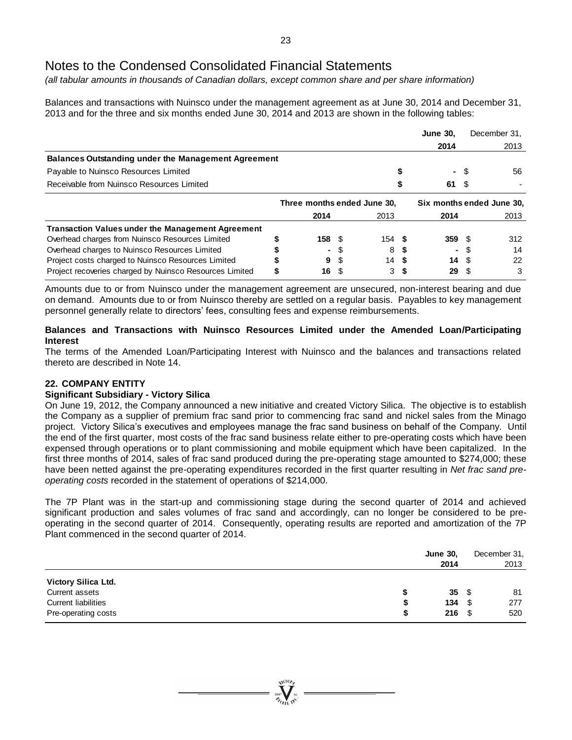*(all tabular amounts in thousands of Canadian dollars, except common share and per share information)*

Balances and transactions with Nuinsco under the management agreement as at June 30, 2014 and December 31, 2013 and for the three and six months ended June 30, 2014 and 2013 are shown in the following tables:

|                                                            |   |                             |      |                   |  | <b>June 30,</b>           |      | December 31, |
|------------------------------------------------------------|---|-----------------------------|------|-------------------|--|---------------------------|------|--------------|
|                                                            |   |                             |      |                   |  | 2014                      |      | 2013         |
| <b>Balances Outstanding under the Management Agreement</b> |   |                             |      |                   |  |                           |      |              |
| Payable to Nuinsco Resources Limited                       |   |                             |      |                   |  | $\blacksquare$            | - \$ | 56           |
| Receivable from Nuinsco Resources Limited                  |   |                             |      |                   |  | 61                        | - \$ |              |
|                                                            |   | Three months ended June 30, |      |                   |  | Six months ended June 30, |      |              |
|                                                            |   | 2014                        |      | 2013              |  | 2014                      |      | 2013         |
| <b>Transaction Values under the Management Agreement</b>   |   |                             |      |                   |  |                           |      |              |
| Overhead charges from Nuinsco Resources Limited            |   | 158 <sup>°</sup>            |      | 154 $\frac{1}{2}$ |  | $359$ \$                  |      | 312          |
| Overhead charges to Nuinsco Resources Limited              |   | ٠                           |      | 8                 |  | ٠                         |      | 14           |
| Project costs charged to Nuinsco Resources Limited         |   | 9                           | S    | 14S               |  |                           | 14S  | 22           |
| Project recoveries charged by Nuinsco Resources Limited    | S | 16                          | - \$ | 3                 |  | 29                        |      | 3            |

Amounts due to or from Nuinsco under the management agreement are unsecured, non-interest bearing and due on demand. Amounts due to or from Nuinsco thereby are settled on a regular basis. Payables to key management personnel generally relate to directors' fees, consulting fees and expense reimbursements.

# **Balances and Transactions with Nuinsco Resources Limited under the Amended Loan/Participating Interest**

The terms of the Amended Loan/Participating Interest with Nuinsco and the balances and transactions related thereto are described in Note 14.

# **22. COMPANY ENTITY**

# **Significant Subsidiary - Victory Silica**

On June 19, 2012, the Company announced a new initiative and created Victory Silica. The objective is to establish the Company as a supplier of premium frac sand prior to commencing frac sand and nickel sales from the Minago project. Victory Silica's executives and employees manage the frac sand business on behalf of the Company. Until the end of the first quarter, most costs of the frac sand business relate either to pre-operating costs which have been expensed through operations or to plant commissioning and mobile equipment which have been capitalized. In the first three months of 2014, sales of frac sand produced during the pre-operating stage amounted to \$274,000; these have been netted against the pre-operating expenditures recorded in the first quarter resulting in *Net frac sand preoperating costs* recorded in the statement of operations of \$214,000.

The 7P Plant was in the start-up and commissioning stage during the second quarter of 2014 and achieved significant production and sales volumes of frac sand and accordingly, can no longer be considered to be preoperating in the second quarter of 2014. Consequently, operating results are reported and amortization of the 7P Plant commenced in the second quarter of 2014.

|                            | <b>June 30,</b> |                | December 31, |
|----------------------------|-----------------|----------------|--------------|
|                            | 2014            |                | 2013         |
| <b>Victory Silica Ltd.</b> |                 |                |              |
| Current assets             |                 | $35 \quad$     | 81           |
| <b>Current liabilities</b> | S               | $134 \quad$ \$ | 277          |
| Pre-operating costs        | S               | $216 \t$$      | 520          |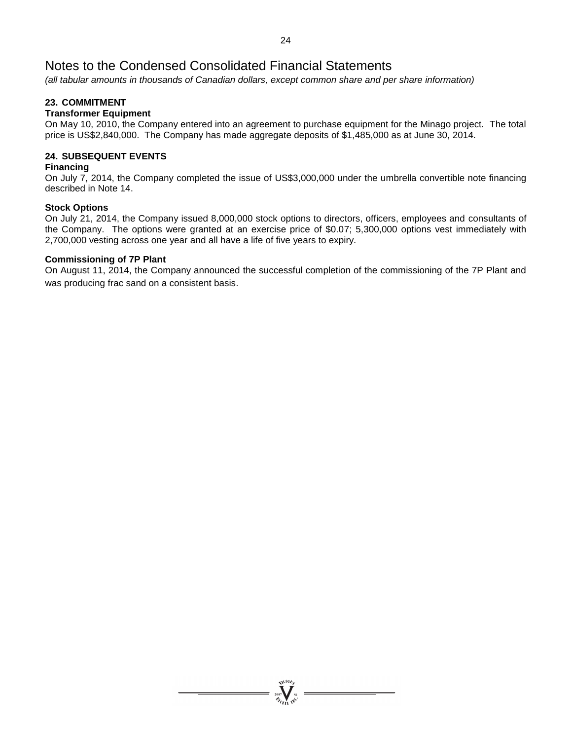*(all tabular amounts in thousands of Canadian dollars, except common share and per share information)*

# **23. COMMITMENT**

# **Transformer Equipment**

On May 10, 2010, the Company entered into an agreement to purchase equipment for the Minago project. The total price is US\$2,840,000. The Company has made aggregate deposits of \$1,485,000 as at June 30, 2014.

# **24. SUBSEQUENT EVENTS**

# **Financing**

On July 7, 2014, the Company completed the issue of US\$3,000,000 under the umbrella convertible note financing described in Note 14.

# **Stock Options**

On July 21, 2014, the Company issued 8,000,000 stock options to directors, officers, employees and consultants of the Company. The options were granted at an exercise price of \$0.07; 5,300,000 options vest immediately with 2,700,000 vesting across one year and all have a life of five years to expiry.

# **Commissioning of 7P Plant**

On August 11, 2014, the Company announced the successful completion of the commissioning of the 7P Plant and was producing frac sand on a consistent basis.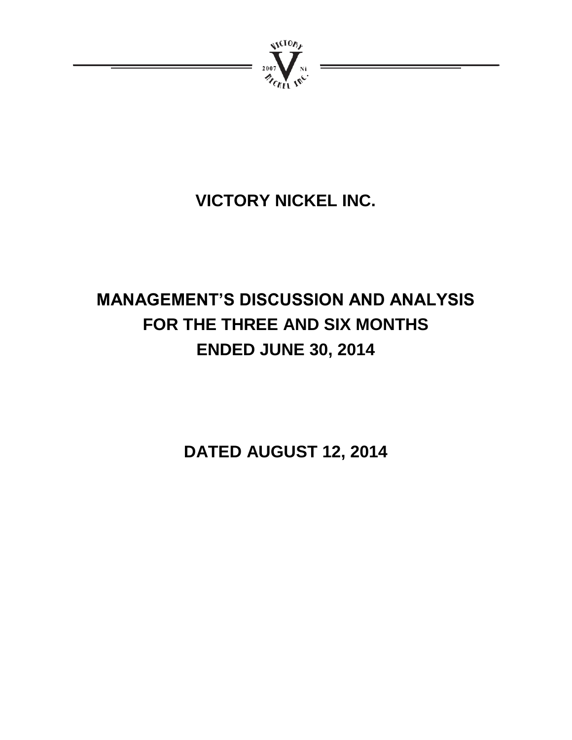

# **VICTORY NICKEL INC.**

# **MANAGEMENT'S DISCUSSION AND ANALYSIS FOR THE THREE AND SIX MONTHS ENDED JUNE 30, 2014**

**DATED AUGUST 12, 2014**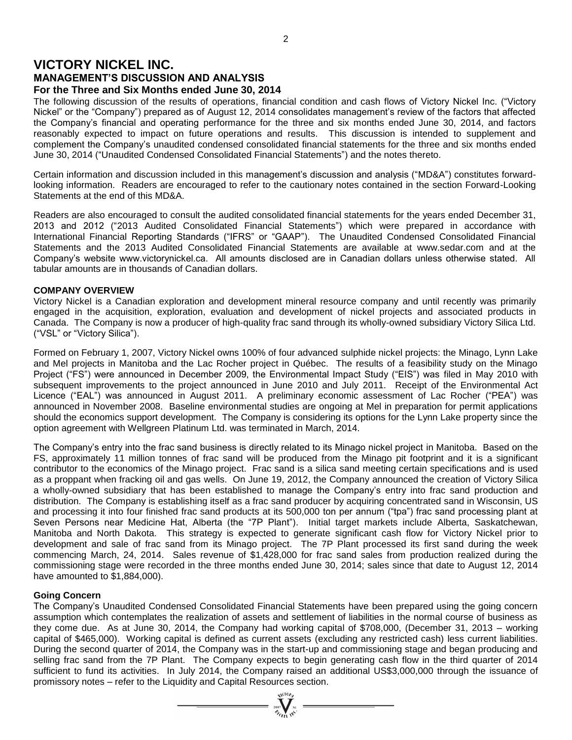# **VICTORY NICKEL INC. MANAGEMENT'S DISCUSSION AND ANALYSIS For the Three and Six Months ended June 30, 2014**

The following discussion of the results of operations, financial condition and cash flows of Victory Nickel Inc. ("Victory Nickel" or the "Company") prepared as of August 12, 2014 consolidates management's review of the factors that affected the Company's financial and operating performance for the three and six months ended June 30, 2014, and factors reasonably expected to impact on future operations and results. This discussion is intended to supplement and complement the Company's unaudited condensed consolidated financial statements for the three and six months ended June 30, 2014 ("Unaudited Condensed Consolidated Financial Statements") and the notes thereto.

Certain information and discussion included in this management's discussion and analysis ("MD&A") constitutes forwardlooking information. Readers are encouraged to refer to the cautionary notes contained in the section Forward-Looking Statements at the end of this MD&A.

Readers are also encouraged to consult the audited consolidated financial statements for the years ended December 31, 2013 and 2012 ("2013 Audited Consolidated Financial Statements") which were prepared in accordance with International Financial Reporting Standards ("IFRS" or "GAAP"). The Unaudited Condensed Consolidated Financial Statements and the 2013 Audited Consolidated Financial Statements are available at www.sedar.com and at the Company's website www.victorynickel.ca. All amounts disclosed are in Canadian dollars unless otherwise stated. All tabular amounts are in thousands of Canadian dollars.

# **COMPANY OVERVIEW**

Victory Nickel is a Canadian exploration and development mineral resource company and until recently was primarily engaged in the acquisition, exploration, evaluation and development of nickel projects and associated products in Canada. The Company is now a producer of high-quality frac sand through its wholly-owned subsidiary Victory Silica Ltd. ("VSL" or "Victory Silica").

Formed on February 1, 2007, Victory Nickel owns 100% of four advanced sulphide nickel projects: the Minago, Lynn Lake and Mel projects in Manitoba and the Lac Rocher project in Québec. The results of a feasibility study on the Minago Project ("FS") were announced in December 2009, the Environmental Impact Study ("EIS") was filed in May 2010 with subsequent improvements to the project announced in June 2010 and July 2011. Receipt of the Environmental Act Licence ("EAL") was announced in August 2011. A preliminary economic assessment of Lac Rocher ("PEA") was announced in November 2008. Baseline environmental studies are ongoing at Mel in preparation for permit applications should the economics support development. The Company is considering its options for the Lynn Lake property since the option agreement with Wellgreen Platinum Ltd. was terminated in March, 2014.

The Company's entry into the frac sand business is directly related to its Minago nickel project in Manitoba. Based on the FS, approximately 11 million tonnes of frac sand will be produced from the Minago pit footprint and it is a significant contributor to the economics of the Minago project. Frac sand is a silica sand meeting certain specifications and is used as a proppant when fracking oil and gas wells. On June 19, 2012, the Company announced the creation of Victory Silica a wholly-owned subsidiary that has been established to manage the Company's entry into frac sand production and distribution. The Company is establishing itself as a frac sand producer by acquiring concentrated sand in Wisconsin, US and processing it into four finished frac sand products at its 500,000 ton per annum ("tpa") frac sand processing plant at Seven Persons near Medicine Hat, Alberta (the "7P Plant"). Initial target markets include Alberta, Saskatchewan, Manitoba and North Dakota. This strategy is expected to generate significant cash flow for Victory Nickel prior to development and sale of frac sand from its Minago project. The 7P Plant processed its first sand during the week commencing March, 24, 2014. Sales revenue of \$1,428,000 for frac sand sales from production realized during the commissioning stage were recorded in the three months ended June 30, 2014; sales since that date to August 12, 2014 have amounted to \$1,884,000).

# **Going Concern**

The Company's Unaudited Condensed Consolidated Financial Statements have been prepared using the going concern assumption which contemplates the realization of assets and settlement of liabilities in the normal course of business as they come due. As at June 30, 2014, the Company had working capital of \$708,000, (December 31, 2013 – working capital of \$465,000). Working capital is defined as current assets (excluding any restricted cash) less current liabilities. During the second quarter of 2014, the Company was in the start-up and commissioning stage and began producing and selling frac sand from the 7P Plant. The Company expects to begin generating cash flow in the third quarter of 2014 sufficient to fund its activities. In July 2014, the Company raised an additional US\$3,000,000 through the issuance of promissory notes – refer to the Liquidity and Capital Resources section.

 $\sum_{\substack{2007\\ \mathcal{H}_{\ell_{\ell_{\ell+1}}}}\infty}^{\mathcal{H}^{(10\ell)_{\ell}}}=$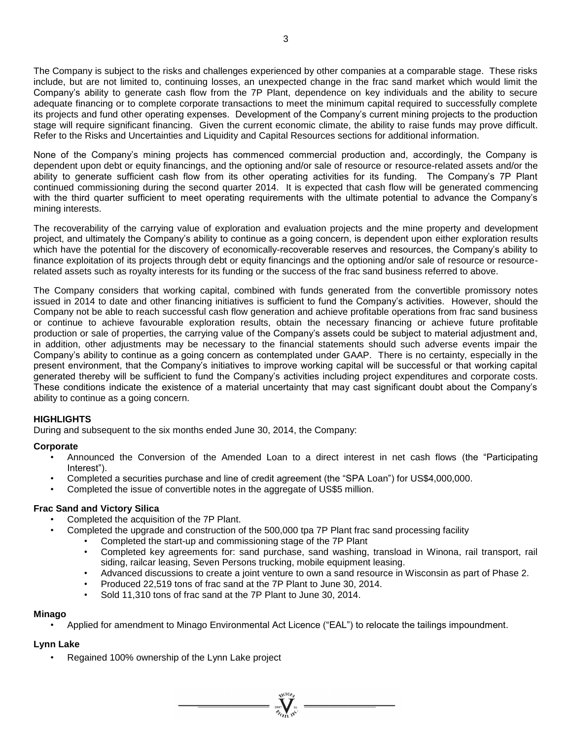The Company is subject to the risks and challenges experienced by other companies at a comparable stage. These risks include, but are not limited to, continuing losses, an unexpected change in the frac sand market which would limit the Company's ability to generate cash flow from the 7P Plant, dependence on key individuals and the ability to secure adequate financing or to complete corporate transactions to meet the minimum capital required to successfully complete its projects and fund other operating expenses. Development of the Company's current mining projects to the production stage will require significant financing. Given the current economic climate, the ability to raise funds may prove difficult. Refer to the Risks and Uncertainties and Liquidity and Capital Resources sections for additional information.

None of the Company's mining projects has commenced commercial production and, accordingly, the Company is dependent upon debt or equity financings, and the optioning and/or sale of resource or resource-related assets and/or the ability to generate sufficient cash flow from its other operating activities for its funding. The Company's 7P Plant continued commissioning during the second quarter 2014. It is expected that cash flow will be generated commencing with the third quarter sufficient to meet operating requirements with the ultimate potential to advance the Company's mining interests.

The recoverability of the carrying value of exploration and evaluation projects and the mine property and development project, and ultimately the Company's ability to continue as a going concern, is dependent upon either exploration results which have the potential for the discovery of economically-recoverable reserves and resources, the Company's ability to finance exploitation of its projects through debt or equity financings and the optioning and/or sale of resource or resourcerelated assets such as royalty interests for its funding or the success of the frac sand business referred to above.

The Company considers that working capital, combined with funds generated from the convertible promissory notes issued in 2014 to date and other financing initiatives is sufficient to fund the Company's activities. However, should the Company not be able to reach successful cash flow generation and achieve profitable operations from frac sand business or continue to achieve favourable exploration results, obtain the necessary financing or achieve future profitable production or sale of properties, the carrying value of the Company's assets could be subject to material adjustment and, in addition, other adjustments may be necessary to the financial statements should such adverse events impair the Company's ability to continue as a going concern as contemplated under GAAP. There is no certainty, especially in the present environment, that the Company's initiatives to improve working capital will be successful or that working capital generated thereby will be sufficient to fund the Company's activities including project expenditures and corporate costs. These conditions indicate the existence of a material uncertainty that may cast significant doubt about the Company's ability to continue as a going concern.

# **HIGHLIGHTS**

During and subsequent to the six months ended June 30, 2014, the Company:

# **Corporate**

- Announced the Conversion of the Amended Loan to a direct interest in net cash flows (the "Participating Interest").
- Completed a securities purchase and line of credit agreement (the "SPA Loan") for US\$4,000,000.
- Completed the issue of convertible notes in the aggregate of US\$5 million.

# **Frac Sand and Victory Silica**

- Completed the acquisition of the 7P Plant.
	- Completed the upgrade and construction of the 500,000 tpa 7P Plant frac sand processing facility
		- Completed the start-up and commissioning stage of the 7P Plant
		- Completed key agreements for: sand purchase, sand washing, transload in Winona, rail transport, rail siding, railcar leasing, Seven Persons trucking, mobile equipment leasing.
		- Advanced discussions to create a joint venture to own a sand resource in Wisconsin as part of Phase 2.
		- Produced 22,519 tons of frac sand at the 7P Plant to June 30, 2014.
		- Sold 11,310 tons of frac sand at the 7P Plant to June 30, 2014.

# **Minago**

• Applied for amendment to Minago Environmental Act Licence ("EAL") to relocate the tailings impoundment.

# **Lynn Lake**

• Regained 100% ownership of the Lynn Lake project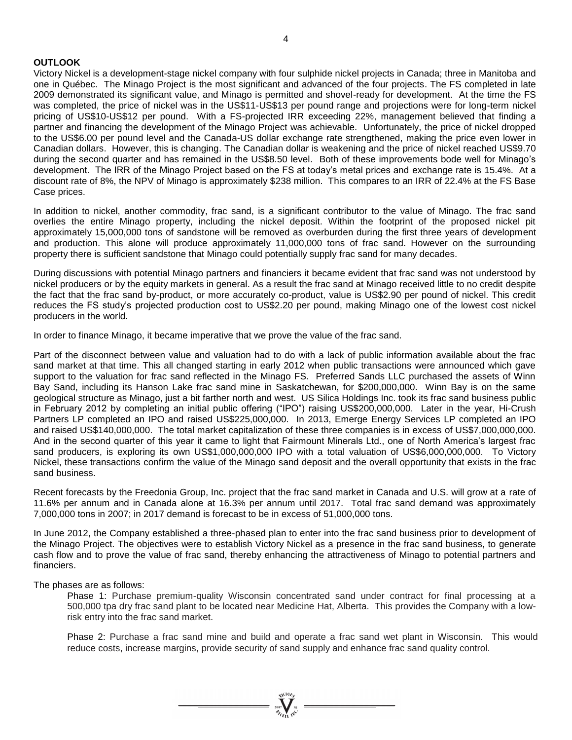# **OUTLOOK**

Victory Nickel is a development-stage nickel company with four sulphide nickel projects in Canada; three in Manitoba and one in Québec. The Minago Project is the most significant and advanced of the four projects. The FS completed in late 2009 demonstrated its significant value, and Minago is permitted and shovel-ready for development. At the time the FS was completed, the price of nickel was in the US\$11-US\$13 per pound range and projections were for long-term nickel pricing of US\$10-US\$12 per pound. With a FS-projected IRR exceeding 22%, management believed that finding a partner and financing the development of the Minago Project was achievable. Unfortunately, the price of nickel dropped to the US\$6.00 per pound level and the Canada-US dollar exchange rate strengthened, making the price even lower in Canadian dollars. However, this is changing. The Canadian dollar is weakening and the price of nickel reached US\$9.70 during the second quarter and has remained in the US\$8.50 level. Both of these improvements bode well for Minago's development. The IRR of the Minago Project based on the FS at today's metal prices and exchange rate is 15.4%. At a discount rate of 8%, the NPV of Minago is approximately \$238 million. This compares to an IRR of 22.4% at the FS Base Case prices.

In addition to nickel, another commodity, frac sand, is a significant contributor to the value of Minago. The frac sand overlies the entire Minago property, including the nickel deposit. Within the footprint of the proposed nickel pit approximately 15,000,000 tons of sandstone will be removed as overburden during the first three years of development and production. This alone will produce approximately 11,000,000 tons of frac sand. However on the surrounding property there is sufficient sandstone that Minago could potentially supply frac sand for many decades.

During discussions with potential Minago partners and financiers it became evident that frac sand was not understood by nickel producers or by the equity markets in general. As a result the frac sand at Minago received little to no credit despite the fact that the frac sand by-product, or more accurately co-product, value is US\$2.90 per pound of nickel. This credit reduces the FS study's projected production cost to US\$2.20 per pound, making Minago one of the lowest cost nickel producers in the world.

In order to finance Minago, it became imperative that we prove the value of the frac sand.

Part of the disconnect between value and valuation had to do with a lack of public information available about the frac sand market at that time. This all changed starting in early 2012 when public transactions were announced which gave support to the valuation for frac sand reflected in the Minago FS. Preferred Sands LLC purchased the assets of Winn Bay Sand, including its Hanson Lake frac sand mine in Saskatchewan, for \$200,000,000. Winn Bay is on the same geological structure as Minago, just a bit farther north and west. US Silica Holdings Inc. took its frac sand business public in February 2012 by completing an initial public offering ("IPO") raising US\$200,000,000. Later in the year, Hi-Crush Partners LP completed an IPO and raised US\$225,000,000. In 2013, Emerge Energy Services LP completed an IPO and raised US\$140,000,000. The total market capitalization of these three companies is in excess of US\$7,000,000,000. And in the second quarter of this year it came to light that Fairmount Minerals Ltd., one of North America's largest frac sand producers, is exploring its own US\$1,000,000,000 IPO with a total valuation of US\$6,000,000,000. To Victory Nickel, these transactions confirm the value of the Minago sand deposit and the overall opportunity that exists in the frac sand business.

Recent forecasts by the Freedonia Group, Inc. project that the frac sand market in Canada and U.S. will grow at a rate of 11.6% per annum and in Canada alone at 16.3% per annum until 2017. Total frac sand demand was approximately 7,000,000 tons in 2007; in 2017 demand is forecast to be in excess of 51,000,000 tons.

In June 2012, the Company established a three-phased plan to enter into the frac sand business prior to development of the Minago Project. The objectives were to establish Victory Nickel as a presence in the frac sand business, to generate cash flow and to prove the value of frac sand, thereby enhancing the attractiveness of Minago to potential partners and financiers.

The phases are as follows:

Phase 1: Purchase premium-quality Wisconsin concentrated sand under contract for final processing at a 500,000 tpa dry frac sand plant to be located near Medicine Hat, Alberta. This provides the Company with a lowrisk entry into the frac sand market.

Phase 2: Purchase a frac sand mine and build and operate a frac sand wet plant in Wisconsin. This would reduce costs, increase margins, provide security of sand supply and enhance frac sand quality control.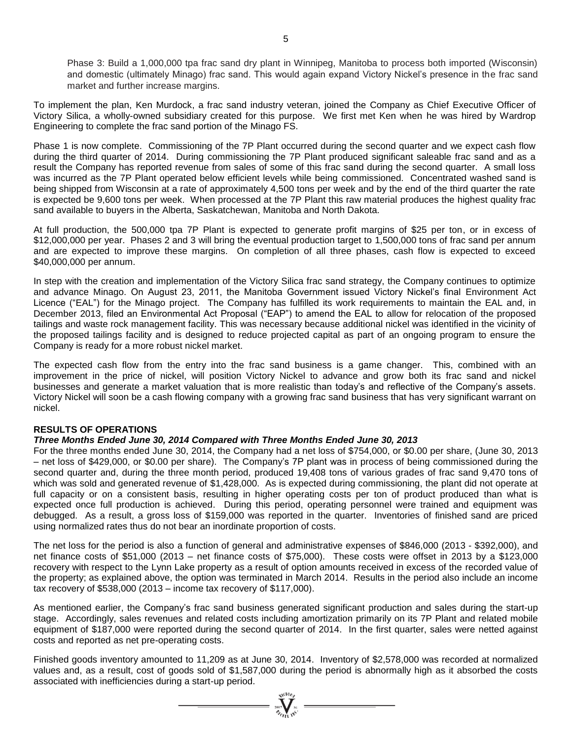Phase 3: Build a 1,000,000 tpa frac sand dry plant in Winnipeg, Manitoba to process both imported (Wisconsin) and domestic (ultimately Minago) frac sand. This would again expand Victory Nickel's presence in the frac sand market and further increase margins.

To implement the plan, Ken Murdock, a frac sand industry veteran, joined the Company as Chief Executive Officer of Victory Silica, a wholly-owned subsidiary created for this purpose. We first met Ken when he was hired by Wardrop Engineering to complete the frac sand portion of the Minago FS.

Phase 1 is now complete. Commissioning of the 7P Plant occurred during the second quarter and we expect cash flow during the third quarter of 2014. During commissioning the 7P Plant produced significant saleable frac sand and as a result the Company has reported revenue from sales of some of this frac sand during the second quarter. A small loss was incurred as the 7P Plant operated below efficient levels while being commissioned. Concentrated washed sand is being shipped from Wisconsin at a rate of approximately 4,500 tons per week and by the end of the third quarter the rate is expected be 9,600 tons per week. When processed at the 7P Plant this raw material produces the highest quality frac sand available to buyers in the Alberta, Saskatchewan, Manitoba and North Dakota.

At full production, the 500,000 tpa 7P Plant is expected to generate profit margins of \$25 per ton, or in excess of \$12,000,000 per year. Phases 2 and 3 will bring the eventual production target to 1,500,000 tons of frac sand per annum and are expected to improve these margins. On completion of all three phases, cash flow is expected to exceed \$40,000,000 per annum.

In step with the creation and implementation of the Victory Silica frac sand strategy, the Company continues to optimize and advance Minago. On August 23, 2011, the Manitoba Government issued Victory Nickel's final Environment Act Licence ("EAL") for the Minago project. The Company has fulfilled its work requirements to maintain the EAL and, in December 2013, filed an Environmental Act Proposal ("EAP") to amend the EAL to allow for relocation of the proposed tailings and waste rock management facility. This was necessary because additional nickel was identified in the vicinity of the proposed tailings facility and is designed to reduce projected capital as part of an ongoing program to ensure the Company is ready for a more robust nickel market.

The expected cash flow from the entry into the frac sand business is a game changer. This, combined with an improvement in the price of nickel, will position Victory Nickel to advance and grow both its frac sand and nickel businesses and generate a market valuation that is more realistic than today's and reflective of the Company's assets. Victory Nickel will soon be a cash flowing company with a growing frac sand business that has very significant warrant on nickel.

# **RESULTS OF OPERATIONS**

#### *Three Months Ended June 30, 2014 Compared with Three Months Ended June 30, 2013*

For the three months ended June 30, 2014, the Company had a net loss of \$754,000, or \$0.00 per share, (June 30, 2013 – net loss of \$429,000, or \$0.00 per share). The Company's 7P plant was in process of being commissioned during the second quarter and, during the three month period, produced 19,408 tons of various grades of frac sand 9,470 tons of which was sold and generated revenue of \$1,428,000. As is expected during commissioning, the plant did not operate at full capacity or on a consistent basis, resulting in higher operating costs per ton of product produced than what is expected once full production is achieved. During this period, operating personnel were trained and equipment was debugged. As a result, a gross loss of \$159,000 was reported in the quarter. Inventories of finished sand are priced using normalized rates thus do not bear an inordinate proportion of costs.

The net loss for the period is also a function of general and administrative expenses of \$846,000 (2013 - \$392,000), and net finance costs of \$51,000 (2013 – net finance costs of \$75,000). These costs were offset in 2013 by a \$123,000 recovery with respect to the Lynn Lake property as a result of option amounts received in excess of the recorded value of the property; as explained above, the option was terminated in March 2014. Results in the period also include an income tax recovery of \$538,000 (2013 – income tax recovery of \$117,000).

As mentioned earlier, the Company's frac sand business generated significant production and sales during the start-up stage. Accordingly, sales revenues and related costs including amortization primarily on its 7P Plant and related mobile equipment of \$187,000 were reported during the second quarter of 2014. In the first quarter, sales were netted against costs and reported as net pre-operating costs.

Finished goods inventory amounted to 11,209 as at June 30, 2014. Inventory of \$2,578,000 was recorded at normalized values and, as a result, cost of goods sold of \$1,587,000 during the period is abnormally high as it absorbed the costs associated with inefficiencies during a start-up period.

 $\sum_{\substack{\text{2007} \ \text{N} \text{C10}}{n}} \sum_{\substack{\text{N} \text{C1}}} \dots$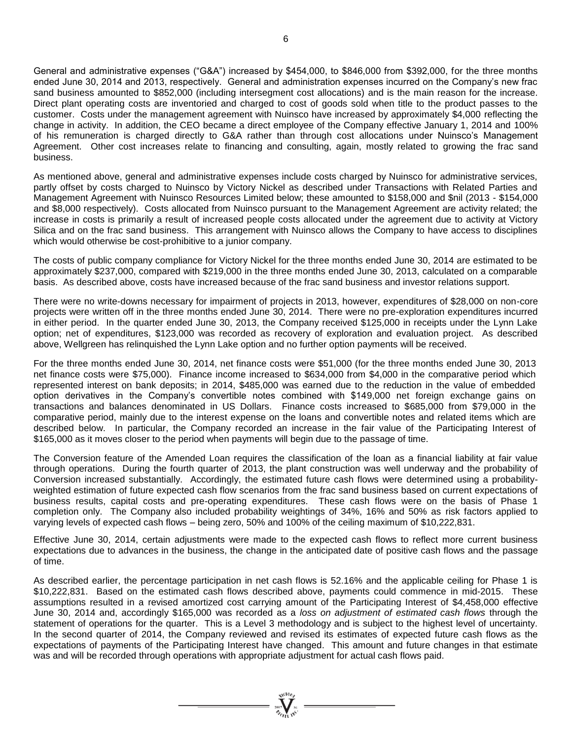General and administrative expenses ("G&A") increased by \$454,000, to \$846,000 from \$392,000, for the three months ended June 30, 2014 and 2013, respectively. General and administration expenses incurred on the Company's new frac sand business amounted to \$852,000 (including intersegment cost allocations) and is the main reason for the increase. Direct plant operating costs are inventoried and charged to cost of goods sold when title to the product passes to the customer. Costs under the management agreement with Nuinsco have increased by approximately \$4,000 reflecting the change in activity. In addition, the CEO became a direct employee of the Company effective January 1, 2014 and 100% of his remuneration is charged directly to G&A rather than through cost allocations under Nuinsco's Management Agreement. Other cost increases relate to financing and consulting, again, mostly related to growing the frac sand business.

As mentioned above, general and administrative expenses include costs charged by Nuinsco for administrative services, partly offset by costs charged to Nuinsco by Victory Nickel as described under Transactions with Related Parties and Management Agreement with Nuinsco Resources Limited below; these amounted to \$158,000 and \$nil (2013 - \$154,000 and \$8,000 respectively). Costs allocated from Nuinsco pursuant to the Management Agreement are activity related; the increase in costs is primarily a result of increased people costs allocated under the agreement due to activity at Victory Silica and on the frac sand business. This arrangement with Nuinsco allows the Company to have access to disciplines which would otherwise be cost-prohibitive to a junior company.

The costs of public company compliance for Victory Nickel for the three months ended June 30, 2014 are estimated to be approximately \$237,000, compared with \$219,000 in the three months ended June 30, 2013, calculated on a comparable basis. As described above, costs have increased because of the frac sand business and investor relations support.

There were no write-downs necessary for impairment of projects in 2013, however, expenditures of \$28,000 on non-core projects were written off in the three months ended June 30, 2014. There were no pre-exploration expenditures incurred in either period. In the quarter ended June 30, 2013, the Company received \$125,000 in receipts under the Lynn Lake option; net of expenditures, \$123,000 was recorded as recovery of exploration and evaluation project. As described above, Wellgreen has relinquished the Lynn Lake option and no further option payments will be received.

For the three months ended June 30, 2014, net finance costs were \$51,000 (for the three months ended June 30, 2013 net finance costs were \$75,000). Finance income increased to \$634,000 from \$4,000 in the comparative period which represented interest on bank deposits; in 2014, \$485,000 was earned due to the reduction in the value of embedded option derivatives in the Company's convertible notes combined with \$149,000 net foreign exchange gains on transactions and balances denominated in US Dollars. Finance costs increased to \$685,000 from \$79,000 in the comparative period, mainly due to the interest expense on the loans and convertible notes and related items which are described below. In particular, the Company recorded an increase in the fair value of the Participating Interest of \$165,000 as it moves closer to the period when payments will begin due to the passage of time.

The Conversion feature of the Amended Loan requires the classification of the loan as a financial liability at fair value through operations. During the fourth quarter of 2013, the plant construction was well underway and the probability of Conversion increased substantially. Accordingly, the estimated future cash flows were determined using a probabilityweighted estimation of future expected cash flow scenarios from the frac sand business based on current expectations of business results, capital costs and pre-operating expenditures. These cash flows were on the basis of Phase 1 completion only. The Company also included probability weightings of 34%, 16% and 50% as risk factors applied to varying levels of expected cash flows – being zero, 50% and 100% of the ceiling maximum of \$10,222,831.

Effective June 30, 2014, certain adjustments were made to the expected cash flows to reflect more current business expectations due to advances in the business, the change in the anticipated date of positive cash flows and the passage of time.

As described earlier, the percentage participation in net cash flows is 52.16% and the applicable ceiling for Phase 1 is \$10,222,831. Based on the estimated cash flows described above, payments could commence in mid-2015. These assumptions resulted in a revised amortized cost carrying amount of the Participating Interest of \$4,458,000 effective June 30, 2014 and, accordingly \$165,000 was recorded as a *loss on adjustment of estimated cash flows* through the statement of operations for the quarter. This is a Level 3 methodology and is subject to the highest level of uncertainty. In the second quarter of 2014, the Company reviewed and revised its estimates of expected future cash flows as the expectations of payments of the Participating Interest have changed. This amount and future changes in that estimate was and will be recorded through operations with appropriate adjustment for actual cash flows paid.

 $\sum_{\substack{2007\\ \text{at }\\ \text{at }\\ \text{at }\\ \text{at }\\ \text{at }\\ \text{at }\\ \text{at }\\ \text{at }\\ \text{at }\\ \text{at }\\ \text{at }\\ \text{at }\\ \text{at }\\ \text{at }\\ \text{at }\\ \text{at }\\ \text{at }\\ \text{at }\\ \text{at }\\ \text{at }\\ \text{at }\\ \text{at }\\ \text{at }\\ \text{at }\\ \text{at }\\ \text{at }\\ \text{at }\\ \text{at }\\ \text{at }\\ \text{at }\\ \text{at }\\ \text{at }\\ \text{at }\\ \text{at }\\ \text{at$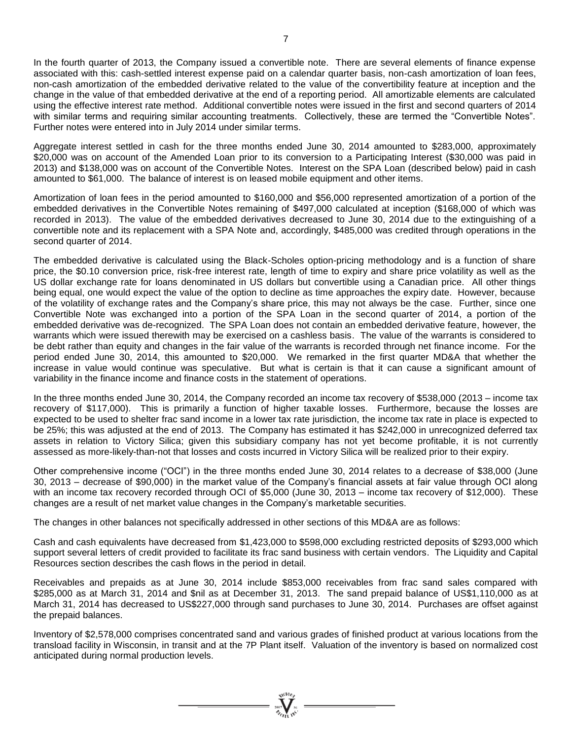In the fourth quarter of 2013, the Company issued a convertible note. There are several elements of finance expense associated with this: cash-settled interest expense paid on a calendar quarter basis, non-cash amortization of loan fees, non-cash amortization of the embedded derivative related to the value of the convertibility feature at inception and the change in the value of that embedded derivative at the end of a reporting period. All amortizable elements are calculated using the effective interest rate method. Additional convertible notes were issued in the first and second quarters of 2014 with similar terms and requiring similar accounting treatments. Collectively, these are termed the "Convertible Notes". Further notes were entered into in July 2014 under similar terms.

Aggregate interest settled in cash for the three months ended June 30, 2014 amounted to \$283,000, approximately \$20,000 was on account of the Amended Loan prior to its conversion to a Participating Interest (\$30,000 was paid in 2013) and \$138,000 was on account of the Convertible Notes. Interest on the SPA Loan (described below) paid in cash amounted to \$61,000. The balance of interest is on leased mobile equipment and other items.

Amortization of loan fees in the period amounted to \$160,000 and \$56,000 represented amortization of a portion of the embedded derivatives in the Convertible Notes remaining of \$497,000 calculated at inception (\$168,000 of which was recorded in 2013). The value of the embedded derivatives decreased to June 30, 2014 due to the extinguishing of a convertible note and its replacement with a SPA Note and, accordingly, \$485,000 was credited through operations in the second quarter of 2014.

The embedded derivative is calculated using the Black-Scholes option-pricing methodology and is a function of share price, the \$0.10 conversion price, risk-free interest rate, length of time to expiry and share price volatility as well as the US dollar exchange rate for loans denominated in US dollars but convertible using a Canadian price. All other things being equal, one would expect the value of the option to decline as time approaches the expiry date. However, because of the volatility of exchange rates and the Company's share price, this may not always be the case. Further, since one Convertible Note was exchanged into a portion of the SPA Loan in the second quarter of 2014, a portion of the embedded derivative was de-recognized. The SPA Loan does not contain an embedded derivative feature, however, the warrants which were issued therewith may be exercised on a cashless basis. The value of the warrants is considered to be debt rather than equity and changes in the fair value of the warrants is recorded through net finance income. For the period ended June 30, 2014, this amounted to \$20,000. We remarked in the first quarter MD&A that whether the increase in value would continue was speculative. But what is certain is that it can cause a significant amount of variability in the finance income and finance costs in the statement of operations.

In the three months ended June 30, 2014, the Company recorded an income tax recovery of \$538,000 (2013 – income tax recovery of \$117,000). This is primarily a function of higher taxable losses. Furthermore, because the losses are expected to be used to shelter frac sand income in a lower tax rate jurisdiction, the income tax rate in place is expected to be 25%; this was adjusted at the end of 2013. The Company has estimated it has \$242,000 in unrecognized deferred tax assets in relation to Victory Silica; given this subsidiary company has not yet become profitable, it is not currently assessed as more-likely-than-not that losses and costs incurred in Victory Silica will be realized prior to their expiry.

Other comprehensive income ("OCI") in the three months ended June 30, 2014 relates to a decrease of \$38,000 (June 30, 2013 – decrease of \$90,000) in the market value of the Company's financial assets at fair value through OCI along with an income tax recovery recorded through OCI of \$5,000 (June 30, 2013 – income tax recovery of \$12,000). These changes are a result of net market value changes in the Company's marketable securities.

The changes in other balances not specifically addressed in other sections of this MD&A are as follows:

Cash and cash equivalents have decreased from \$1,423,000 to \$598,000 excluding restricted deposits of \$293,000 which support several letters of credit provided to facilitate its frac sand business with certain vendors. The Liquidity and Capital Resources section describes the cash flows in the period in detail.

Receivables and prepaids as at June 30, 2014 include \$853,000 receivables from frac sand sales compared with \$285,000 as at March 31, 2014 and \$nil as at December 31, 2013. The sand prepaid balance of US\$1,110,000 as at March 31, 2014 has decreased to US\$227,000 through sand purchases to June 30, 2014. Purchases are offset against the prepaid balances.

Inventory of \$2,578,000 comprises concentrated sand and various grades of finished product at various locations from the transload facility in Wisconsin, in transit and at the 7P Plant itself. Valuation of the inventory is based on normalized cost anticipated during normal production levels.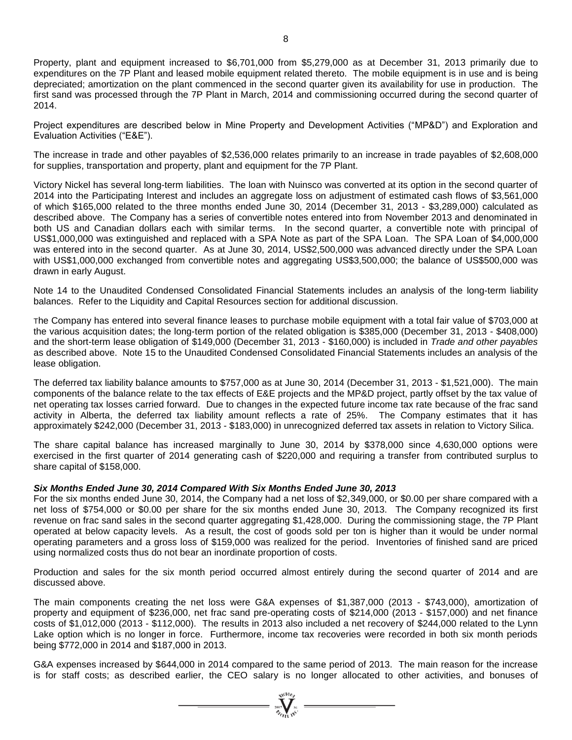Property, plant and equipment increased to \$6,701,000 from \$5,279,000 as at December 31, 2013 primarily due to expenditures on the 7P Plant and leased mobile equipment related thereto. The mobile equipment is in use and is being depreciated; amortization on the plant commenced in the second quarter given its availability for use in production. The first sand was processed through the 7P Plant in March, 2014 and commissioning occurred during the second quarter of 2014.

Project expenditures are described below in Mine Property and Development Activities ("MP&D") and Exploration and Evaluation Activities ("E&E").

The increase in trade and other payables of \$2,536,000 relates primarily to an increase in trade payables of \$2,608,000 for supplies, transportation and property, plant and equipment for the 7P Plant.

Victory Nickel has several long-term liabilities. The loan with Nuinsco was converted at its option in the second quarter of 2014 into the Participating Interest and includes an aggregate loss on adjustment of estimated cash flows of \$3,561,000 of which \$165,000 related to the three months ended June 30, 2014 (December 31, 2013 - \$3,289,000) calculated as described above. The Company has a series of convertible notes entered into from November 2013 and denominated in both US and Canadian dollars each with similar terms. In the second quarter, a convertible note with principal of US\$1,000,000 was extinguished and replaced with a SPA Note as part of the SPA Loan. The SPA Loan of \$4,000,000 was entered into in the second quarter. As at June 30, 2014, US\$2,500,000 was advanced directly under the SPA Loan with US\$1,000,000 exchanged from convertible notes and aggregating US\$3,500,000; the balance of US\$500,000 was drawn in early August.

Note 14 to the Unaudited Condensed Consolidated Financial Statements includes an analysis of the long-term liability balances. Refer to the Liquidity and Capital Resources section for additional discussion.

The Company has entered into several finance leases to purchase mobile equipment with a total fair value of \$703,000 at the various acquisition dates; the long-term portion of the related obligation is \$385,000 (December 31, 2013 - \$408,000) and the short-term lease obligation of \$149,000 (December 31, 2013 - \$160,000) is included in *Trade and other payables* as described above. Note 15 to the Unaudited Condensed Consolidated Financial Statements includes an analysis of the lease obligation.

The deferred tax liability balance amounts to \$757,000 as at June 30, 2014 (December 31, 2013 - \$1,521,000). The main components of the balance relate to the tax effects of E&E projects and the MP&D project, partly offset by the tax value of net operating tax losses carried forward. Due to changes in the expected future income tax rate because of the frac sand activity in Alberta, the deferred tax liability amount reflects a rate of 25%. The Company estimates that it has approximately \$242,000 (December 31, 2013 - \$183,000) in unrecognized deferred tax assets in relation to Victory Silica.

The share capital balance has increased marginally to June 30, 2014 by \$378,000 since 4,630,000 options were exercised in the first quarter of 2014 generating cash of \$220,000 and requiring a transfer from contributed surplus to share capital of \$158,000.

# *Six Months Ended June 30, 2014 Compared With Six Months Ended June 30, 2013*

For the six months ended June 30, 2014, the Company had a net loss of \$2,349,000, or \$0.00 per share compared with a net loss of \$754,000 or \$0.00 per share for the six months ended June 30, 2013. The Company recognized its first revenue on frac sand sales in the second quarter aggregating \$1,428,000. During the commissioning stage, the 7P Plant operated at below capacity levels. As a result, the cost of goods sold per ton is higher than it would be under normal operating parameters and a gross loss of \$159,000 was realized for the period. Inventories of finished sand are priced using normalized costs thus do not bear an inordinate proportion of costs.

Production and sales for the six month period occurred almost entirely during the second quarter of 2014 and are discussed above.

The main components creating the net loss were G&A expenses of \$1,387,000 (2013 - \$743,000), amortization of property and equipment of \$236,000, net frac sand pre-operating costs of \$214,000 (2013 - \$157,000) and net finance costs of \$1,012,000 (2013 - \$112,000). The results in 2013 also included a net recovery of \$244,000 related to the Lynn Lake option which is no longer in force. Furthermore, income tax recoveries were recorded in both six month periods being \$772,000 in 2014 and \$187,000 in 2013.

G&A expenses increased by \$644,000 in 2014 compared to the same period of 2013. The main reason for the increase is for staff costs; as described earlier, the CEO salary is no longer allocated to other activities, and bonuses of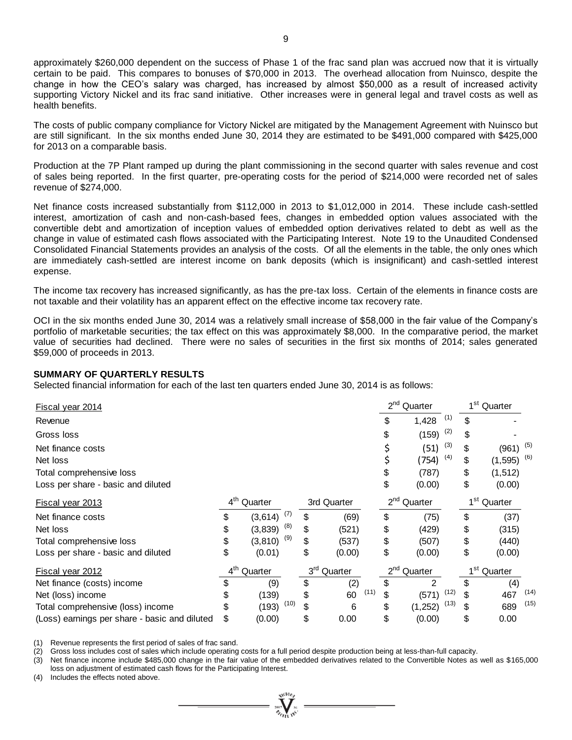approximately \$260,000 dependent on the success of Phase 1 of the frac sand plan was accrued now that it is virtually certain to be paid. This compares to bonuses of \$70,000 in 2013. The overhead allocation from Nuinsco, despite the change in how the CEO's salary was charged, has increased by almost \$50,000 as a result of increased activity supporting Victory Nickel and its frac sand initiative. Other increases were in general legal and travel costs as well as health benefits.

The costs of public company compliance for Victory Nickel are mitigated by the Management Agreement with Nuinsco but are still significant. In the six months ended June 30, 2014 they are estimated to be \$491,000 compared with \$425,000 for 2013 on a comparable basis.

Production at the 7P Plant ramped up during the plant commissioning in the second quarter with sales revenue and cost of sales being reported. In the first quarter, pre-operating costs for the period of \$214,000 were recorded net of sales revenue of \$274,000.

Net finance costs increased substantially from \$112,000 in 2013 to \$1,012,000 in 2014. These include cash-settled interest, amortization of cash and non-cash-based fees, changes in embedded option values associated with the convertible debt and amortization of inception values of embedded option derivatives related to debt as well as the change in value of estimated cash flows associated with the Participating Interest. Note 19 to the Unaudited Condensed Consolidated Financial Statements provides an analysis of the costs. Of all the elements in the table, the only ones which are immediately cash-settled are interest income on bank deposits (which is insignificant) and cash-settled interest expense.

The income tax recovery has increased significantly, as has the pre-tax loss. Certain of the elements in finance costs are not taxable and their volatility has an apparent effect on the effective income tax recovery rate.

OCI in the six months ended June 30, 2014 was a relatively small increase of \$58,000 in the fair value of the Company's portfolio of marketable securities; the tax effect on this was approximately \$8,000. In the comparative period, the market value of securities had declined. There were no sales of securities in the first six months of 2014; sales generated \$59,000 of proceeds in 2013.

#### **SUMMARY OF QUARTERLY RESULTS**

| Fiscal year 2014                                                                                                                                                                                                                                                                                                                                                            |                            |          |      |                 |             |      |                     | $2nd$ Quarter           |      |                         | 1 <sup>st</sup> Quarter  |      |
|-----------------------------------------------------------------------------------------------------------------------------------------------------------------------------------------------------------------------------------------------------------------------------------------------------------------------------------------------------------------------------|----------------------------|----------|------|-----------------|-------------|------|---------------------|-------------------------|------|-------------------------|--------------------------|------|
| Revenue                                                                                                                                                                                                                                                                                                                                                                     |                            |          |      |                 |             |      | \$                  | 1,428                   | (1)  | \$                      |                          |      |
| Gross loss                                                                                                                                                                                                                                                                                                                                                                  |                            |          |      |                 |             |      | \$                  | (159)                   | (2)  | S                       |                          |      |
| Net finance costs                                                                                                                                                                                                                                                                                                                                                           |                            |          |      |                 |             |      | \$                  | (51)                    | (3)  | \$                      | $(961)$ (5)              |      |
| Net loss                                                                                                                                                                                                                                                                                                                                                                    |                            |          |      |                 |             |      | \$                  | (754)                   | (4)  | \$                      | $(1,595)$ <sup>(6)</sup> |      |
| Total comprehensive loss                                                                                                                                                                                                                                                                                                                                                    |                            |          |      |                 |             |      | \$                  | (787)                   |      | \$                      | (1, 512)                 |      |
| Loss per share - basic and diluted                                                                                                                                                                                                                                                                                                                                          |                            |          |      |                 |             |      | \$                  | (0.00)                  |      | \$                      | (0.00)                   |      |
| Fiscal year 2013                                                                                                                                                                                                                                                                                                                                                            | $4^{\text{th}}$<br>Quarter |          |      |                 | 3rd Quarter |      |                     | 2 <sup>nd</sup> Quarter |      | 1 <sup>st</sup> Quarter |                          |      |
| Net finance costs                                                                                                                                                                                                                                                                                                                                                           | \$                         | (3,614)  | (7)  | \$              | (69)        |      | \$                  | (75)                    |      | \$                      | (37)                     |      |
| Net loss                                                                                                                                                                                                                                                                                                                                                                    | \$                         | (3, 839) | (8)  | \$              | (521)       |      | \$                  | (429)                   |      | \$                      | (315)                    |      |
| Total comprehensive loss                                                                                                                                                                                                                                                                                                                                                    | \$                         | (3, 810) | (9)  | \$              | (537)       |      | \$                  | (507)                   |      | \$                      | (440)                    |      |
| Loss per share - basic and diluted                                                                                                                                                                                                                                                                                                                                          | \$                         | (0.01)   |      | \$              | (0.00)      |      | \$                  | (0.00)                  |      | \$                      | (0.00)                   |      |
| <b>Fiscal year 2012</b>                                                                                                                                                                                                                                                                                                                                                     | $4^{\text{th}}$            | Quarter  |      | 3 <sup>rd</sup> | Quarter     |      | $2^{nd}$<br>Quarter |                         |      |                         | 1 <sup>st</sup> Quarter  |      |
| Net finance (costs) income                                                                                                                                                                                                                                                                                                                                                  | \$                         | (9)      |      | \$              | (2)         |      | \$                  | 2                       |      | \$                      | (4)                      |      |
| Net (loss) income                                                                                                                                                                                                                                                                                                                                                           | \$                         | (139)    |      | \$              | 60          | (11) | \$                  | (571)                   | (12) | \$                      | 467                      | (14) |
| Total comprehensive (loss) income                                                                                                                                                                                                                                                                                                                                           | \$                         | (193)    | (10) | \$              | 6           |      | \$                  | (1, 252)                | (13) | \$                      | 689                      | (15) |
| (Loss) earnings per share - basic and diluted                                                                                                                                                                                                                                                                                                                               | \$                         | (0.00)   |      | \$              | 0.00        |      | \$                  | (0.00)                  |      | \$                      | 0.00                     |      |
| (1)<br>Revenue represents the first period of sales of frac sand.<br>Gross loss includes cost of sales which include operating costs for a full period despite production being at less-than-full capacity.<br>(2)<br>Net finance income include \$485,000 change in the fair value of the embedded derivatives related to the Convertible Notes as well as \$165,00<br>(3) |                            |          |      |                 |             |      |                     |                         |      |                         |                          |      |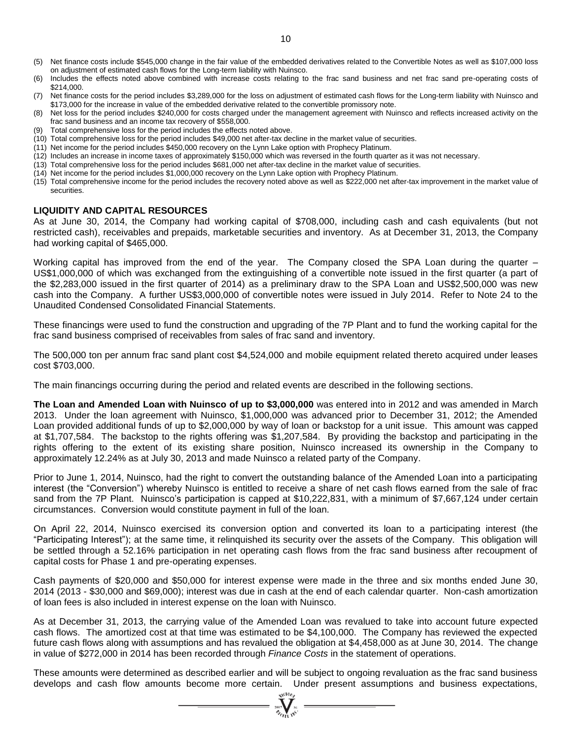- (5) Net finance costs include \$545,000 change in the fair value of the embedded derivatives related to the Convertible Notes as well as \$107,000 loss on adjustment of estimated cash flows for the Long-term liability with Nuinsco.
- (6) Includes the effects noted above combined with increase costs relating to the frac sand business and net frac sand pre-operating costs of \$214,000.
- (7) Net finance costs for the period includes \$3,289,000 for the loss on adjustment of estimated cash flows for the Long-term liability with Nuinsco and \$173,000 for the increase in value of the embedded derivative related to the convertible promissory note.
- (8) Net loss for the period includes \$240,000 for costs charged under the management agreement with Nuinsco and reflects increased activity on the frac sand business and an income tax recovery of \$558,000.
- (9) Total comprehensive loss for the period includes the effects noted above.
- (10) Total comprehensive loss for the period includes \$49,000 net after-tax decline in the market value of securities.
- (11) Net income for the period includes \$450,000 recovery on the Lynn Lake option with Prophecy Platinum.
- (12) Includes an increase in income taxes of approximately \$150,000 which was reversed in the fourth quarter as it was not necessary.
- (13) Total comprehensive loss for the period includes \$681,000 net after-tax decline in the market value of securities.
- (14) Net income for the period includes \$1,000,000 recovery on the Lynn Lake option with Prophecy Platinum.
- (15) Total comprehensive income for the period includes the recovery noted above as well as \$222,000 net after-tax improvement in the market value of securities.

# **LIQUIDITY AND CAPITAL RESOURCES**

As at June 30, 2014, the Company had working capital of \$708,000, including cash and cash equivalents (but not restricted cash), receivables and prepaids, marketable securities and inventory. As at December 31, 2013, the Company had working capital of \$465,000.

Working capital has improved from the end of the year. The Company closed the SPA Loan during the quarter – US\$1,000,000 of which was exchanged from the extinguishing of a convertible note issued in the first quarter (a part of the \$2,283,000 issued in the first quarter of 2014) as a preliminary draw to the SPA Loan and US\$2,500,000 was new cash into the Company. A further US\$3,000,000 of convertible notes were issued in July 2014. Refer to Note 24 to the Unaudited Condensed Consolidated Financial Statements.

These financings were used to fund the construction and upgrading of the 7P Plant and to fund the working capital for the frac sand business comprised of receivables from sales of frac sand and inventory.

The 500,000 ton per annum frac sand plant cost \$4,524,000 and mobile equipment related thereto acquired under leases cost \$703,000.

The main financings occurring during the period and related events are described in the following sections.

**The Loan and Amended Loan with Nuinsco of up to \$3,000,000** was entered into in 2012 and was amended in March 2013. Under the loan agreement with Nuinsco, \$1,000,000 was advanced prior to December 31, 2012; the Amended Loan provided additional funds of up to \$2,000,000 by way of loan or backstop for a unit issue. This amount was capped at \$1,707,584. The backstop to the rights offering was \$1,207,584. By providing the backstop and participating in the rights offering to the extent of its existing share position, Nuinsco increased its ownership in the Company to approximately 12.24% as at July 30, 2013 and made Nuinsco a related party of the Company.

Prior to June 1, 2014, Nuinsco, had the right to convert the outstanding balance of the Amended Loan into a participating interest (the "Conversion") whereby Nuinsco is entitled to receive a share of net cash flows earned from the sale of frac sand from the 7P Plant. Nuinsco's participation is capped at \$10,222,831, with a minimum of \$7,667,124 under certain circumstances. Conversion would constitute payment in full of the loan.

On April 22, 2014, Nuinsco exercised its conversion option and converted its loan to a participating interest (the "Participating Interest"); at the same time, it relinquished its security over the assets of the Company. This obligation will be settled through a 52.16% participation in net operating cash flows from the frac sand business after recoupment of capital costs for Phase 1 and pre-operating expenses.

Cash payments of \$20,000 and \$50,000 for interest expense were made in the three and six months ended June 30, 2014 (2013 - \$30,000 and \$69,000); interest was due in cash at the end of each calendar quarter. Non-cash amortization of loan fees is also included in interest expense on the loan with Nuinsco.

As at December 31, 2013, the carrying value of the Amended Loan was revalued to take into account future expected cash flows. The amortized cost at that time was estimated to be \$4,100,000. The Company has reviewed the expected future cash flows along with assumptions and has revalued the obligation at \$4,458,000 as at June 30, 2014. The change in value of \$272,000 in 2014 has been recorded through *Finance Costs* in the statement of operations.

These amounts were determined as described earlier and will be subject to ongoing revaluation as the frac sand business develops and cash flow amounts become more certain. Under present assumptions and business expectations,

 $\sum_{\substack{2007\\ \mathscr{D}_{f}}\sum_{i\in V} N_i}}$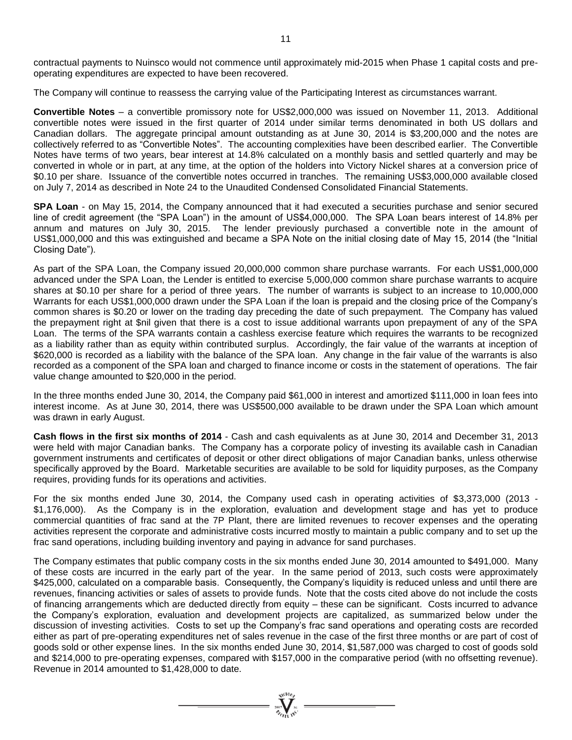contractual payments to Nuinsco would not commence until approximately mid-2015 when Phase 1 capital costs and preoperating expenditures are expected to have been recovered.

The Company will continue to reassess the carrying value of the Participating Interest as circumstances warrant.

**Convertible Notes** – a convertible promissory note for US\$2,000,000 was issued on November 11, 2013. Additional convertible notes were issued in the first quarter of 2014 under similar terms denominated in both US dollars and Canadian dollars. The aggregate principal amount outstanding as at June 30, 2014 is \$3,200,000 and the notes are collectively referred to as "Convertible Notes". The accounting complexities have been described earlier. The Convertible Notes have terms of two years, bear interest at 14.8% calculated on a monthly basis and settled quarterly and may be converted in whole or in part, at any time, at the option of the holders into Victory Nickel shares at a conversion price of \$0.10 per share. Issuance of the convertible notes occurred in tranches. The remaining US\$3,000,000 available closed on July 7, 2014 as described in Note 24 to the Unaudited Condensed Consolidated Financial Statements.

**SPA Loan** - on May 15, 2014, the Company announced that it had executed a securities purchase and senior secured line of credit agreement (the "SPA Loan") in the amount of US\$4,000,000. The SPA Loan bears interest of 14.8% per annum and matures on July 30, 2015. The lender previously purchased a convertible note in the amount of US\$1,000,000 and this was extinguished and became a SPA Note on the initial closing date of May 15, 2014 (the "Initial Closing Date").

As part of the SPA Loan, the Company issued 20,000,000 common share purchase warrants. For each US\$1,000,000 advanced under the SPA Loan, the Lender is entitled to exercise 5,000,000 common share purchase warrants to acquire shares at \$0.10 per share for a period of three years. The number of warrants is subject to an increase to 10,000,000 Warrants for each US\$1,000,000 drawn under the SPA Loan if the loan is prepaid and the closing price of the Company's common shares is \$0.20 or lower on the trading day preceding the date of such prepayment. The Company has valued the prepayment right at \$nil given that there is a cost to issue additional warrants upon prepayment of any of the SPA Loan. The terms of the SPA warrants contain a cashless exercise feature which requires the warrants to be recognized as a liability rather than as equity within contributed surplus. Accordingly, the fair value of the warrants at inception of \$620,000 is recorded as a liability with the balance of the SPA loan. Any change in the fair value of the warrants is also recorded as a component of the SPA loan and charged to finance income or costs in the statement of operations. The fair value change amounted to \$20,000 in the period.

In the three months ended June 30, 2014, the Company paid \$61,000 in interest and amortized \$111,000 in loan fees into interest income. As at June 30, 2014, there was US\$500,000 available to be drawn under the SPA Loan which amount was drawn in early August.

**Cash flows in the first six months of 2014** - Cash and cash equivalents as at June 30, 2014 and December 31, 2013 were held with major Canadian banks. The Company has a corporate policy of investing its available cash in Canadian government instruments and certificates of deposit or other direct obligations of major Canadian banks, unless otherwise specifically approved by the Board. Marketable securities are available to be sold for liquidity purposes, as the Company requires, providing funds for its operations and activities.

For the six months ended June 30, 2014, the Company used cash in operating activities of \$3,373,000 (2013 - \$1,176,000). As the Company is in the exploration, evaluation and development stage and has yet to produce commercial quantities of frac sand at the 7P Plant, there are limited revenues to recover expenses and the operating activities represent the corporate and administrative costs incurred mostly to maintain a public company and to set up the frac sand operations, including building inventory and paying in advance for sand purchases.

The Company estimates that public company costs in the six months ended June 30, 2014 amounted to \$491,000. Many of these costs are incurred in the early part of the year. In the same period of 2013, such costs were approximately \$425,000, calculated on a comparable basis. Consequently, the Company's liquidity is reduced unless and until there are revenues, financing activities or sales of assets to provide funds. Note that the costs cited above do not include the costs of financing arrangements which are deducted directly from equity – these can be significant. Costs incurred to advance the Company's exploration, evaluation and development projects are capitalized, as summarized below under the discussion of investing activities. Costs to set up the Company's frac sand operations and operating costs are recorded either as part of pre-operating expenditures net of sales revenue in the case of the first three months or are part of cost of goods sold or other expense lines. In the six months ended June 30, 2014, \$1,587,000 was charged to cost of goods sold and \$214,000 to pre-operating expenses, compared with \$157,000 in the comparative period (with no offsetting revenue). Revenue in 2014 amounted to \$1,428,000 to date.

=  $\sum_{y_0, y_1, y_2, \dots, y_n}^{y_0(10)}$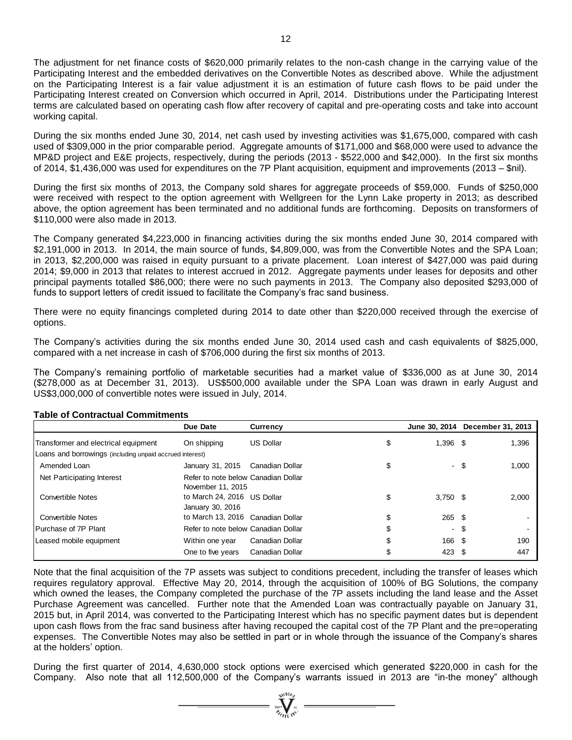The adjustment for net finance costs of \$620,000 primarily relates to the non-cash change in the carrying value of the Participating Interest and the embedded derivatives on the Convertible Notes as described above. While the adjustment on the Participating Interest is a fair value adjustment it is an estimation of future cash flows to be paid under the Participating Interest created on Conversion which occurred in April, 2014. Distributions under the Participating Interest terms are calculated based on operating cash flow after recovery of capital and pre-operating costs and take into account working capital.

During the six months ended June 30, 2014, net cash used by investing activities was \$1,675,000, compared with cash used of \$309,000 in the prior comparable period. Aggregate amounts of \$171,000 and \$68,000 were used to advance the MP&D project and E&E projects, respectively, during the periods (2013 - \$522,000 and \$42,000). In the first six months of 2014, \$1,436,000 was used for expenditures on the 7P Plant acquisition, equipment and improvements (2013 – \$nil).

During the first six months of 2013, the Company sold shares for aggregate proceeds of \$59,000. Funds of \$250,000 were received with respect to the option agreement with Wellgreen for the Lynn Lake property in 2013; as described above, the option agreement has been terminated and no additional funds are forthcoming. Deposits on transformers of \$110,000 were also made in 2013.

The Company generated \$4,223,000 in financing activities during the six months ended June 30, 2014 compared with \$2,191,000 in 2013. In 2014, the main source of funds, \$4,809,000, was from the Convertible Notes and the SPA Loan; in 2013, \$2,200,000 was raised in equity pursuant to a private placement. Loan interest of \$427,000 was paid during 2014; \$9,000 in 2013 that relates to interest accrued in 2012. Aggregate payments under leases for deposits and other principal payments totalled \$86,000; there were no such payments in 2013. The Company also deposited \$293,000 of funds to support letters of credit issued to facilitate the Company's frac sand business.

There were no equity financings completed during 2014 to date other than \$220,000 received through the exercise of options.

The Company's activities during the six months ended June 30, 2014 used cash and cash equivalents of \$825,000, compared with a net increase in cash of \$706,000 during the first six months of 2013.

The Company's remaining portfolio of marketable securities had a market value of \$336,000 as at June 30, 2014 (\$278,000 as at December 31, 2013). US\$500,000 available under the SPA Loan was drawn in early August and US\$3,000,000 of convertible notes were issued in July, 2014.

|                                                                                                                                                                                                                                                                                                                                                                                                                                                                                                                                                                                                                                                                                                                                                                                                                                                                                                       | Due Date                                                 | <b>Currency</b>  |                  | June 30, 2014 December 31, 2013 |
|-------------------------------------------------------------------------------------------------------------------------------------------------------------------------------------------------------------------------------------------------------------------------------------------------------------------------------------------------------------------------------------------------------------------------------------------------------------------------------------------------------------------------------------------------------------------------------------------------------------------------------------------------------------------------------------------------------------------------------------------------------------------------------------------------------------------------------------------------------------------------------------------------------|----------------------------------------------------------|------------------|------------------|---------------------------------|
| Transformer and electrical equipment                                                                                                                                                                                                                                                                                                                                                                                                                                                                                                                                                                                                                                                                                                                                                                                                                                                                  | On shipping                                              | <b>US Dollar</b> | \$<br>$1,396$ \$ | 1,396                           |
| Loans and borrowings (including unpaid accrued interest)                                                                                                                                                                                                                                                                                                                                                                                                                                                                                                                                                                                                                                                                                                                                                                                                                                              |                                                          |                  |                  |                                 |
| Amended Loan                                                                                                                                                                                                                                                                                                                                                                                                                                                                                                                                                                                                                                                                                                                                                                                                                                                                                          | January 31, 2015 Canadian Dollar                         |                  | \$               | 1,000<br>-\$                    |
| Net Participating Interest                                                                                                                                                                                                                                                                                                                                                                                                                                                                                                                                                                                                                                                                                                                                                                                                                                                                            | Refer to note below Canadian Dollar<br>November 11, 2015 |                  |                  |                                 |
| <b>Convertible Notes</b>                                                                                                                                                                                                                                                                                                                                                                                                                                                                                                                                                                                                                                                                                                                                                                                                                                                                              | to March 24, 2016 US Dollar<br>January 30, 2016          |                  | \$<br>$3,750$ \$ | 2,000                           |
| <b>Convertible Notes</b>                                                                                                                                                                                                                                                                                                                                                                                                                                                                                                                                                                                                                                                                                                                                                                                                                                                                              | to March 13, 2016 Canadian Dollar                        |                  | \$<br>$265$ \$   |                                 |
| Purchase of 7P Plant                                                                                                                                                                                                                                                                                                                                                                                                                                                                                                                                                                                                                                                                                                                                                                                                                                                                                  | Refer to note below Canadian Dollar                      |                  | \$               | - 5                             |
| Leased mobile equipment                                                                                                                                                                                                                                                                                                                                                                                                                                                                                                                                                                                                                                                                                                                                                                                                                                                                               | Within one year                                          | Canadian Dollar  | \$<br>166 \$     | 190                             |
|                                                                                                                                                                                                                                                                                                                                                                                                                                                                                                                                                                                                                                                                                                                                                                                                                                                                                                       | One to five years                                        | Canadian Dollar  | \$<br>423 \$     | 447                             |
| Note that the final acquisition of the 7P assets was subject to conditions precedent, including the transfer of leases which<br>requires regulatory approval. Effective May 20, 2014, through the acquisition of 100% of BG Solutions, the company<br>which owned the leases, the Company completed the purchase of the 7P assets including the land lease and the Asset<br>Purchase Agreement was cancelled. Further note that the Amended Loan was contractually payable on January 31,<br>2015 but, in April 2014, was converted to the Participating Interest which has no specific payment dates but is dependent<br>upon cash flows from the frac sand business after having recouped the capital cost of the 7P Plant and the pre=operating<br>expenses. The Convertible Notes may also be settled in part or in whole through the issuance of the Company's shares<br>at the holders' option. |                                                          |                  |                  |                                 |
| During the first quarter of 2014, 4,630,000 stock options were exercised which generated \$220,000 in cash for the<br>Company. Also note that all 112,500,000 of the Company's warrants issued in 2013 are "in-the money" although                                                                                                                                                                                                                                                                                                                                                                                                                                                                                                                                                                                                                                                                    |                                                          |                  |                  |                                 |

# **Table of Contractual Commitments**

 $\sum_{\substack{2007\\ \text{odd }w}}$   $\sum_{w \in W}$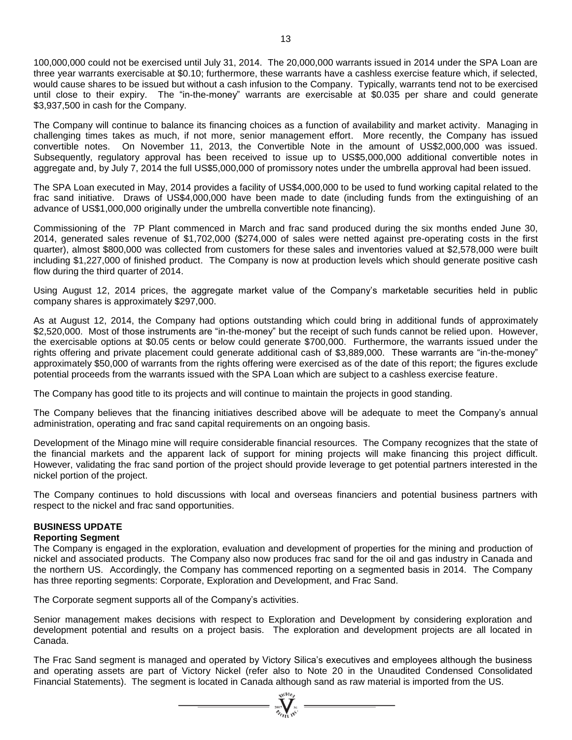100,000,000 could not be exercised until July 31, 2014. The 20,000,000 warrants issued in 2014 under the SPA Loan are three year warrants exercisable at \$0.10; furthermore, these warrants have a cashless exercise feature which, if selected, would cause shares to be issued but without a cash infusion to the Company. Typically, warrants tend not to be exercised until close to their expiry. The "in-the-money" warrants are exercisable at \$0.035 per share and could generate \$3,937,500 in cash for the Company.

The Company will continue to balance its financing choices as a function of availability and market activity. Managing in challenging times takes as much, if not more, senior management effort. More recently, the Company has issued convertible notes. On November 11, 2013, the Convertible Note in the amount of US\$2,000,000 was issued. Subsequently, regulatory approval has been received to issue up to US\$5,000,000 additional convertible notes in aggregate and, by July 7, 2014 the full US\$5,000,000 of promissory notes under the umbrella approval had been issued.

The SPA Loan executed in May, 2014 provides a facility of US\$4,000,000 to be used to fund working capital related to the frac sand initiative. Draws of US\$4,000,000 have been made to date (including funds from the extinguishing of an advance of US\$1,000,000 originally under the umbrella convertible note financing).

Commissioning of the 7P Plant commenced in March and frac sand produced during the six months ended June 30, 2014, generated sales revenue of \$1,702,000 (\$274,000 of sales were netted against pre-operating costs in the first quarter), almost \$800,000 was collected from customers for these sales and inventories valued at \$2,578,000 were built including \$1,227,000 of finished product. The Company is now at production levels which should generate positive cash flow during the third quarter of 2014.

Using August 12, 2014 prices, the aggregate market value of the Company's marketable securities held in public company shares is approximately \$297,000.

As at August 12, 2014, the Company had options outstanding which could bring in additional funds of approximately \$2,520,000. Most of those instruments are "in-the-money" but the receipt of such funds cannot be relied upon. However, the exercisable options at \$0.05 cents or below could generate \$700,000. Furthermore, the warrants issued under the rights offering and private placement could generate additional cash of \$3,889,000. These warrants are "in-the-money" approximately \$50,000 of warrants from the rights offering were exercised as of the date of this report; the figures exclude potential proceeds from the warrants issued with the SPA Loan which are subject to a cashless exercise feature.

The Company has good title to its projects and will continue to maintain the projects in good standing.

The Company believes that the financing initiatives described above will be adequate to meet the Company's annual administration, operating and frac sand capital requirements on an ongoing basis.

Development of the Minago mine will require considerable financial resources. The Company recognizes that the state of the financial markets and the apparent lack of support for mining projects will make financing this project difficult. However, validating the frac sand portion of the project should provide leverage to get potential partners interested in the nickel portion of the project.

The Company continues to hold discussions with local and overseas financiers and potential business partners with respect to the nickel and frac sand opportunities.

# **BUSINESS UPDATE**

# **Reporting Segment**

The Company is engaged in the exploration, evaluation and development of properties for the mining and production of nickel and associated products. The Company also now produces frac sand for the oil and gas industry in Canada and the northern US. Accordingly, the Company has commenced reporting on a segmented basis in 2014. The Company has three reporting segments: Corporate, Exploration and Development, and Frac Sand.

The Corporate segment supports all of the Company's activities.

Senior management makes decisions with respect to Exploration and Development by considering exploration and development potential and results on a project basis. The exploration and development projects are all located in Canada.

The Frac Sand segment is managed and operated by Victory Silica's executives and employees although the business and operating assets are part of Victory Nickel (refer also to Note 20 in the Unaudited Condensed Consolidated Financial Statements). The segment is located in Canada although sand as raw material is imported from the US.

 $\sum_{\substack{2007\\7}}\sum_{\substack{N\in\mathbb{N}\\(N+1)\leq N}}\frac{N}{N!}$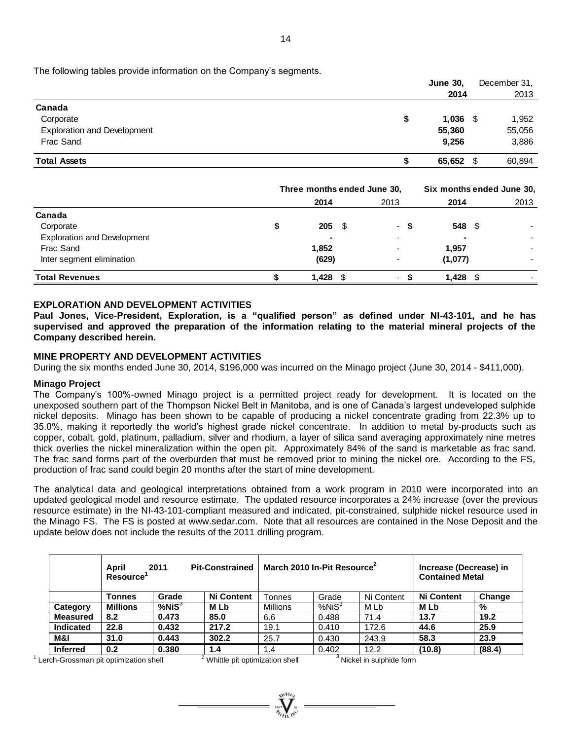The following tables provide information on the Company's segments.

|                                    |   | <b>June 30,</b><br>2014 |      | December 31, |
|------------------------------------|---|-------------------------|------|--------------|
|                                    |   |                         |      | 2013         |
| Canada                             |   |                         |      |              |
| Corporate                          | S | 1,036                   | - \$ | 1,952        |
| <b>Exploration and Development</b> |   | 55,360                  |      | 55,056       |
| Frac Sand                          |   | 9,256                   |      | 3,886        |
| <b>Total Assets</b>                |   | 65,652                  | \$   | 60.894       |

|                                    | Three months ended June 30, |            |  | Six months ended June 30, |         |      |  |
|------------------------------------|-----------------------------|------------|--|---------------------------|---------|------|--|
|                                    |                             | 2014       |  | 2013                      | 2014    | 2013 |  |
| Canada                             |                             |            |  |                           |         |      |  |
| Corporate                          | S                           | $205 \t$$  |  | - S                       | 548 \$  |      |  |
| <b>Exploration and Development</b> |                             |            |  |                           |         |      |  |
| Frac Sand                          |                             | 1,852      |  |                           | 1,957   |      |  |
| Inter segment elimination          |                             | (629)      |  | -                         | (1,077) |      |  |
| <b>Total Revenues</b>              |                             | $1,428$ \$ |  |                           | 1,428   |      |  |

# **EXPLORATION AND DEVELOPMENT ACTIVITIES**

**Paul Jones, Vice-President, Exploration, is a "qualified person" as defined under NI-43-101, and he has supervised and approved the preparation of the information relating to the material mineral projects of the Company described herein.**

# **MINE PROPERTY AND DEVELOPMENT ACTIVITIES**

During the six months ended June 30, 2014, \$196,000 was incurred on the Minago project (June 30, 2014 - \$411,000).

#### **Minago Project**

The Company's 100%-owned Minago project is a permitted project ready for development. It is located on the unexposed southern part of the Thompson Nickel Belt in Manitoba, and is one of Canada's largest undeveloped sulphide nickel deposits. Minago has been shown to be capable of producing a nickel concentrate grading from 22.3% up to 35.0%, making it reportedly the world's highest grade nickel concentrate. In addition to metal by-products such as copper, cobalt, gold, platinum, palladium, silver and rhodium, a layer of silica sand averaging approximately nine metres thick overlies the nickel mineralization within the open pit. Approximately 84% of the sand is marketable as frac sand. The frac sand forms part of the overburden that must be removed prior to mining the nickel ore. According to the FS, production of frac sand could begin 20 months after the start of mine development.

The analytical data and geological interpretations obtained from a work program in 2010 were incorporated into an updated geological model and resource estimate. The updated resource incorporates a 24% increase (over the previous resource estimate) in the NI-43-101-compliant measured and indicated, pit-constrained, sulphide nickel resource used in the Minago FS. The FS is posted at [www.sedar.com.](http://www.sedar.com/) Note that all resources are contained in the Nose Deposit and the update below does not include the results of the 2011 drilling program.

|                  | April<br>Resource' | 2011         | <b>Pit-Constrained</b> | March 2010 In-Pit Resource <sup>2</sup> |                   | Increase (Decrease) in<br><b>Contained Metal</b> |                   |        |
|------------------|--------------------|--------------|------------------------|-----------------------------------------|-------------------|--------------------------------------------------|-------------------|--------|
|                  | Tonnes             | Grade        | <b>Ni Content</b>      | Tonnes                                  | Grade             | Ni Content                                       | <b>Ni Content</b> | Change |
| Category         | <b>Millions</b>    | $%$ Ni $S^3$ | M Lb                   | <b>Millions</b>                         | %NiS <sup>3</sup> | M Lb                                             | <b>MLb</b>        | %      |
| <b>Measured</b>  | 8.2                | 0.473        | 85.0                   | 6.6                                     | 0.488             | 71.4                                             | 13.7              | 19.2   |
| <b>Indicated</b> | 22.8               | 0.432        | 217.2                  | 19.1                                    | 0.410             | 172.6                                            | 44.6              | 25.9   |
| M&I              | 31.0               | 0.443        | 302.2                  | 25.7                                    | 0.430             | 243.9                                            | 58.3              | 23.9   |
| <b>Inferred</b>  | 0.2                | 0.380        | 1.4                    | 1.4                                     | 0.402             | 12.2                                             | (10.8)            | (88.4) |

<sup>1</sup> Lerch-Grossman pit optimization shell <sup>2</sup> Whittle pit optimization shell <sup>3</sup> Nickel in sulphide form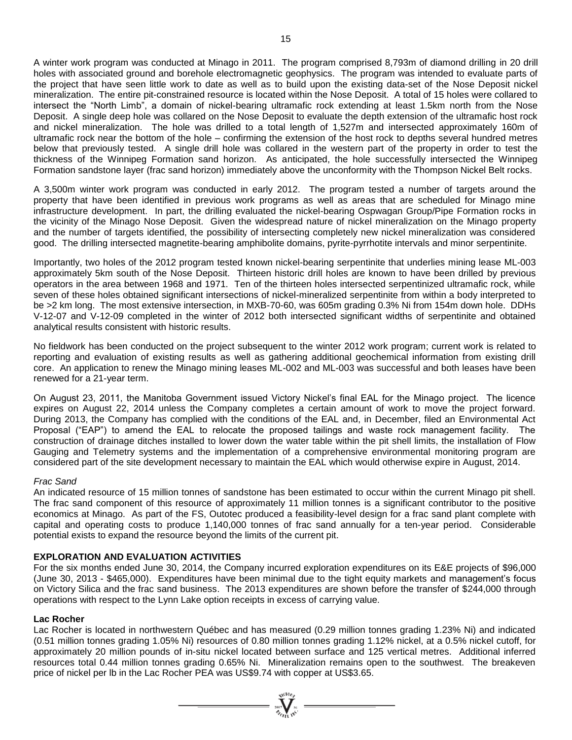A winter work program was conducted at Minago in 2011. The program comprised 8,793m of diamond drilling in 20 drill holes with associated ground and borehole electromagnetic geophysics. The program was intended to evaluate parts of the project that have seen little work to date as well as to build upon the existing data-set of the Nose Deposit nickel mineralization. The entire pit-constrained resource is located within the Nose Deposit. A total of 15 holes were collared to intersect the "North Limb", a domain of nickel-bearing ultramafic rock extending at least 1.5km north from the Nose Deposit. A single deep hole was collared on the Nose Deposit to evaluate the depth extension of the ultramafic host rock and nickel mineralization. The hole was drilled to a total length of 1,527m and intersected approximately 160m of ultramafic rock near the bottom of the hole – confirming the extension of the host rock to depths several hundred metres below that previously tested. A single drill hole was collared in the western part of the property in order to test the thickness of the Winnipeg Formation sand horizon. As anticipated, the hole successfully intersected the Winnipeg Formation sandstone layer (frac sand horizon) immediately above the unconformity with the Thompson Nickel Belt rocks.

A 3,500m winter work program was conducted in early 2012. The program tested a number of targets around the property that have been identified in previous work programs as well as areas that are scheduled for Minago mine infrastructure development. In part, the drilling evaluated the nickel-bearing Ospwagan Group/Pipe Formation rocks in the vicinity of the Minago Nose Deposit. Given the widespread nature of nickel mineralization on the Minago property and the number of targets identified, the possibility of intersecting completely new nickel mineralization was considered good. The drilling intersected magnetite-bearing amphibolite domains, pyrite-pyrrhotite intervals and minor serpentinite.

Importantly, two holes of the 2012 program tested known nickel-bearing serpentinite that underlies mining lease ML-003 approximately 5km south of the Nose Deposit. Thirteen historic drill holes are known to have been drilled by previous operators in the area between 1968 and 1971. Ten of the thirteen holes intersected serpentinized ultramafic rock, while seven of these holes obtained significant intersections of nickel-mineralized serpentinite from within a body interpreted to be >2 km long. The most extensive intersection, in MXB-70-60, was 605m grading 0.3% Ni from 154m down hole. DDHs V-12-07 and V-12-09 completed in the winter of 2012 both intersected significant widths of serpentinite and obtained analytical results consistent with historic results.

No fieldwork has been conducted on the project subsequent to the winter 2012 work program; current work is related to reporting and evaluation of existing results as well as gathering additional geochemical information from existing drill core. An application to renew the Minago mining leases ML-002 and ML-003 was successful and both leases have been renewed for a 21-year term.

On August 23, 2011, the Manitoba Government issued Victory Nickel's final EAL for the Minago project. The licence expires on August 22, 2014 unless the Company completes a certain amount of work to move the project forward. During 2013, the Company has complied with the conditions of the EAL and, in December, filed an Environmental Act Proposal ("EAP") to amend the EAL to relocate the proposed tailings and waste rock management facility. The construction of drainage ditches installed to lower down the water table within the pit shell limits, the installation of Flow Gauging and Telemetry systems and the implementation of a comprehensive environmental monitoring program are considered part of the site development necessary to maintain the EAL which would otherwise expire in August, 2014.

# *Frac Sand*

An indicated resource of 15 million tonnes of sandstone has been estimated to occur within the current Minago pit shell. The frac sand component of this resource of approximately 11 million tonnes is a significant contributor to the positive economics at Minago. As part of the FS, Outotec produced a feasibility-level design for a frac sand plant complete with capital and operating costs to produce 1,140,000 tonnes of frac sand annually for a ten-year period. Considerable potential exists to expand the resource beyond the limits of the current pit.

# **EXPLORATION AND EVALUATION ACTIVITIES**

For the six months ended June 30, 2014, the Company incurred exploration expenditures on its E&E projects of \$96,000 (June 30, 2013 - \$465,000). Expenditures have been minimal due to the tight equity markets and management's focus on Victory Silica and the frac sand business. The 2013 expenditures are shown before the transfer of \$244,000 through operations with respect to the Lynn Lake option receipts in excess of carrying value.

# **Lac Rocher**

Lac Rocher is located in northwestern Québec and has measured (0.29 million tonnes grading 1.23% Ni) and indicated (0.51 million tonnes grading 1.05% Ni) resources of 0.80 million tonnes grading 1.12% nickel, at a 0.5% nickel cutoff, for approximately 20 million pounds of in-situ nickel located between surface and 125 vertical metres. Additional inferred resources total 0.44 million tonnes grading 0.65% Ni. Mineralization remains open to the southwest. The breakeven price of nickel per lb in the Lac Rocher PEA was US\$9.74 with copper at US\$3.65.

 $=\prod^{\text{vol}_\text{VGGB}_p}_{\text{VGGB}_\text{H1}}\bigoplus$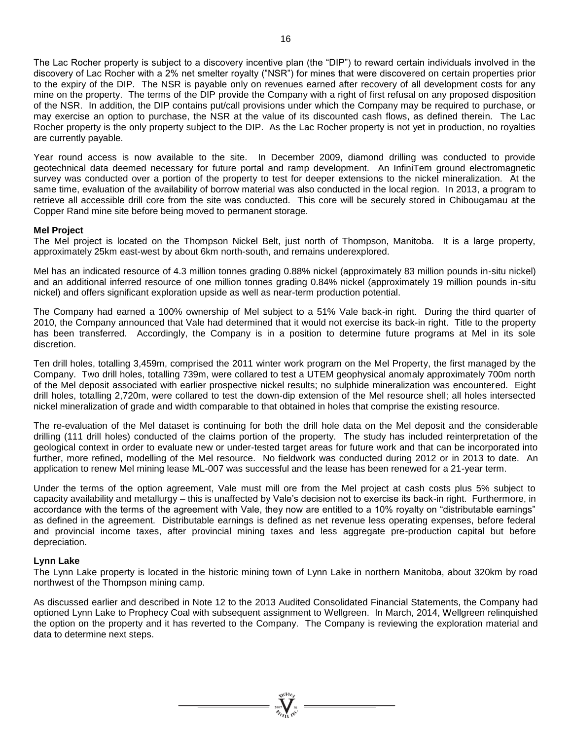The Lac Rocher property is subject to a discovery incentive plan (the "DIP") to reward certain individuals involved in the discovery of Lac Rocher with a 2% net smelter royalty ("NSR") for mines that were discovered on certain properties prior to the expiry of the DIP. The NSR is payable only on revenues earned after recovery of all development costs for any mine on the property. The terms of the DIP provide the Company with a right of first refusal on any proposed disposition of the NSR. In addition, the DIP contains put/call provisions under which the Company may be required to purchase, or may exercise an option to purchase, the NSR at the value of its discounted cash flows, as defined therein. The Lac Rocher property is the only property subject to the DIP. As the Lac Rocher property is not yet in production, no royalties are currently payable.

Year round access is now available to the site. In December 2009, diamond drilling was conducted to provide geotechnical data deemed necessary for future portal and ramp development. An InfiniTem ground electromagnetic survey was conducted over a portion of the property to test for deeper extensions to the nickel mineralization. At the same time, evaluation of the availability of borrow material was also conducted in the local region. In 2013, a program to retrieve all accessible drill core from the site was conducted. This core will be securely stored in Chibougamau at the Copper Rand mine site before being moved to permanent storage.

# **Mel Project**

The Mel project is located on the Thompson Nickel Belt, just north of Thompson, Manitoba. It is a large property, approximately 25km east-west by about 6km north-south, and remains underexplored.

Mel has an indicated resource of 4.3 million tonnes grading 0.88% nickel (approximately 83 million pounds in-situ nickel) and an additional inferred resource of one million tonnes grading 0.84% nickel (approximately 19 million pounds in-situ nickel) and offers significant exploration upside as well as near-term production potential.

The Company had earned a 100% ownership of Mel subject to a 51% Vale back-in right. During the third quarter of 2010, the Company announced that Vale had determined that it would not exercise its back-in right. Title to the property has been transferred. Accordingly, the Company is in a position to determine future programs at Mel in its sole discretion.

Ten drill holes, totalling 3,459m, comprised the 2011 winter work program on the Mel Property, the first managed by the Company. Two drill holes, totalling 739m, were collared to test a UTEM geophysical anomaly approximately 700m north of the Mel deposit associated with earlier prospective nickel results; no sulphide mineralization was encountered. Eight drill holes, totalling 2,720m, were collared to test the down-dip extension of the Mel resource shell; all holes intersected nickel mineralization of grade and width comparable to that obtained in holes that comprise the existing resource.

The re-evaluation of the Mel dataset is continuing for both the drill hole data on the Mel deposit and the considerable drilling (111 drill holes) conducted of the claims portion of the property. The study has included reinterpretation of the geological context in order to evaluate new or under-tested target areas for future work and that can be incorporated into further, more refined, modelling of the Mel resource. No fieldwork was conducted during 2012 or in 2013 to date. An application to renew Mel mining lease ML-007 was successful and the lease has been renewed for a 21-year term.

Under the terms of the option agreement, Vale must mill ore from the Mel project at cash costs plus 5% subject to capacity availability and metallurgy – this is unaffected by Vale's decision not to exercise its back-in right. Furthermore, in accordance with the terms of the agreement with Vale, they now are entitled to a 10% royalty on "distributable earnings" as defined in the agreement. Distributable earnings is defined as net revenue less operating expenses, before federal and provincial income taxes, after provincial mining taxes and less aggregate pre-production capital but before depreciation.

#### **Lynn Lake**

The Lynn Lake property is located in the historic mining town of Lynn Lake in northern Manitoba, about 320km by road northwest of the Thompson mining camp.

As discussed earlier and described in Note 12 to the 2013 Audited Consolidated Financial Statements, the Company had optioned Lynn Lake to Prophecy Coal with subsequent assignment to Wellgreen. In March, 2014, Wellgreen relinquished the option on the property and it has reverted to the Company. The Company is reviewing the exploration material and data to determine next steps.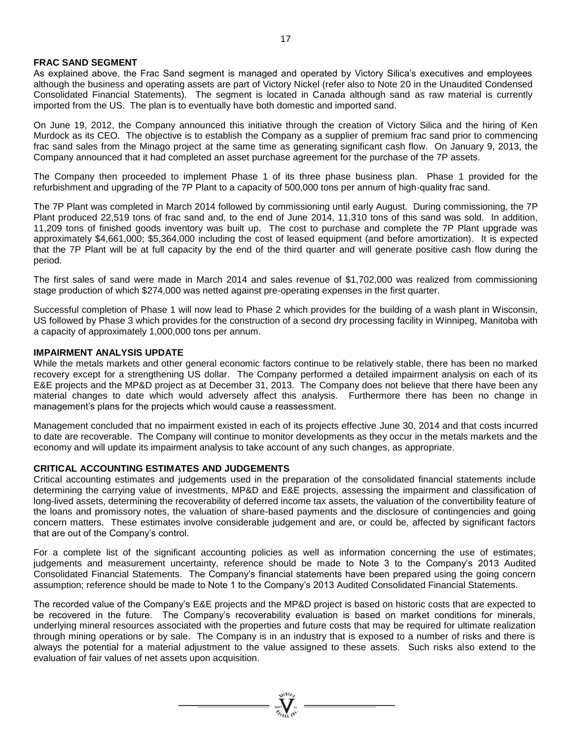### **FRAC SAND SEGMENT**

As explained above, the Frac Sand segment is managed and operated by Victory Silica's executives and employees although the business and operating assets are part of Victory Nickel (refer also to Note 20 in the Unaudited Condensed Consolidated Financial Statements). The segment is located in Canada although sand as raw material is currently imported from the US. The plan is to eventually have both domestic and imported sand.

On June 19, 2012, the Company announced this initiative through the creation of Victory Silica and the hiring of Ken Murdock as its CEO. The objective is to establish the Company as a supplier of premium frac sand prior to commencing frac sand sales from the Minago project at the same time as generating significant cash flow. On January 9, 2013, the Company announced that it had completed an asset purchase agreement for the purchase of the 7P assets.

The Company then proceeded to implement Phase 1 of its three phase business plan. Phase 1 provided for the refurbishment and upgrading of the 7P Plant to a capacity of 500,000 tons per annum of high-quality frac sand.

The 7P Plant was completed in March 2014 followed by commissioning until early August. During commissioning, the 7P Plant produced 22,519 tons of frac sand and, to the end of June 2014, 11,310 tons of this sand was sold. In addition, 11,209 tons of finished goods inventory was built up. The cost to purchase and complete the 7P Plant upgrade was approximately \$4,661,000; \$5,364,000 including the cost of leased equipment (and before amortization). It is expected that the 7P Plant will be at full capacity by the end of the third quarter and will generate positive cash flow during the period.

The first sales of sand were made in March 2014 and sales revenue of \$1,702,000 was realized from commissioning stage production of which \$274,000 was netted against pre-operating expenses in the first quarter.

Successful completion of Phase 1 will now lead to Phase 2 which provides for the building of a wash plant in Wisconsin, US followed by Phase 3 which provides for the construction of a second dry processing facility in Winnipeg, Manitoba with a capacity of approximately 1,000,000 tons per annum.

#### **IMPAIRMENT ANALYSIS UPDATE**

While the metals markets and other general economic factors continue to be relatively stable, there has been no marked recovery except for a strengthening US dollar. The Company performed a detailed impairment analysis on each of its E&E projects and the MP&D project as at December 31, 2013. The Company does not believe that there have been any material changes to date which would adversely affect this analysis. Furthermore there has been no change in management's plans for the projects which would cause a reassessment.

Management concluded that no impairment existed in each of its projects effective June 30, 2014 and that costs incurred to date are recoverable. The Company will continue to monitor developments as they occur in the metals markets and the economy and will update its impairment analysis to take account of any such changes, as appropriate.

#### **CRITICAL ACCOUNTING ESTIMATES AND JUDGEMENTS**

Critical accounting estimates and judgements used in the preparation of the consolidated financial statements include determining the carrying value of investments, MP&D and E&E projects, assessing the impairment and classification of long-lived assets, determining the recoverability of deferred income tax assets, the valuation of the convertibility feature of the loans and promissory notes, the valuation of share-based payments and the disclosure of contingencies and going concern matters. These estimates involve considerable judgement and are, or could be, affected by significant factors that are out of the Company's control.

For a complete list of the significant accounting policies as well as information concerning the use of estimates, judgements and measurement uncertainty, reference should be made to Note 3 to the Company's 2013 Audited Consolidated Financial Statements. The Company's financial statements have been prepared using the going concern assumption; reference should be made to Note 1 to the Company's 2013 Audited Consolidated Financial Statements.

The recorded value of the Company's E&E projects and the MP&D project is based on historic costs that are expected to be recovered in the future. The Company's recoverability evaluation is based on market conditions for minerals, underlying mineral resources associated with the properties and future costs that may be required for ultimate realization through mining operations or by sale. The Company is in an industry that is exposed to a number of risks and there is always the potential for a material adjustment to the value assigned to these assets. Such risks also extend to the evaluation of fair values of net assets upon acquisition.

 $\sum_{\substack{2007 \ \text{N} \text{N}}}$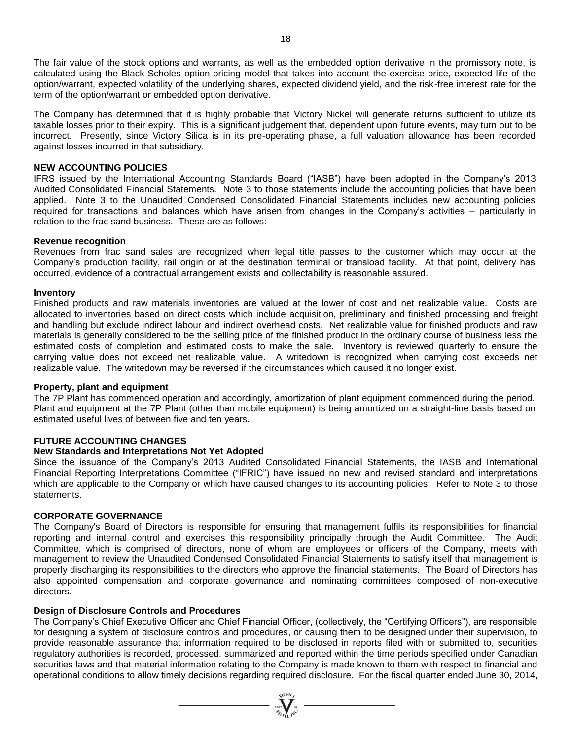The fair value of the stock options and warrants, as well as the embedded option derivative in the promissory note, is calculated using the Black-Scholes option-pricing model that takes into account the exercise price, expected life of the option/warrant, expected volatility of the underlying shares, expected dividend yield, and the risk-free interest rate for the term of the option/warrant or embedded option derivative.

The Company has determined that it is highly probable that Victory Nickel will generate returns sufficient to utilize its taxable losses prior to their expiry. This is a significant judgement that, dependent upon future events, may turn out to be incorrect. Presently, since Victory Silica is in its pre-operating phase, a full valuation allowance has been recorded against losses incurred in that subsidiary.

### **NEW ACCOUNTING POLICIES**

IFRS issued by the International Accounting Standards Board ("IASB") have been adopted in the Company's 2013 Audited Consolidated Financial Statements. Note 3 to those statements include the accounting policies that have been applied. Note 3 to the Unaudited Condensed Consolidated Financial Statements includes new accounting policies required for transactions and balances which have arisen from changes in the Company's activities – particularly in relation to the frac sand business. These are as follows:

#### **Revenue recognition**

Revenues from frac sand sales are recognized when legal title passes to the customer which may occur at the Company's production facility, rail origin or at the destination terminal or transload facility. At that point, delivery has occurred, evidence of a contractual arrangement exists and collectability is reasonable assured.

#### **Inventory**

Finished products and raw materials inventories are valued at the lower of cost and net realizable value. Costs are allocated to inventories based on direct costs which include acquisition, preliminary and finished processing and freight and handling but exclude indirect labour and indirect overhead costs. Net realizable value for finished products and raw materials is generally considered to be the selling price of the finished product in the ordinary course of business less the estimated costs of completion and estimated costs to make the sale. Inventory is reviewed quarterly to ensure the carrying value does not exceed net realizable value. A writedown is recognized when carrying cost exceeds net realizable value. The writedown may be reversed if the circumstances which caused it no longer exist.

# **Property, plant and equipment**

The 7P Plant has commenced operation and accordingly, amortization of plant equipment commenced during the period. Plant and equipment at the 7P Plant (other than mobile equipment) is being amortized on a straight-line basis based on estimated useful lives of between five and ten years.

#### **FUTURE ACCOUNTING CHANGES**

### **New Standards and Interpretations Not Yet Adopted**

Since the issuance of the Company's 2013 Audited Consolidated Financial Statements, the IASB and International Financial Reporting Interpretations Committee ("IFRIC") have issued no new and revised standard and interpretations which are applicable to the Company or which have caused changes to its accounting policies. Refer to Note 3 to those statements.

#### **CORPORATE GOVERNANCE**

The Company's Board of Directors is responsible for ensuring that management fulfils its responsibilities for financial reporting and internal control and exercises this responsibility principally through the Audit Committee. The Audit Committee, which is comprised of directors, none of whom are employees or officers of the Company, meets with management to review the Unaudited Condensed Consolidated Financial Statements to satisfy itself that management is properly discharging its responsibilities to the directors who approve the financial statements. The Board of Directors has also appointed compensation and corporate governance and nominating committees composed of non-executive directors.

### **Design of Disclosure Controls and Procedures**

The Company's Chief Executive Officer and Chief Financial Officer, (collectively, the "Certifying Officers"), are responsible for designing a system of disclosure controls and procedures, or causing them to be designed under their supervision, to provide reasonable assurance that information required to be disclosed in reports filed with or submitted to, securities regulatory authorities is recorded, processed, summarized and reported within the time periods specified under Canadian securities laws and that material information relating to the Company is made known to them with respect to financial and operational conditions to allow timely decisions regarding required disclosure. For the fiscal quarter ended June 30, 2014,

=  $\sum_{i=1}^{N(10)} \sum_{j=1}^{N(i)}$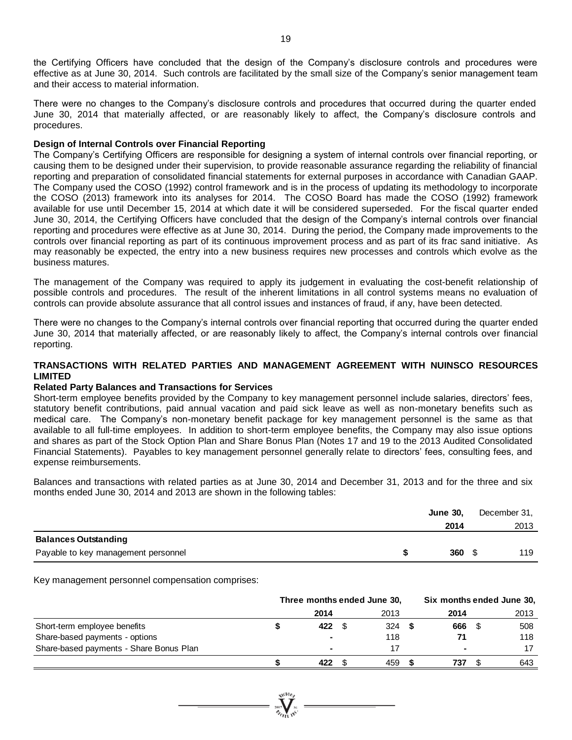the Certifying Officers have concluded that the design of the Company's disclosure controls and procedures were effective as at June 30, 2014. Such controls are facilitated by the small size of the Company's senior management team and their access to material information.

There were no changes to the Company's disclosure controls and procedures that occurred during the quarter ended June 30, 2014 that materially affected, or are reasonably likely to affect, the Company's disclosure controls and procedures.

### **Design of Internal Controls over Financial Reporting**

The Company's Certifying Officers are responsible for designing a system of internal controls over financial reporting, or causing them to be designed under their supervision, to provide reasonable assurance regarding the reliability of financial reporting and preparation of consolidated financial statements for external purposes in accordance with Canadian GAAP. The Company used the COSO (1992) control framework and is in the process of updating its methodology to incorporate the COSO (2013) framework into its analyses for 2014. The COSO Board has made the COSO (1992) framework available for use until December 15, 2014 at which date it will be considered superseded. For the fiscal quarter ended June 30, 2014, the Certifying Officers have concluded that the design of the Company's internal controls over financial reporting and procedures were effective as at June 30, 2014. During the period, the Company made improvements to the controls over financial reporting as part of its continuous improvement process and as part of its frac sand initiative. As may reasonably be expected, the entry into a new business requires new processes and controls which evolve as the business matures.

The management of the Company was required to apply its judgement in evaluating the cost-benefit relationship of possible controls and procedures. The result of the inherent limitations in all control systems means no evaluation of controls can provide absolute assurance that all control issues and instances of fraud, if any, have been detected.

There were no changes to the Company's internal controls over financial reporting that occurred during the quarter ended June 30, 2014 that materially affected, or are reasonably likely to affect, the Company's internal controls over financial reporting.

# **TRANSACTIONS WITH RELATED PARTIES AND MANAGEMENT AGREEMENT WITH NUINSCO RESOURCES LIMITED**

# **Related Party Balances and Transactions for Services**

Short-term employee benefits provided by the Company to key management personnel include salaries, directors' fees, statutory benefit contributions, paid annual vacation and paid sick leave as well as non-monetary benefits such as medical care. The Company's non-monetary benefit package for key management personnel is the same as that available to all full-time employees. In addition to short-term employee benefits, the Company may also issue options and shares as part of the Stock Option Plan and Share Bonus Plan (Notes 17 and 19 to the 2013 Audited Consolidated Financial Statements). Payables to key management personnel generally relate to directors' fees, consulting fees, and expense reimbursements.

Balances and transactions with related parties as at June 30, 2014 and December 31, 2013 and for the three and six months ended June 30, 2014 and 2013 are shown in the following tables:

|                                     | <b>June 30.</b> | December 31, |
|-------------------------------------|-----------------|--------------|
|                                     | 2014            | 2013         |
| <b>Balances Outstanding</b>         |                 |              |
| Payable to key management personnel | 360             | 119          |

Key management personnel compensation comprises:

|                                         | Three months ended June 30, |      |  | Six months ended June 30, |      |  |      |
|-----------------------------------------|-----------------------------|------|--|---------------------------|------|--|------|
|                                         |                             | 2014 |  | 2013                      | 2014 |  | 2013 |
| Short-term employee benefits            |                             | 422  |  | 324                       | 666  |  | 508  |
| Share-based payments - options          |                             | ۰    |  | 118                       | 71   |  | 118  |
| Share-based payments - Share Bonus Plan |                             | ۰    |  |                           | ۰    |  | 17   |
|                                         |                             | 422  |  | 459                       | 737  |  | 643  |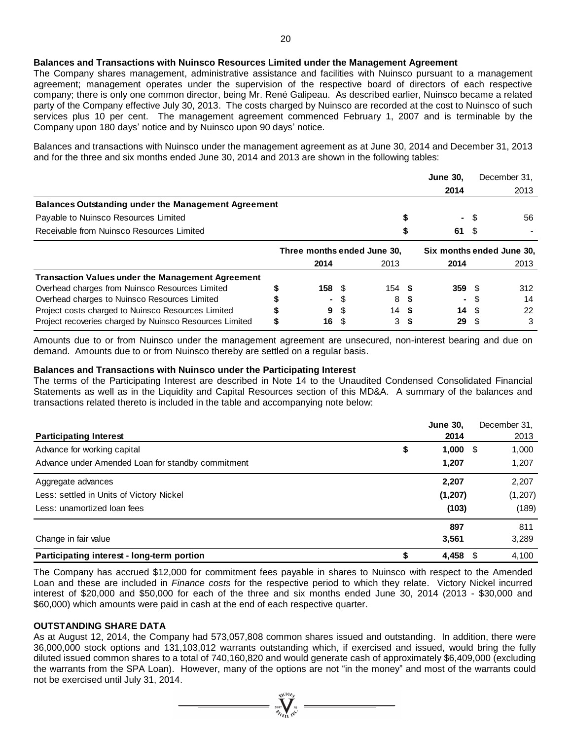# **Balances and Transactions with Nuinsco Resources Limited under the Management Agreement**

The Company shares management, administrative assistance and facilities with Nuinsco pursuant to a management agreement; management operates under the supervision of the respective board of directors of each respective company; there is only one common director, being Mr. René Galipeau. As described earlier, Nuinsco became a related party of the Company effective July 30, 2013. The costs charged by Nuinsco are recorded at the cost to Nuinsco of such services plus 10 per cent. The management agreement commenced February 1, 2007 and is terminable by the Company upon 180 days' notice and by Nuinsco upon 90 days' notice.

Balances and transactions with Nuinsco under the management agreement as at June 30, 2014 and December 31, 2013 and for the three and six months ended June 30, 2014 and 2013 are shown in the following tables:

|                                                            |                             |      |      |      | <b>June 30,</b>           |      | December 31. |
|------------------------------------------------------------|-----------------------------|------|------|------|---------------------------|------|--------------|
|                                                            |                             |      |      |      | 2014                      |      | 2013         |
| <b>Balances Outstanding under the Management Agreement</b> |                             |      |      |      |                           |      |              |
| Payable to Nuinsco Resources Limited                       |                             |      |      |      | ٠                         | - \$ | 56           |
| Receivable from Nuinsco Resources Limited                  |                             |      |      |      | 61                        | - \$ |              |
|                                                            | Three months ended June 30. |      |      |      | Six months ended June 30. |      |              |
|                                                            | 2014                        |      | 2013 |      | 2014                      |      | 2013         |
| <b>Transaction Values under the Management Agreement</b>   |                             |      |      |      |                           |      |              |
| Overhead charges from Nuinsco Resources Limited            | 158 <sup>°</sup>            |      | 154S |      | 359                       |      | 312          |
| Overhead charges to Nuinsco Resources Limited              | ۰.                          |      | 8    |      |                           |      | 14           |
| Project costs charged to Nuinsco Resources Limited         | 9                           | \$.  | 14   | - \$ | 14                        | - \$ | 22           |
| Project recoveries charged by Nuinsco Resources Limited    | 16                          | - \$ | 3    | - \$ | 29                        |      | 3            |

Amounts due to or from Nuinsco under the management agreement are unsecured, non-interest bearing and due on demand. Amounts due to or from Nuinsco thereby are settled on a regular basis.

#### **Balances and Transactions with Nuinsco under the Participating Interest**

The terms of the Participating Interest are described in Note 14 to the Unaudited Condensed Consolidated Financial Statements as well as in the Liquidity and Capital Resources section of this MD&A. A summary of the balances and transactions related thereto is included in the table and accompanying note below:

|                                                   | <b>June 30,</b> | December 31. |
|---------------------------------------------------|-----------------|--------------|
| <b>Participating Interest</b>                     | 2014            | 2013         |
| Advance for working capital                       | \$<br>1,000     | 1,000<br>- S |
| Advance under Amended Loan for standby commitment | 1,207           | 1,207        |
| Aggregate advances                                | 2,207           | 2,207        |
| Less: settled in Units of Victory Nickel          | (1, 207)        | (1,207)      |
| Less: unamortized loan fees                       | (103)           | (189)        |
|                                                   | 897             | 811          |
| Change in fair value                              | 3,561           | 3,289        |
| Participating interest - long-term portion        | 4,458           | 4,100<br>S   |

The Company has accrued \$12,000 for commitment fees payable in shares to Nuinsco with respect to the Amended Loan and these are included in *Finance costs* for the respective period to which they relate. Victory Nickel incurred interest of \$20,000 and \$50,000 for each of the three and six months ended June 30, 2014 (2013 - \$30,000 and \$60,000) which amounts were paid in cash at the end of each respective quarter.

#### **OUTSTANDING SHARE DATA**

As at August 12, 2014, the Company had 573,057,808 common shares issued and outstanding. In addition, there were 36,000,000 stock options and 131,103,012 warrants outstanding which, if exercised and issued, would bring the fully diluted issued common shares to a total of 740,160,820 and would generate cash of approximately \$6,409,000 (excluding the warrants from the SPA Loan). However, many of the options are not "in the money" and most of the warrants could not be exercised until July 31, 2014.

 $\sum_{\substack{2007 \ \text{77.6}}}\n\frac{\sqrt{1000}}{2}$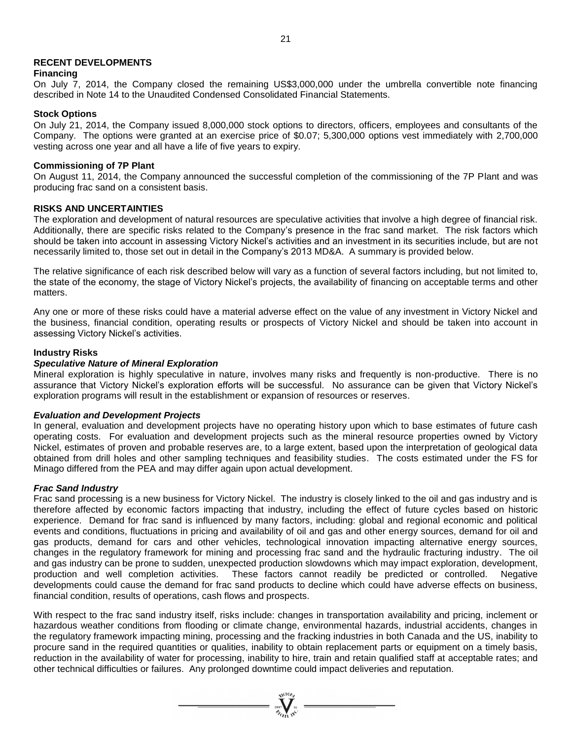# **RECENT DEVELOPMENTS**

### **Financing**

On July 7, 2014, the Company closed the remaining US\$3,000,000 under the umbrella convertible note financing described in Note 14 to the Unaudited Condensed Consolidated Financial Statements.

### **Stock Options**

On July 21, 2014, the Company issued 8,000,000 stock options to directors, officers, employees and consultants of the Company. The options were granted at an exercise price of \$0.07; 5,300,000 options vest immediately with 2,700,000 vesting across one year and all have a life of five years to expiry.

### **Commissioning of 7P Plant**

On August 11, 2014, the Company announced the successful completion of the commissioning of the 7P Plant and was producing frac sand on a consistent basis.

### **RISKS AND UNCERTAINTIES**

The exploration and development of natural resources are speculative activities that involve a high degree of financial risk. Additionally, there are specific risks related to the Company's presence in the frac sand market. The risk factors which should be taken into account in assessing Victory Nickel's activities and an investment in its securities include, but are not necessarily limited to, those set out in detail in the Company's 2013 MD&A. A summary is provided below.

The relative significance of each risk described below will vary as a function of several factors including, but not limited to, the state of the economy, the stage of Victory Nickel's projects, the availability of financing on acceptable terms and other matters.

Any one or more of these risks could have a material adverse effect on the value of any investment in Victory Nickel and the business, financial condition, operating results or prospects of Victory Nickel and should be taken into account in assessing Victory Nickel's activities.

### **Industry Risks**

### *Speculative Nature of Mineral Exploration*

Mineral exploration is highly speculative in nature, involves many risks and frequently is non-productive. There is no assurance that Victory Nickel's exploration efforts will be successful. No assurance can be given that Victory Nickel's exploration programs will result in the establishment or expansion of resources or reserves.

#### *Evaluation and Development Projects*

In general, evaluation and development projects have no operating history upon which to base estimates of future cash operating costs. For evaluation and development projects such as the mineral resource properties owned by Victory Nickel, estimates of proven and probable reserves are, to a large extent, based upon the interpretation of geological data obtained from drill holes and other sampling techniques and feasibility studies. The costs estimated under the FS for Minago differed from the PEA and may differ again upon actual development.

# *Frac Sand Industry*

Frac sand processing is a new business for Victory Nickel. The industry is closely linked to the oil and gas industry and is therefore affected by economic factors impacting that industry, including the effect of future cycles based on historic experience. Demand for frac sand is influenced by many factors, including: global and regional economic and political events and conditions, fluctuations in pricing and availability of oil and gas and other energy sources, demand for oil and gas products, demand for cars and other vehicles, technological innovation impacting alternative energy sources, changes in the regulatory framework for mining and processing frac sand and the hydraulic fracturing industry. The oil and gas industry can be prone to sudden, unexpected production slowdowns which may impact exploration, development, production and well completion activities. These factors cannot readily be predicted or controlled. Negative developments could cause the demand for frac sand products to decline which could have adverse effects on business, financial condition, results of operations, cash flows and prospects.

With respect to the frac sand industry itself, risks include: changes in transportation availability and pricing, inclement or hazardous weather conditions from flooding or climate change, environmental hazards, industrial accidents, changes in the regulatory framework impacting mining, processing and the fracking industries in both Canada and the US, inability to procure sand in the required quantities or qualities, inability to obtain replacement parts or equipment on a timely basis, reduction in the availability of water for processing, inability to hire, train and retain qualified staff at acceptable rates; and other technical difficulties or failures. Any prolonged downtime could impact deliveries and reputation.

=  $\sum_{\substack{2007 \ \text{N} \text{N}^{\text{N}}}}$  =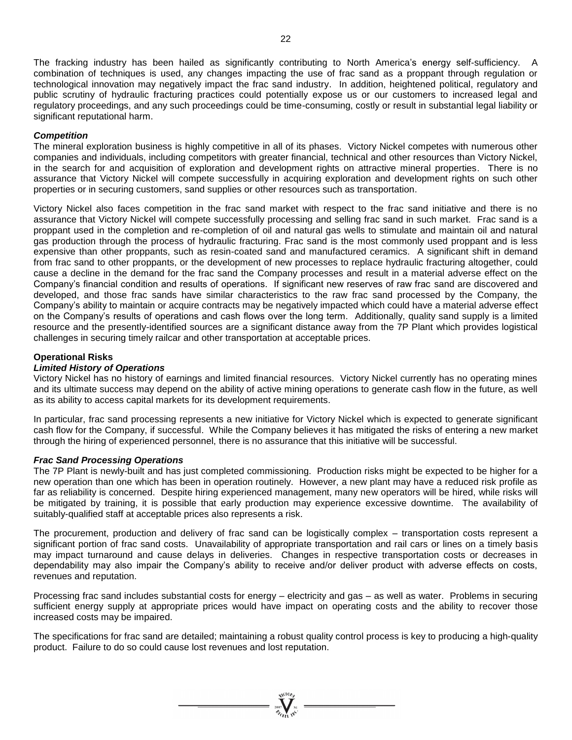The fracking industry has been hailed as significantly contributing to North America's energy self-sufficiency. A combination of techniques is used, any changes impacting the use of frac sand as a proppant through regulation or technological innovation may negatively impact the frac sand industry. In addition, heightened political, regulatory and public scrutiny of hydraulic fracturing practices could potentially expose us or our customers to increased legal and regulatory proceedings, and any such proceedings could be time-consuming, costly or result in substantial legal liability or significant reputational harm.

# *Competition*

The mineral exploration business is highly competitive in all of its phases. Victory Nickel competes with numerous other companies and individuals, including competitors with greater financial, technical and other resources than Victory Nickel, in the search for and acquisition of exploration and development rights on attractive mineral properties. There is no assurance that Victory Nickel will compete successfully in acquiring exploration and development rights on such other properties or in securing customers, sand supplies or other resources such as transportation.

Victory Nickel also faces competition in the frac sand market with respect to the frac sand initiative and there is no assurance that Victory Nickel will compete successfully processing and selling frac sand in such market. Frac sand is a proppant used in the completion and re-completion of oil and natural gas wells to stimulate and maintain oil and natural gas production through the process of hydraulic fracturing. Frac sand is the most commonly used proppant and is less expensive than other proppants, such as resin-coated sand and manufactured ceramics. A significant shift in demand from frac sand to other proppants, or the development of new processes to replace hydraulic fracturing altogether, could cause a decline in the demand for the frac sand the Company processes and result in a material adverse effect on the Company's financial condition and results of operations. If significant new reserves of raw frac sand are discovered and developed, and those frac sands have similar characteristics to the raw frac sand processed by the Company, the Company's ability to maintain or acquire contracts may be negatively impacted which could have a material adverse effect on the Company's results of operations and cash flows over the long term. Additionally, quality sand supply is a limited resource and the presently-identified sources are a significant distance away from the 7P Plant which provides logistical challenges in securing timely railcar and other transportation at acceptable prices.

# **Operational Risks**

### *Limited History of Operations*

Victory Nickel has no history of earnings and limited financial resources. Victory Nickel currently has no operating mines and its ultimate success may depend on the ability of active mining operations to generate cash flow in the future, as well as its ability to access capital markets for its development requirements.

In particular, frac sand processing represents a new initiative for Victory Nickel which is expected to generate significant cash flow for the Company, if successful. While the Company believes it has mitigated the risks of entering a new market through the hiring of experienced personnel, there is no assurance that this initiative will be successful.

#### *Frac Sand Processing Operations*

The 7P Plant is newly-built and has just completed commissioning. Production risks might be expected to be higher for a new operation than one which has been in operation routinely. However, a new plant may have a reduced risk profile as far as reliability is concerned. Despite hiring experienced management, many new operators will be hired, while risks will be mitigated by training, it is possible that early production may experience excessive downtime. The availability of suitably-qualified staff at acceptable prices also represents a risk.

The procurement, production and delivery of frac sand can be logistically complex – transportation costs represent a significant portion of frac sand costs. Unavailability of appropriate transportation and rail cars or lines on a timely basis may impact turnaround and cause delays in deliveries. Changes in respective transportation costs or decreases in dependability may also impair the Company's ability to receive and/or deliver product with adverse effects on costs, revenues and reputation.

Processing frac sand includes substantial costs for energy – electricity and gas – as well as water. Problems in securing sufficient energy supply at appropriate prices would have impact on operating costs and the ability to recover those increased costs may be impaired.

The specifications for frac sand are detailed; maintaining a robust quality control process is key to producing a high-quality product. Failure to do so could cause lost revenues and lost reputation.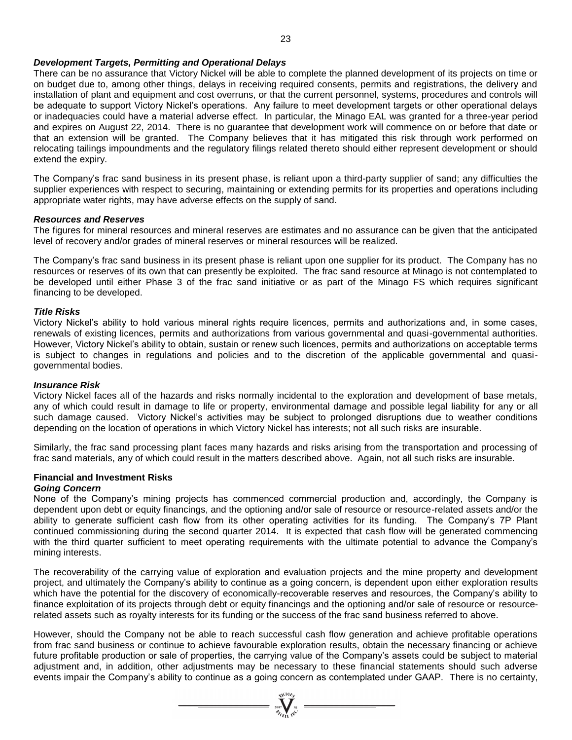### *Development Targets, Permitting and Operational Delays*

There can be no assurance that Victory Nickel will be able to complete the planned development of its projects on time or on budget due to, among other things, delays in receiving required consents, permits and registrations, the delivery and installation of plant and equipment and cost overruns, or that the current personnel, systems, procedures and controls will be adequate to support Victory Nickel's operations. Any failure to meet development targets or other operational delays or inadequacies could have a material adverse effect. In particular, the Minago EAL was granted for a three-year period and expires on August 22, 2014. There is no guarantee that development work will commence on or before that date or that an extension will be granted. The Company believes that it has mitigated this risk through work performed on relocating tailings impoundments and the regulatory filings related thereto should either represent development or should extend the expiry.

The Company's frac sand business in its present phase, is reliant upon a third-party supplier of sand; any difficulties the supplier experiences with respect to securing, maintaining or extending permits for its properties and operations including appropriate water rights, may have adverse effects on the supply of sand.

#### *Resources and Reserves*

The figures for mineral resources and mineral reserves are estimates and no assurance can be given that the anticipated level of recovery and/or grades of mineral reserves or mineral resources will be realized.

The Company's frac sand business in its present phase is reliant upon one supplier for its product. The Company has no resources or reserves of its own that can presently be exploited. The frac sand resource at Minago is not contemplated to be developed until either Phase 3 of the frac sand initiative or as part of the Minago FS which requires significant financing to be developed.

#### *Title Risks*

Victory Nickel's ability to hold various mineral rights require licences, permits and authorizations and, in some cases, renewals of existing licences, permits and authorizations from various governmental and quasi-governmental authorities. However, Victory Nickel's ability to obtain, sustain or renew such licences, permits and authorizations on acceptable terms is subject to changes in regulations and policies and to the discretion of the applicable governmental and quasigovernmental bodies.

#### *Insurance Risk*

Victory Nickel faces all of the hazards and risks normally incidental to the exploration and development of base metals, any of which could result in damage to life or property, environmental damage and possible legal liability for any or all such damage caused. Victory Nickel's activities may be subject to prolonged disruptions due to weather conditions depending on the location of operations in which Victory Nickel has interests; not all such risks are insurable.

Similarly, the frac sand processing plant faces many hazards and risks arising from the transportation and processing of frac sand materials, any of which could result in the matters described above. Again, not all such risks are insurable.

# **Financial and Investment Risks**

# *Going Concern*

None of the Company's mining projects has commenced commercial production and, accordingly, the Company is dependent upon debt or equity financings, and the optioning and/or sale of resource or resource-related assets and/or the ability to generate sufficient cash flow from its other operating activities for its funding. The Company's 7P Plant continued commissioning during the second quarter 2014. It is expected that cash flow will be generated commencing with the third quarter sufficient to meet operating requirements with the ultimate potential to advance the Company's mining interests.

The recoverability of the carrying value of exploration and evaluation projects and the mine property and development project, and ultimately the Company's ability to continue as a going concern, is dependent upon either exploration results which have the potential for the discovery of economically-recoverable reserves and resources, the Company's ability to finance exploitation of its projects through debt or equity financings and the optioning and/or sale of resource or resourcerelated assets such as royalty interests for its funding or the success of the frac sand business referred to above.

However, should the Company not be able to reach successful cash flow generation and achieve profitable operations from frac sand business or continue to achieve favourable exploration results, obtain the necessary financing or achieve future profitable production or sale of properties, the carrying value of the Company's assets could be subject to material adjustment and, in addition, other adjustments may be necessary to these financial statements should such adverse events impair the Company's ability to continue as a going concern as contemplated under GAAP. There is no certainty,

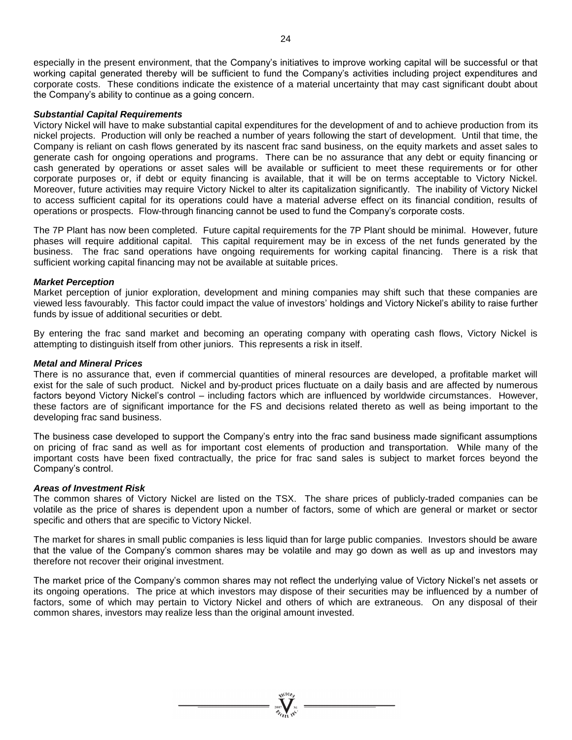especially in the present environment, that the Company's initiatives to improve working capital will be successful or that working capital generated thereby will be sufficient to fund the Company's activities including project expenditures and corporate costs. These conditions indicate the existence of a material uncertainty that may cast significant doubt about the Company's ability to continue as a going concern.

### *Substantial Capital Requirements*

Victory Nickel will have to make substantial capital expenditures for the development of and to achieve production from its nickel projects. Production will only be reached a number of years following the start of development. Until that time, the Company is reliant on cash flows generated by its nascent frac sand business, on the equity markets and asset sales to generate cash for ongoing operations and programs. There can be no assurance that any debt or equity financing or cash generated by operations or asset sales will be available or sufficient to meet these requirements or for other corporate purposes or, if debt or equity financing is available, that it will be on terms acceptable to Victory Nickel. Moreover, future activities may require Victory Nickel to alter its capitalization significantly. The inability of Victory Nickel to access sufficient capital for its operations could have a material adverse effect on its financial condition, results of operations or prospects. Flow-through financing cannot be used to fund the Company's corporate costs.

The 7P Plant has now been completed. Future capital requirements for the 7P Plant should be minimal. However, future phases will require additional capital. This capital requirement may be in excess of the net funds generated by the business. The frac sand operations have ongoing requirements for working capital financing. There is a risk that sufficient working capital financing may not be available at suitable prices.

### *Market Perception*

Market perception of junior exploration, development and mining companies may shift such that these companies are viewed less favourably. This factor could impact the value of investors' holdings and Victory Nickel's ability to raise further funds by issue of additional securities or debt.

By entering the frac sand market and becoming an operating company with operating cash flows, Victory Nickel is attempting to distinguish itself from other juniors. This represents a risk in itself.

### *Metal and Mineral Prices*

There is no assurance that, even if commercial quantities of mineral resources are developed, a profitable market will exist for the sale of such product. Nickel and by-product prices fluctuate on a daily basis and are affected by numerous factors beyond Victory Nickel's control – including factors which are influenced by worldwide circumstances. However, these factors are of significant importance for the FS and decisions related thereto as well as being important to the developing frac sand business.

The business case developed to support the Company's entry into the frac sand business made significant assumptions on pricing of frac sand as well as for important cost elements of production and transportation. While many of the important costs have been fixed contractually, the price for frac sand sales is subject to market forces beyond the Company's control.

# *Areas of Investment Risk*

The common shares of Victory Nickel are listed on the TSX. The share prices of publicly-traded companies can be volatile as the price of shares is dependent upon a number of factors, some of which are general or market or sector specific and others that are specific to Victory Nickel.

The market for shares in small public companies is less liquid than for large public companies. Investors should be aware that the value of the Company's common shares may be volatile and may go down as well as up and investors may therefore not recover their original investment.

The market price of the Company's common shares may not reflect the underlying value of Victory Nickel's net assets or its ongoing operations. The price at which investors may dispose of their securities may be influenced by a number of factors, some of which may pertain to Victory Nickel and others of which are extraneous. On any disposal of their common shares, investors may realize less than the original amount invested.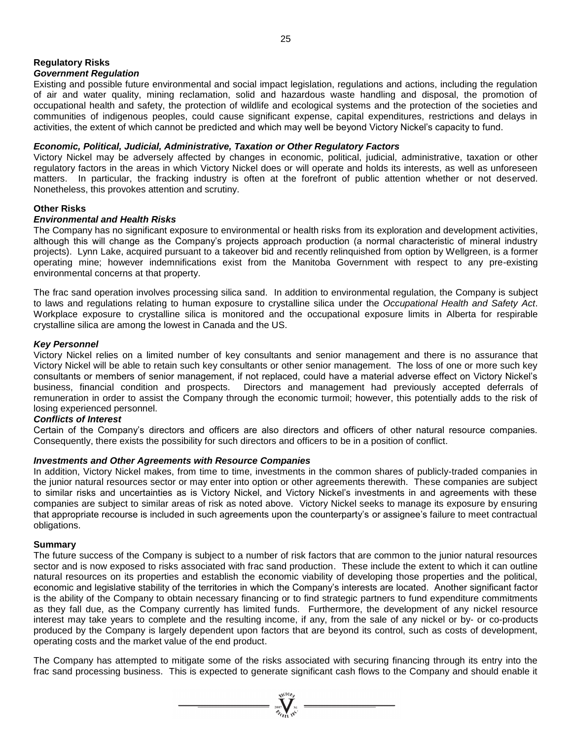# **Regulatory Risks**

# *Government Regulation*

Existing and possible future environmental and social impact legislation, regulations and actions, including the regulation of air and water quality, mining reclamation, solid and hazardous waste handling and disposal, the promotion of occupational health and safety, the protection of wildlife and ecological systems and the protection of the societies and communities of indigenous peoples, could cause significant expense, capital expenditures, restrictions and delays in activities, the extent of which cannot be predicted and which may well be beyond Victory Nickel's capacity to fund.

# *Economic, Political, Judicial, Administrative, Taxation or Other Regulatory Factors*

Victory Nickel may be adversely affected by changes in economic, political, judicial, administrative, taxation or other regulatory factors in the areas in which Victory Nickel does or will operate and holds its interests, as well as unforeseen matters. In particular, the fracking industry is often at the forefront of public attention whether or not deserved. Nonetheless, this provokes attention and scrutiny.

# **Other Risks**

# *Environmental and Health Risks*

The Company has no significant exposure to environmental or health risks from its exploration and development activities, although this will change as the Company's projects approach production (a normal characteristic of mineral industry projects). Lynn Lake, acquired pursuant to a takeover bid and recently relinquished from option by Wellgreen, is a former operating mine; however indemnifications exist from the Manitoba Government with respect to any pre-existing environmental concerns at that property.

The frac sand operation involves processing silica sand. In addition to environmental regulation, the Company is subject to laws and regulations relating to human exposure to crystalline silica under the *Occupational Health and Safety Act*. Workplace exposure to crystalline silica is monitored and the occupational exposure limits in Alberta for respirable crystalline silica are among the lowest in Canada and the US.

# *Key Personnel*

Victory Nickel relies on a limited number of key consultants and senior management and there is no assurance that Victory Nickel will be able to retain such key consultants or other senior management. The loss of one or more such key consultants or members of senior management, if not replaced, could have a material adverse effect on Victory Nickel's business, financial condition and prospects. Directors and management had previously accepted deferrals of remuneration in order to assist the Company through the economic turmoil; however, this potentially adds to the risk of losing experienced personnel.

# *Conflicts of Interest*

Certain of the Company's directors and officers are also directors and officers of other natural resource companies. Consequently, there exists the possibility for such directors and officers to be in a position of conflict.

# *Investments and Other Agreements with Resource Companies*

In addition, Victory Nickel makes, from time to time, investments in the common shares of publicly-traded companies in the junior natural resources sector or may enter into option or other agreements therewith. These companies are subject to similar risks and uncertainties as is Victory Nickel, and Victory Nickel's investments in and agreements with these companies are subject to similar areas of risk as noted above. Victory Nickel seeks to manage its exposure by ensuring that appropriate recourse is included in such agreements upon the counterparty's or assignee's failure to meet contractual obligations.

# **Summary**

The future success of the Company is subject to a number of risk factors that are common to the junior natural resources sector and is now exposed to risks associated with frac sand production. These include the extent to which it can outline natural resources on its properties and establish the economic viability of developing those properties and the political, economic and legislative stability of the territories in which the Company's interests are located. Another significant factor is the ability of the Company to obtain necessary financing or to find strategic partners to fund expenditure commitments as they fall due, as the Company currently has limited funds. Furthermore, the development of any nickel resource interest may take years to complete and the resulting income, if any, from the sale of any nickel or by- or co-products produced by the Company is largely dependent upon factors that are beyond its control, such as costs of development, operating costs and the market value of the end product.

The Company has attempted to mitigate some of the risks associated with securing financing through its entry into the frac sand processing business. This is expected to generate significant cash flows to the Company and should enable it

 $= \sum_{\alpha \in \mathcal{N}_{\text{C}}(K) \atop \beta \neq \beta \text{C}}^{\text{NCTO}_{\beta}} \frac{1}{\text{N}^{\text{C}}}$